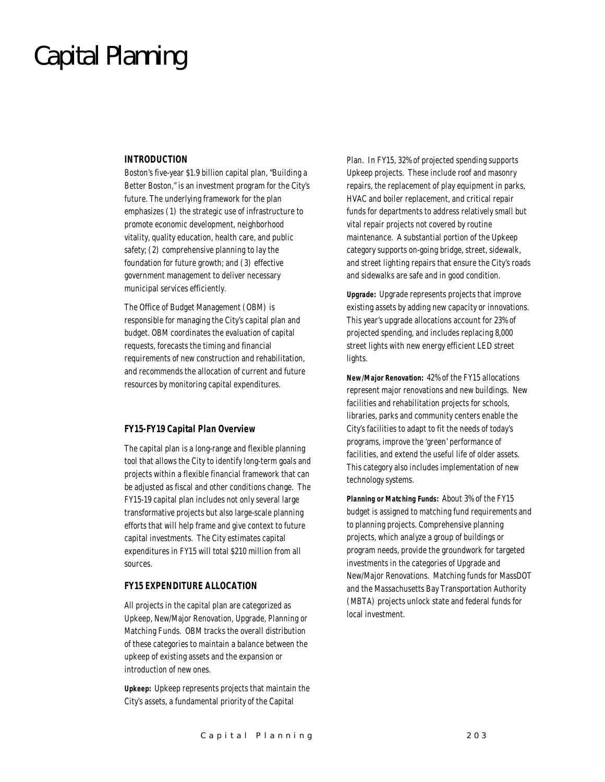## Capital Planning

#### *INTRODUCTION*

Boston's five-year \$1.9 billion capital plan, "Building a Better Boston," is an investment program for the City's future. The underlying framework for the plan emphasizes (1) the strategic use of infrastructure to promote economic development, neighborhood vitality, quality education, health care, and public safety; (2) comprehensive planning to lay the foundation for future growth; and (3) effective government management to deliver necessary municipal services efficiently.

The Office of Budget Management (OBM) is responsible for managing the City's capital plan and budget. OBM coordinates the evaluation of capital requests, forecasts the timing and financial requirements of new construction and rehabilitation, and recommends the allocation of current and future resources by monitoring capital expenditures.

#### *FY15-FY19 Capital Plan Overview*

The capital plan is a long-range and flexible planning tool that allows the City to identify long-term goals and projects within a flexible financial framework that can be adjusted as fiscal and other conditions change. The FY15-19 capital plan includes not only several large transformative projects but also large-scale planning efforts that will help frame and give context to future capital investments. The City estimates capital expenditures in FY15 will total \$210 million from all sources.

#### *FY15 EXPENDITURE ALLOCATION*

All projects in the capital plan are categorized as Upkeep, New/Major Renovation, Upgrade, Planning or Matching Funds. OBM tracks the overall distribution of these categories to maintain a balance between the upkeep of existing assets and the expansion or introduction of new ones.

*Upkeep:* Upkeep represents projects that maintain the City's assets, a fundamental priority of the Capital

Plan. In FY15, 32% of projected spending supports Upkeep projects. These include roof and masonry repairs, the replacement of play equipment in parks, HVAC and boiler replacement, and critical repair funds for departments to address relatively small but vital repair projects not covered by routine maintenance. A substantial portion of the Upkeep category supports on-going bridge, street, sidewalk, and street lighting repairs that ensure the City's roads and sidewalks are safe and in good condition.

*Upgrade:* Upgrade represents projects that improve existing assets by adding new capacity or innovations. This year's upgrade allocations account for 23% of projected spending, and includes replacing 8,000 street lights with new energy efficient LED street lights.

*New/Major Renovation:* 42% of the FY15 allocations represent major renovations and new buildings. New facilities and rehabilitation projects for schools, libraries, parks and community centers enable the City's facilities to adapt to fit the needs of today's programs, improve the 'green' performance of facilities, and extend the useful life of older assets. This category also includes implementation of new technology systems.

*Planning or Matching Funds:* About 3% of the FY15 budget is assigned to matching fund requirements and to planning projects. Comprehensive planning projects, which analyze a group of buildings or program needs, provide the groundwork for targeted investments in the categories of Upgrade and New/Major Renovations. Matching funds for MassDOT and the Massachusetts Bay Transportation Authority (MBTA) projects unlock state and federal funds for local investment.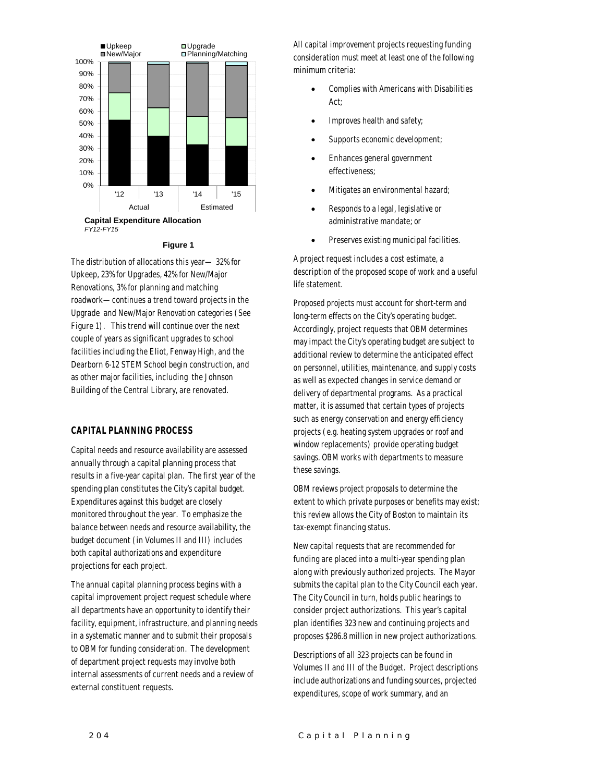

#### **Figure 1**

The distribution of allocations this year— 32% for Upkeep, 23% for Upgrades, 42% for New/Major Renovations, 3% for planning and matching roadwork—continues a trend toward projects in the Upgrade and New/Major Renovation categories (See Figure 1). This trend will continue over the next couple of years as significant upgrades to school facilities including the Eliot, Fenway High, and the Dearborn 6-12 STEM School begin construction, and as other major facilities, including the Johnson Building of the Central Library, are renovated.

#### *CAPITAL PLANNING PROCESS*

Capital needs and resource availability are assessed annually through a capital planning process that results in a five-year capital plan. The first year of the spending plan constitutes the City's capital budget. Expenditures against this budget are closely monitored throughout the year. To emphasize the balance between needs and resource availability, the budget document (in Volumes II and III) includes both capital authorizations and expenditure projections for each project.

The annual capital planning process begins with a capital improvement project request schedule where all departments have an opportunity to identify their facility, equipment, infrastructure, and planning needs in a systematic manner and to submit their proposals to OBM for funding consideration. The development of department project requests may involve both internal assessments of current needs and a review of external constituent requests.

All capital improvement projects requesting funding consideration must meet at least one of the following minimum criteria:

- Complies with Americans with Disabilities Act;
- Improves health and safety;
- Supports economic development;
- Enhances general government effectiveness;
- Mitigates an environmental hazard;
- Responds to a legal, legislative or administrative mandate; or
- Preserves existing municipal facilities.

A project request includes a cost estimate, a description of the proposed scope of work and a useful life statement.

Proposed projects must account for short-term and long-term effects on the City's operating budget. Accordingly, project requests that OBM determines may impact the City's operating budget are subject to additional review to determine the anticipated effect on personnel, utilities, maintenance, and supply costs as well as expected changes in service demand or delivery of departmental programs. As a practical matter, it is assumed that certain types of projects such as energy conservation and energy efficiency projects (e.g. heating system upgrades or roof and window replacements) provide operating budget savings. OBM works with departments to measure these savings.

OBM reviews project proposals to determine the extent to which private purposes or benefits may exist; this review allows the City of Boston to maintain its tax-exempt financing status.

New capital requests that are recommended for funding are placed into a multi-year spending plan along with previously authorized projects. The Mayor submits the capital plan to the City Council each year. The City Council in turn, holds public hearings to consider project authorizations. This year's capital plan identifies 323 new and continuing projects and proposes \$286.8 million in new project authorizations.

Descriptions of all 323 projects can be found in Volumes II and III of the Budget. Project descriptions include authorizations and funding sources, projected expenditures, scope of work summary, and an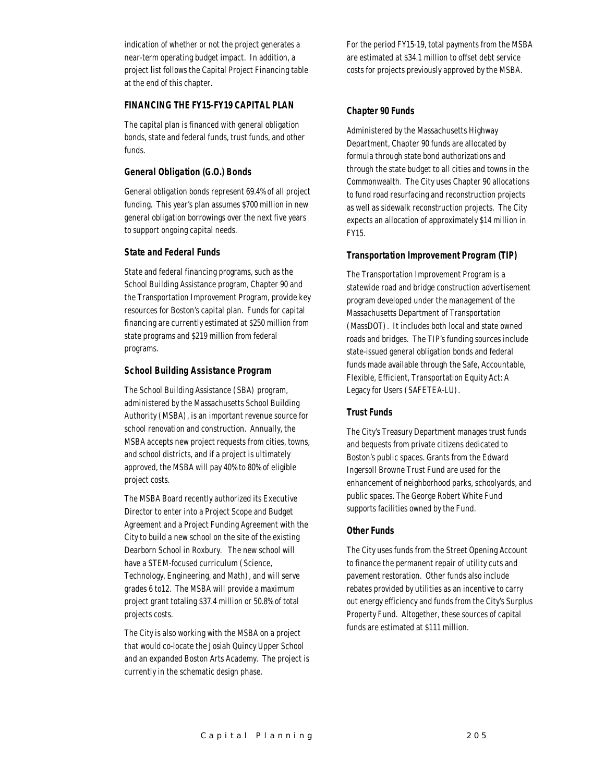indication of whether or not the project generates a near-term operating budget impact. In addition, a project list follows the Capital Project Financing table at the end of this chapter.

#### *FINANCING THE FY15-FY19 CAPITAL PLAN*

The capital plan is financed with general obligation bonds, state and federal funds, trust funds, and other funds.

#### *General Obligation (G.O.) Bonds*

General obligation bonds represent 69.4% of all project funding. This year's plan assumes \$700 million in new general obligation borrowings over the next five years to support ongoing capital needs.

#### *State and Federal Funds*

State and federal financing programs, such as the School Building Assistance program, Chapter 90 and the Transportation Improvement Program, provide key resources for Boston's capital plan. Funds for capital financing are currently estimated at \$250 million from state programs and \$219 million from federal programs.

#### *School Building Assistance Program*

The School Building Assistance (SBA) program, administered by the Massachusetts School Building Authority (MSBA), is an important revenue source for school renovation and construction. Annually, the MSBA accepts new project requests from cities, towns, and school districts, and if a project is ultimately approved, the MSBA will pay 40% to 80% of eligible project costs.

The MSBA Board recently authorized its Executive Director to enter into a Project Scope and Budget Agreement and a Project Funding Agreement with the City to build a new school on the site of the existing Dearborn School in Roxbury. The new school will have a STEM-focused curriculum (Science, Technology, Engineering, and Math), and will serve grades 6 to12. The MSBA will provide a maximum project grant totaling \$37.4 million or 50.8% of total projects costs.

The City is also working with the MSBA on a project that would co-locate the Josiah Quincy Upper School and an expanded Boston Arts Academy. The project is currently in the schematic design phase.

For the period FY15-19, total payments from the MSBA are estimated at \$34.1 million to offset debt service costs for projects previously approved by the MSBA.

#### *Chapter 90 Funds*

Administered by the Massachusetts Highway Department, Chapter 90 funds are allocated by formula through state bond authorizations and through the state budget to all cities and towns in the Commonwealth. The City uses Chapter 90 allocations to fund road resurfacing and reconstruction projects as well as sidewalk reconstruction projects. The City expects an allocation of approximately \$14 million in FY15.

#### *Transportation Improvement Program (TIP)*

The Transportation Improvement Program is a statewide road and bridge construction advertisement program developed under the management of the Massachusetts Department of Transportation (MassDOT). It includes both local and state owned roads and bridges. The TIP's funding sources include state-issued general obligation bonds and federal funds made available through the Safe, Accountable, Flexible, Efficient, Transportation Equity Act: A Legacy for Users (SAFETEA-LU).

#### *Trust Funds*

The City's Treasury Department manages trust funds and bequests from private citizens dedicated to Boston's public spaces. Grants from the Edward Ingersoll Browne Trust Fund are used for the enhancement of neighborhood parks, schoolyards, and public spaces. The George Robert White Fund supports facilities owned by the Fund.

#### *Other Funds*

The City uses funds from the Street Opening Account to finance the permanent repair of utility cuts and pavement restoration. Other funds also include rebates provided by utilities as an incentive to carry out energy efficiency and funds from the City's Surplus Property Fund. Altogether, these sources of capital funds are estimated at \$111 million.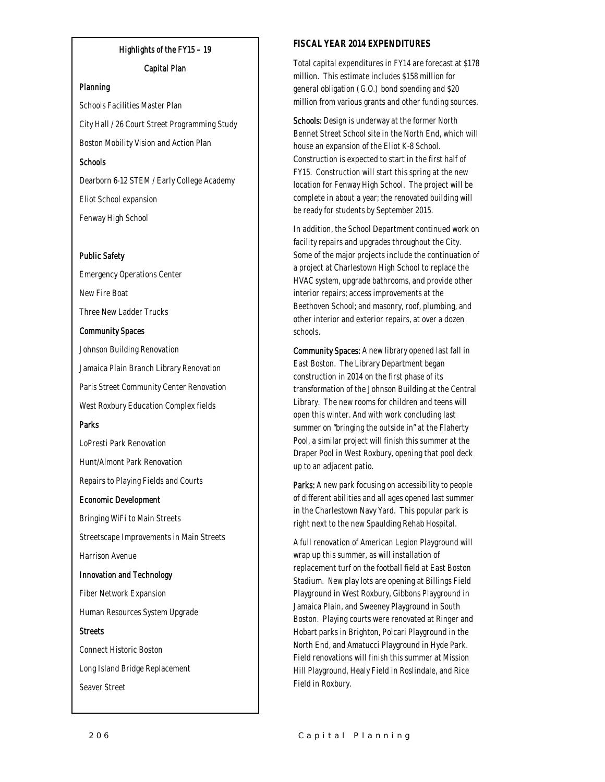#### Highlights of the FY15 – 19

#### Capital Plan

#### Planning

Schools Facilities Master Plan City Hall / 26 Court Street Programming Study Boston Mobility Vision and Action Plan Schools Dearborn 6-12 STEM / Early College Academy

Eliot School expansion Fenway High School

### Public Safety

Emergency Operations Center New Fire Boat Three New Ladder Trucks

#### Community Spaces

Johnson Building Renovation Jamaica Plain Branch Library Renovation Paris Street Community Center Renovation West Roxbury Education Complex fields Parks

LoPresti Park Renovation Hunt/Almont Park Renovation Repairs to Playing Fields and Courts

#### Economic Development

Bringing WiFi to Main Streets Streetscape Improvements in Main Streets Harrison Avenue

#### Innovation and Technology

Fiber Network Expansion Human Resources System Upgrade

#### **Streets**

Connect Historic Boston Long Island Bridge Replacement Seaver Street

#### *FISCAL YEAR 2014 EXPENDITURES*

Total capital expenditures in FY14 are forecast at \$178 million. This estimate includes \$158 million for general obligation (G.O.) bond spending and \$20 million from various grants and other funding sources.

Schools: Design is underway at the former North Bennet Street School site in the North End, which will house an expansion of the Eliot K-8 School. Construction is expected to start in the first half of FY15. Construction will start this spring at the new location for Fenway High School. The project will be complete in about a year; the renovated building will be ready for students by September 2015.

In addition, the School Department continued work on facility repairs and upgrades throughout the City. Some of the major projects include the continuation of a project at Charlestown High School to replace the HVAC system, upgrade bathrooms, and provide other interior repairs; access improvements at the Beethoven School; and masonry, roof, plumbing, and other interior and exterior repairs, at over a dozen schools.

Community Spaces: A new library opened last fall in East Boston. The Library Department began construction in 2014 on the first phase of its transformation of the Johnson Building at the Central Library. The new rooms for children and teens will open this winter. And with work concluding last summer on "bringing the outside in" at the Flaherty Pool, a similar project will finish this summer at the Draper Pool in West Roxbury, opening that pool deck up to an adjacent patio.

Parks: A new park focusing on accessibility to people of different abilities and all ages opened last summer in the Charlestown Navy Yard. This popular park is right next to the new Spaulding Rehab Hospital.

A full renovation of American Legion Playground will wrap up this summer, as will installation of replacement turf on the football field at East Boston Stadium. New play lots are opening at Billings Field Playground in West Roxbury, Gibbons Playground in Jamaica Plain, and Sweeney Playground in South Boston. Playing courts were renovated at Ringer and Hobart parks in Brighton, Polcari Playground in the North End, and Amatucci Playground in Hyde Park. Field renovations will finish this summer at Mission Hill Playground, Healy Field in Roslindale, and Rice Field in Roxbury.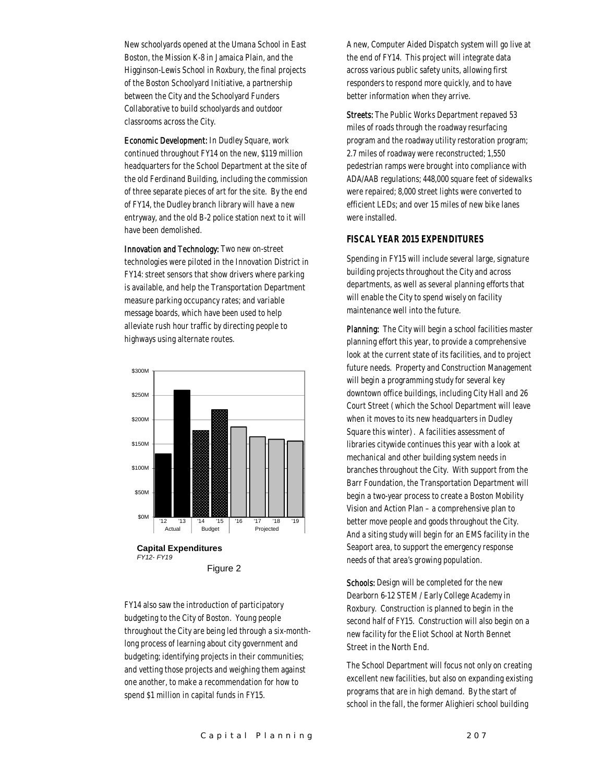New schoolyards opened at the Umana School in East Boston, the Mission K-8 in Jamaica Plain, and the Higginson-Lewis School in Roxbury, the final projects of the Boston Schoolyard Initiative, a partnership between the City and the Schoolyard Funders Collaborative to build schoolyards and outdoor classrooms across the City.

Economic Development: In Dudley Square, work continued throughout FY14 on the new, \$119 million headquarters for the School Department at the site of the old Ferdinand Building, including the commission of three separate pieces of art for the site. By the end of FY14, the Dudley branch library will have a new entryway, and the old B-2 police station next to it will have been demolished.

Innovation and Technology: Two new on-street technologies were piloted in the Innovation District in FY14: street sensors that show drivers where parking is available, and help the Transportation Department measure parking occupancy rates; and variable message boards, which have been used to help alleviate rush hour traffic by directing people to highways using alternate routes.



FY14 also saw the introduction of participatory budgeting to the City of Boston. Young people throughout the City are being led through a six-monthlong process of learning about city government and budgeting; identifying projects in their communities; and vetting those projects and weighing them against one another, to make a recommendation for how to spend \$1 million in capital funds in FY15.

A new, Computer Aided Dispatch system will go live at the end of FY14. This project will integrate data across various public safety units, allowing first responders to respond more quickly, and to have better information when they arrive.

Streets: The Public Works Department repaved 53 miles of roads through the roadway resurfacing program and the roadway utility restoration program; 2.7 miles of roadway were reconstructed; 1,550 pedestrian ramps were brought into compliance with ADA/AAB regulations; 448,000 square feet of sidewalks were repaired; 8,000 street lights were converted to efficient LEDs; and over 15 miles of new bike lanes were installed.

#### *FISCAL YEAR 2015 EXPENDITURES*

Spending in FY15 will include several large, signature building projects throughout the City and across departments, as well as several planning efforts that will enable the City to spend wisely on facility maintenance well into the future.

Planning: The City will begin a school facilities master planning effort this year, to provide a comprehensive look at the current state of its facilities, and to project future needs. Property and Construction Management will begin a programming study for several key downtown office buildings, including City Hall and 26 Court Street (which the School Department will leave when it moves to its new headquarters in Dudley Square this winter). A facilities assessment of libraries citywide continues this year with a look at mechanical and other building system needs in branches throughout the City. With support from the Barr Foundation, the Transportation Department will begin a two-year process to create a Boston Mobility Vision and Action Plan – a comprehensive plan to better move people and goods throughout the City. And a siting study will begin for an EMS facility in the Seaport area, to support the emergency response needs of that area's growing population.

Schools: Design will be completed for the new Dearborn 6-12 STEM / Early College Academy in Roxbury. Construction is planned to begin in the second half of FY15. Construction will also begin on a new facility for the Eliot School at North Bennet Street in the North End.

The School Department will focus not only on creating excellent new facilities, but also on expanding existing programs that are in high demand. By the start of school in the fall, the former Alighieri school building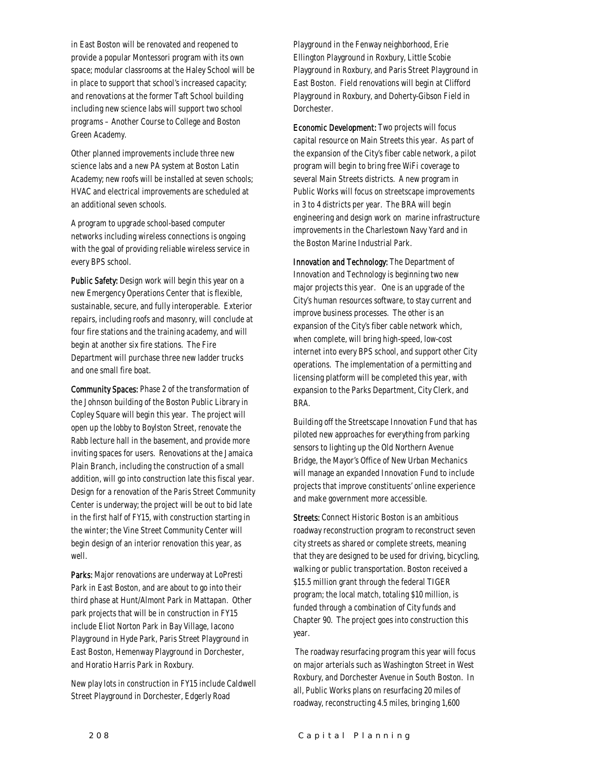in East Boston will be renovated and reopened to provide a popular Montessori program with its own space; modular classrooms at the Haley School will be in place to support that school's increased capacity; and renovations at the former Taft School building including new science labs will support two school programs – Another Course to College and Boston Green Academy.

Other planned improvements include three new science labs and a new PA system at Boston Latin Academy; new roofs will be installed at seven schools; HVAC and electrical improvements are scheduled at an additional seven schools.

A program to upgrade school-based computer networks including wireless connections is ongoing with the goal of providing reliable wireless service in every BPS school.

Public Safety: Design work will begin this year on a new Emergency Operations Center that is flexible, sustainable, secure, and fully interoperable. Exterior repairs, including roofs and masonry, will conclude at four fire stations and the training academy, and will begin at another six fire stations. The Fire Department will purchase three new ladder trucks and one small fire boat.

Community Spaces: Phase 2 of the transformation of the Johnson building of the Boston Public Library in Copley Square will begin this year. The project will open up the lobby to Boylston Street, renovate the Rabb lecture hall in the basement, and provide more inviting spaces for users. Renovations at the Jamaica Plain Branch, including the construction of a small addition, will go into construction late this fiscal year. Design for a renovation of the Paris Street Community Center is underway; the project will be out to bid late in the first half of FY15, with construction starting in the winter; the Vine Street Community Center will begin design of an interior renovation this year, as well.

Parks: Major renovations are underway at LoPresti Park in East Boston, and are about to go into their third phase at Hunt/Almont Park in Mattapan. Other park projects that will be in construction in FY15 include Eliot Norton Park in Bay Village, Iacono Playground in Hyde Park, Paris Street Playground in East Boston, Hemenway Playground in Dorchester, and Horatio Harris Park in Roxbury.

New play lots in construction in FY15 include Caldwell Street Playground in Dorchester, Edgerly Road

Playground in the Fenway neighborhood, Erie Ellington Playground in Roxbury, Little Scobie Playground in Roxbury, and Paris Street Playground in East Boston. Field renovations will begin at Clifford Playground in Roxbury, and Doherty-Gibson Field in Dorchester.

Economic Development: Two projects will focus capital resource on Main Streets this year. As part of the expansion of the City's fiber cable network, a pilot program will begin to bring free WiFi coverage to several Main Streets districts. A new program in Public Works will focus on streetscape improvements in 3 to 4 districts per year. The BRA will begin engineering and design work on marine infrastructure improvements in the Charlestown Navy Yard and in the Boston Marine Industrial Park.

Innovation and Technology: The Department of Innovation and Technology is beginning two new major projects this year. One is an upgrade of the City's human resources software, to stay current and improve business processes. The other is an expansion of the City's fiber cable network which, when complete, will bring high-speed, low-cost internet into every BPS school, and support other City operations. The implementation of a permitting and licensing platform will be completed this year, with expansion to the Parks Department, City Clerk, and BRA.

Building off the Streetscape Innovation Fund that has piloted new approaches for everything from parking sensors to lighting up the Old Northern Avenue Bridge, the Mayor's Office of New Urban Mechanics will manage an expanded Innovation Fund to include projects that improve constituents' online experience and make government more accessible.

Streets: Connect Historic Boston is an ambitious roadway reconstruction program to reconstruct seven city streets as shared or complete streets, meaning that they are designed to be used for driving, bicycling, walking or public transportation. Boston received a \$15.5 million grant through the federal TIGER program; the local match, totaling \$10 million, is funded through a combination of City funds and Chapter 90. The project goes into construction this year.

 The roadway resurfacing program this year will focus on major arterials such as Washington Street in West Roxbury, and Dorchester Avenue in South Boston. In all, Public Works plans on resurfacing 20 miles of roadway, reconstructing 4.5 miles, bringing 1,600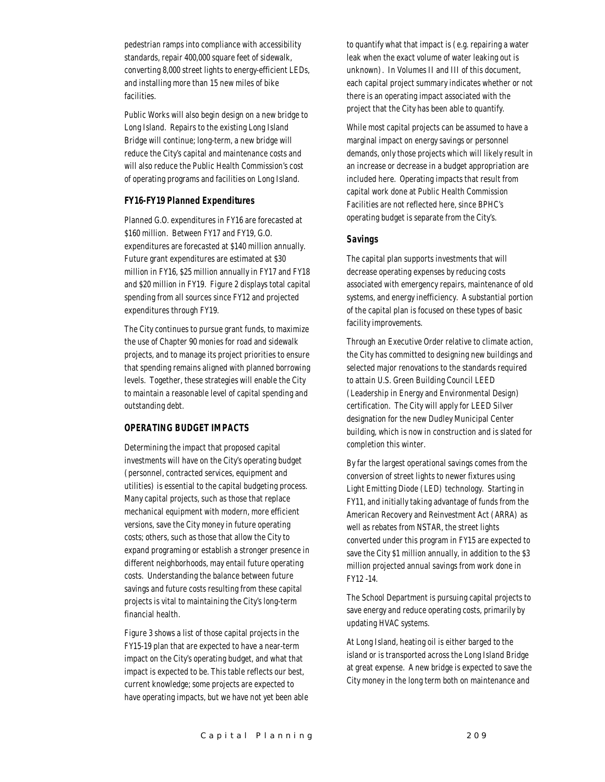pedestrian ramps into compliance with accessibility standards, repair 400,000 square feet of sidewalk, converting 8,000 street lights to energy-efficient LEDs, and installing more than 15 new miles of bike facilities.

Public Works will also begin design on a new bridge to Long Island. Repairs to the existing Long Island Bridge will continue; long-term, a new bridge will reduce the City's capital and maintenance costs and will also reduce the Public Health Commission's cost of operating programs and facilities on Long Island.

#### *FY16-FY19 Planned Expenditures*

Planned G.O. expenditures in FY16 are forecasted at \$160 million. Between FY17 and FY19, G.O. expenditures are forecasted at \$140 million annually. Future grant expenditures are estimated at \$30 million in FY16, \$25 million annually in FY17 and FY18 and \$20 million in FY19. Figure 2 displays total capital spending from all sources since FY12 and projected expenditures through FY19.

The City continues to pursue grant funds, to maximize the use of Chapter 90 monies for road and sidewalk projects, and to manage its project priorities to ensure that spending remains aligned with planned borrowing levels. Together, these strategies will enable the City to maintain a reasonable level of capital spending and outstanding debt.

#### *OPERATING BUDGET IMPACTS*

Determining the impact that proposed capital investments will have on the City's operating budget (personnel, contracted services, equipment and utilities) is essential to the capital budgeting process. Many capital projects, such as those that replace mechanical equipment with modern, more efficient versions, save the City money in future operating costs; others, such as those that allow the City to expand programing or establish a stronger presence in different neighborhoods, may entail future operating costs. Understanding the balance between future savings and future costs resulting from these capital projects is vital to maintaining the City's long-term financial health.

Figure 3 shows a list of those capital projects in the FY15-19 plan that are expected to have a near-term impact on the City's operating budget, and what that impact is expected to be. This table reflects our best, current knowledge; some projects are expected to have operating impacts, but we have not yet been able to quantify what that impact is (e.g. repairing a water leak when the exact volume of water leaking out is unknown). In Volumes II and III of this document, each capital project summary indicates whether or not there is an operating impact associated with the project that the City has been able to quantify.

While most capital projects can be assumed to have a marginal impact on energy savings or personnel demands, only those projects which will likely result in an increase or decrease in a budget appropriation are included here. Operating impacts that result from capital work done at Public Health Commission Facilities are not reflected here, since BPHC's operating budget is separate from the City's.

#### *Savings*

The capital plan supports investments that will decrease operating expenses by reducing costs associated with emergency repairs, maintenance of old systems, and energy inefficiency. A substantial portion of the capital plan is focused on these types of basic facility improvements.

Through an Executive Order relative to climate action, the City has committed to designing new buildings and selected major renovations to the standards required to attain U.S. Green Building Council LEED (Leadership in Energy and Environmental Design) certification. The City will apply for LEED Silver designation for the new Dudley Municipal Center building, which is now in construction and is slated for completion this winter.

By far the largest operational savings comes from the conversion of street lights to newer fixtures using Light Emitting Diode (LED) technology. Starting in FY11, and initially taking advantage of funds from the American Recovery and Reinvestment Act (ARRA) as well as rebates from NSTAR, the street lights converted under this program in FY15 are expected to save the City \$1 million annually, in addition to the \$3 million projected annual savings from work done in FY12 -14.

The School Department is pursuing capital projects to save energy and reduce operating costs, primarily by updating HVAC systems.

At Long Island, heating oil is either barged to the island or is transported across the Long Island Bridge at great expense. A new bridge is expected to save the City money in the long term both on maintenance and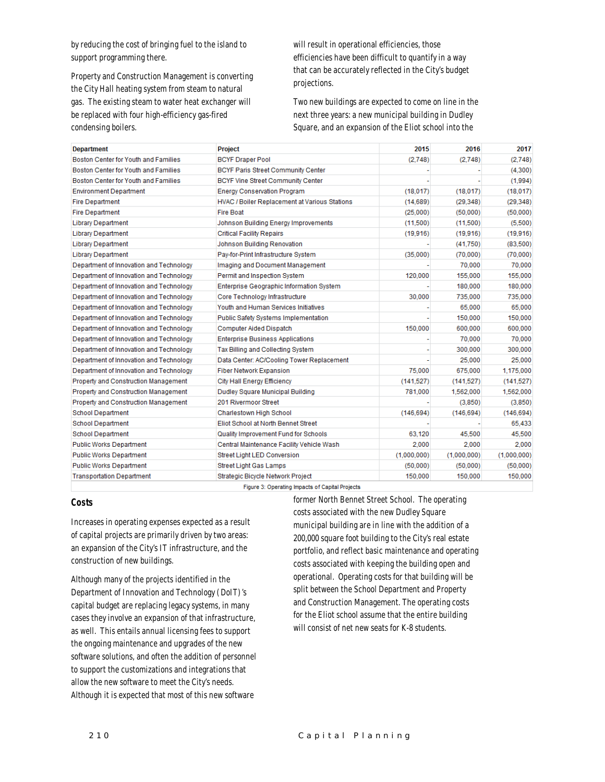by reducing the cost of bringing fuel to the island to support programming there.

Property and Construction Management is converting the City Hall heating system from steam to natural gas. The existing steam to water heat exchanger will be replaced with four high-efficiency gas-fired condensing boilers.

will result in operational efficiencies, those efficiencies have been difficult to quantify in a way that can be accurately reflected in the City's budget projections.

Two new buildings are expected to come on line in the next three years: a new municipal building in Dudley Square, and an expansion of the Eliot school into the

| <b>Department</b>                       | <b>Project</b>                                       | 2015        | 2016        | 2017        |
|-----------------------------------------|------------------------------------------------------|-------------|-------------|-------------|
| Boston Center for Youth and Families    | <b>BCYF Draper Pool</b>                              | (2.748)     | (2.748)     | (2.748)     |
| Boston Center for Youth and Families    | <b>BCYF Paris Street Community Center</b>            |             |             | (4,300)     |
| Boston Center for Youth and Families    | <b>BCYF Vine Street Community Center</b>             |             |             | (1,994)     |
| <b>Environment Department</b>           | <b>Energy Conservation Program</b>                   | (18,017)    | (18,017)    | (18, 017)   |
| <b>Fire Department</b>                  | <b>HVAC / Boiler Replacement at Various Stations</b> | (14.689)    | (29.348)    | (29, 348)   |
| <b>Fire Department</b>                  | <b>Fire Boat</b>                                     | (25,000)    | (50,000)    | (50,000)    |
| <b>Library Department</b>               | Johnson Building Energy Improvements                 | (11,500)    | (11.500)    | (5,500)     |
| <b>Library Department</b>               | <b>Critical Facility Repairs</b>                     | (19,916)    | (19, 916)   | (19, 916)   |
| <b>Library Department</b>               | Johnson Building Renovation                          |             | (41.750)    | (83,500)    |
| <b>Library Department</b>               | Pay-for-Print Infrastructure System                  | (35,000)    | (70,000)    | (70,000)    |
| Department of Innovation and Technology | Imaging and Document Management                      |             | 70,000      | 70,000      |
| Department of Innovation and Technology | Permit and Inspection System                         | 120,000     | 155,000     | 155,000     |
| Department of Innovation and Technology | <b>Enterprise Geographic Information System</b>      |             | 180,000     | 180,000     |
| Department of Innovation and Technology | Core Technology Infrastructure                       | 30,000      | 735,000     | 735,000     |
| Department of Innovation and Technology | Youth and Human Services Initiatives                 |             | 65,000      | 65,000      |
| Department of Innovation and Technology | Public Safety Systems Implementation                 |             | 150,000     | 150,000     |
| Department of Innovation and Technology | Computer Aided Dispatch                              | 150,000     | 600,000     | 600,000     |
| Department of Innovation and Technology | <b>Enterprise Business Applications</b>              |             | 70,000      | 70,000      |
| Department of Innovation and Technology | Tax Billing and Collecting System                    |             | 300,000     | 300,000     |
| Department of Innovation and Technology | Data Center: AC/Cooling Tower Replacement            |             | 25,000      | 25,000      |
| Department of Innovation and Technology | Fiber Network Expansion                              | 75,000      | 675,000     | 1,175,000   |
| Property and Construction Management    | City Hall Energy Efficiency                          | (141, 527)  | (141, 527)  | (141, 527)  |
| Property and Construction Management    | Dudley Square Municipal Building                     | 781,000     | 1,562,000   | 1,562,000   |
| Property and Construction Management    | 201 Rivermoor Street                                 |             | (3,850)     | (3,850)     |
| <b>School Department</b>                | Charlestown High School                              | (146, 694)  | (146.694)   | (146, 694)  |
| <b>School Department</b>                | Eliot School at North Bennet Street                  |             |             | 65.433      |
| <b>School Department</b>                | Quality Improvement Fund for Schools                 | 63,120      | 45,500      | 45,500      |
| <b>Public Works Department</b>          | Central Maintenance Facility Vehicle Wash            | 2.000       | 2.000       | 2.000       |
| <b>Public Works Department</b>          | Street Light LED Conversion                          | (1,000,000) | (1,000,000) | (1,000,000) |
| <b>Public Works Department</b>          | Street Light Gas Lamps                               | (50,000)    | (50,000)    | (50,000)    |
| <b>Transportation Department</b>        | Strategic Bicycle Network Project                    | 150,000     | 150,000     | 150,000     |
|                                         | Figure 3: Operating Impacts of Capital Projects      |             |             |             |

#### *Costs*

Increases in operating expenses expected as a result of capital projects are primarily driven by two areas: an expansion of the City's IT infrastructure, and the construction of new buildings.

Although many of the projects identified in the Department of Innovation and Technology (DoIT)'s capital budget are replacing legacy systems, in many cases they involve an expansion of that infrastructure, as well. This entails annual licensing fees to support the ongoing maintenance and upgrades of the new software solutions, and often the addition of personnel to support the customizations and integrations that allow the new software to meet the City's needs. Although it is expected that most of this new software

former North Bennet Street School. The operating costs associated with the new Dudley Square municipal building are in line with the addition of a 200,000 square foot building to the City's real estate portfolio, and reflect basic maintenance and operating costs associated with keeping the building open and operational. Operating costs for that building will be split between the School Department and Property and Construction Management. The operating costs for the Eliot school assume that the entire building will consist of net new seats for K-8 students.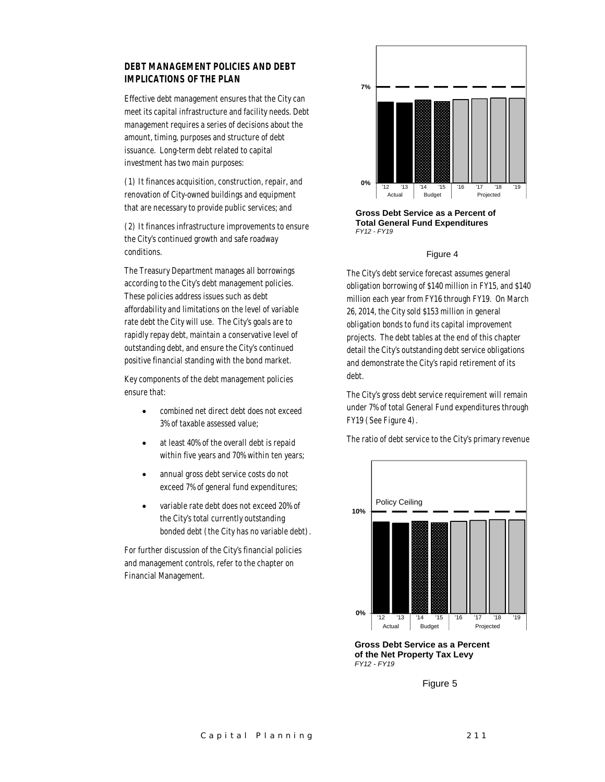#### *DEBT MANAGEMENT POLICIES AND DEBT IMPLICATIONS OF THE PLAN*

Effective debt management ensures that the City can meet its capital infrastructure and facility needs. Debt management requires a series of decisions about the amount, timing, purposes and structure of debt issuance. Long-term debt related to capital investment has two main purposes:

(1) It finances acquisition, construction, repair, and renovation of City-owned buildings and equipment that are necessary to provide public services; and

(2) It finances infrastructure improvements to ensure the City's continued growth and safe roadway conditions.

The Treasury Department manages all borrowings according to the City's debt management policies. These policies address issues such as debt affordability and limitations on the level of variable rate debt the City will use. The City's goals are to rapidly repay debt, maintain a conservative level of outstanding debt, and ensure the City's continued positive financial standing with the bond market.

Key components of the debt management policies ensure that:

- combined net direct debt does not exceed 3% of taxable assessed value;
- at least 40% of the overall debt is repaid within five years and 70% within ten years;
- annual gross debt service costs do not exceed 7% of general fund expenditures;
- variable rate debt does not exceed 20% of the City's total currently outstanding bonded debt (the City has no variable debt).

For further discussion of the City's financial policies and management controls, refer to the chapter on Financial Management.



**Gross Debt Service as a Percent of Total General Fund Expenditures** *FY12 - FY19*

#### Figure 4

The City's debt service forecast assumes general obligation borrowing of \$140 million in FY15, and \$140 million each year from FY16 through FY19. On March 26, 2014, the City sold \$153 million in general obligation bonds to fund its capital improvement projects. The debt tables at the end of this chapter detail the City's outstanding debt service obligations and demonstrate the City's rapid retirement of its debt.

The City's gross debt service requirement will remain under 7% of total General Fund expenditures through FY19 (See Figure 4).

The ratio of debt service to the City's primary revenue



**Gross Debt Service as a Percent of the Net Property Tax Levy** *FY12 - FY19*

Figure 5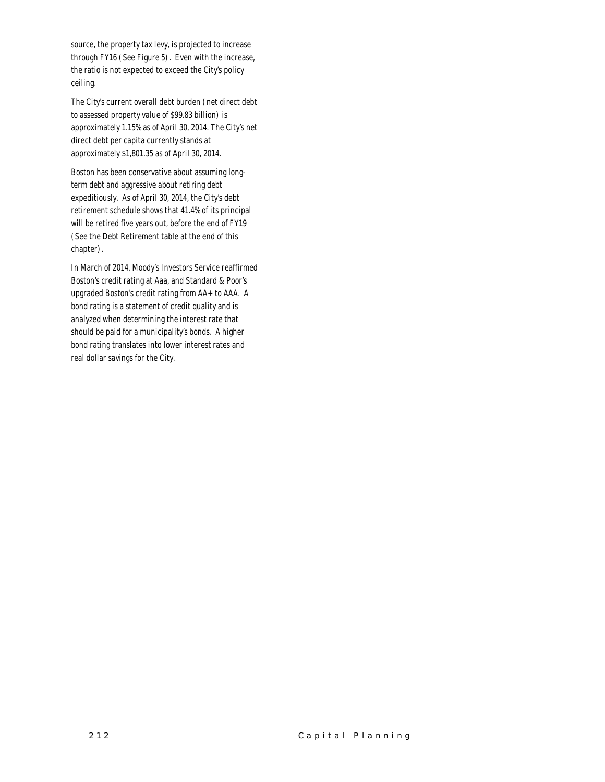source, the property tax levy, is projected to increase through FY16 (See Figure 5). Even with the increase, the ratio is not expected to exceed the City's policy ceiling.

The City's current overall debt burden (net direct debt to assessed property value of \$99.83 billion) is approximately 1.15% as of April 30, 2014. The City's net direct debt per capita currently stands at approximately \$1,801.35 as of April 30, 2014.

Boston has been conservative about assuming longterm debt and aggressive about retiring debt expeditiously. As of April 30, 2014, the City's debt retirement schedule shows that 41.4% of its principal will be retired five years out, before the end of FY19 (See the Debt Retirement table at the end of this chapter).

In March of 2014, Moody's Investors Service reaffirmed Boston's credit rating at Aaa, and Standard & Poor's upgraded Boston's credit rating from AA+ to AAA. A bond rating is a statement of credit quality and is analyzed when determining the interest rate that should be paid for a municipality's bonds. A higher bond rating translates into lower interest rates and real dollar savings for the City.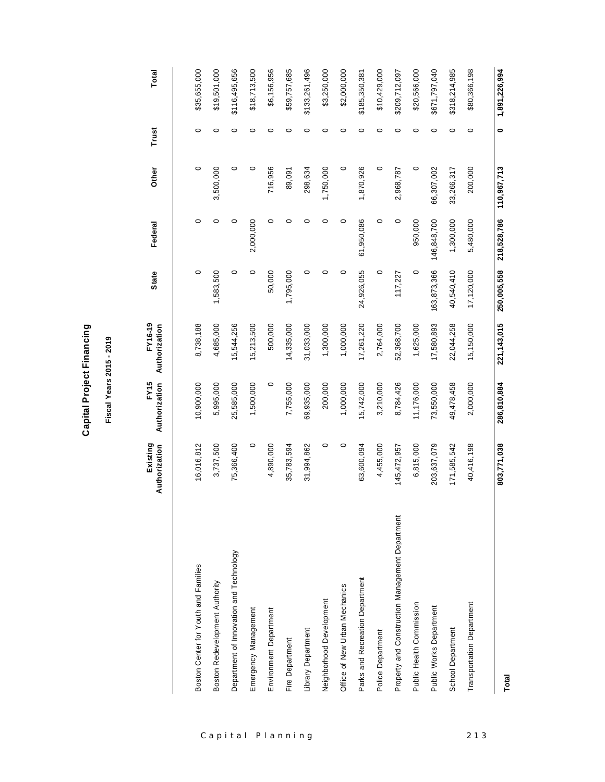| ත |
|---|
|   |
|   |
|   |
| ٤ |
| ī |
| l |
|   |
| Ú |
|   |
|   |
| ¢ |
|   |
|   |
|   |
|   |
|   |
|   |
|   |
|   |
|   |
| ī |
| ť |
|   |
|   |

# Fiscal Years 2015 - 2019 **Fiscal Years 2015 - 2019**

**FY16-19** 

FY16-19

**FY15** 

**Existing** 

|                                                 | Existing<br>Authorization | Authorization<br>FY15 | FY16-19<br>Authorization | <b>State</b> | Federal     | Other       | Trust | Total         |
|-------------------------------------------------|---------------------------|-----------------------|--------------------------|--------------|-------------|-------------|-------|---------------|
|                                                 |                           |                       |                          |              |             |             |       |               |
| Boston Center for Youth and Families            | 16,016,812                | 10,900,000            | 8,738,188                | 0            | $\circ$     | $\circ$     | 0     | \$35,655,000  |
| Boston Redevelopment Authority                  | 3,737,500                 | 5,995,000             | 4,685,000                | 1,583,500    | 0           | 3,500,000   | 0     | \$19,501,000  |
| Department of Innovation and Technology         | 75,366,400                | 25,585,000            | 15,544,256               | $\circ$      | 0           | $\circ$     | 0     | \$116,495,656 |
| Emergency Management                            | $\circ$                   | 1,500,000             | 15,213,500               | 0            | 2,000,000   | $\circ$     | 0     | \$18,713,500  |
| Environment Department                          | 4,890,000                 | $\circ$               | 500,000                  | 50,000       | 0           | 716,956     | 0     | \$6,156,956   |
| Fire Department                                 | 35,783,594                | 7,755,000             | 14,335,000               | 1,795,000    | 0           | 89,091      | 0     | \$59,757,685  |
| Library Department                              | 31,994,862                | 69,935,000            | 31,033,000               | 0            | 0           | 298,634     | 0     | \$133,261,496 |
| Neighborhood Development                        | $\circ$                   | 200,000               | 1,300,000                | 0            | $\circ$     | 1,750,000   | 0     | \$3,250,000   |
| Office of New Urban Mechanics                   | $\circ$                   | 1,000,000             | 1,000,000                | 0            | 0           | 0           | 0     | \$2,000,000   |
| Parks and Recreation Department                 | 63,600,094                | 15,742,000            | 17,261,220               | 24,926,055   | 61,950,086  | 1,870,926   | 0     | \$185,350,381 |
| Police Department                               | 4,455,000                 | 3,210,000             | 2,764,000                | $\circ$      | $\circ$     | $\circ$     | 0     | \$10,429,000  |
| Property and Construction Management Department | 145,472,957               | 8,784,426             | 52,368,700               | 117,227      | 0           | 2,968,787   | 0     | \$209,712,097 |
| Public Health Commission                        | 6,815,000                 | 11,176,000            | 1,625,000                | $\circ$      | 950,000     | $\circ$     | 0     | \$20,566,000  |
| Public Works Department                         | 203,637,079               | 73,550,000            | 17,580,893               | 163,873,366  | 146,848,700 | 66,307,002  | 0     | \$671,797,040 |
| School Department                               | 171,585,542               | 49, 478, 458          | 22,044,258               | 40,540,410   | 1,300,000   | 33,266,317  | 0     | \$318,214,985 |
| Transportation Department                       | 40,416,198                | 2,000,000             | 15,150,000               | 17,120,000   | 5,480,000   | 200,000     | 0     | \$80,366,198  |
|                                                 |                           |                       |                          |              |             |             |       |               |
| Total                                           | 803,771,038               | 286,810,884           | 221, 143, 015            | 250,005,558  | 218,528,786 | 110,967,713 | 0     | 1,891,226,994 |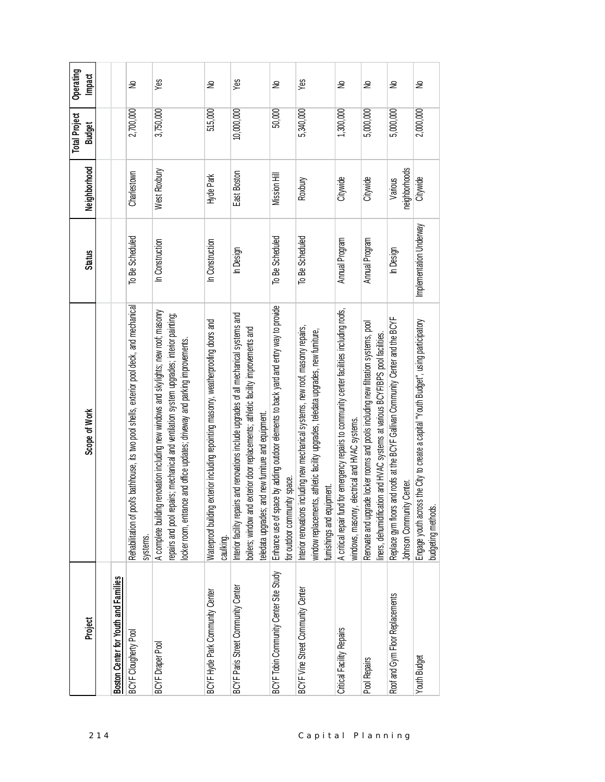|                  | Project                                | Scope of Work                                                                                                                                                                                                                                                        | <b>Status</b>           | Neighborhood             | <b>Total Project</b><br><b>Budget</b> | Operating<br><b>Impact</b> |
|------------------|----------------------------------------|----------------------------------------------------------------------------------------------------------------------------------------------------------------------------------------------------------------------------------------------------------------------|-------------------------|--------------------------|---------------------------------------|----------------------------|
| 214              |                                        |                                                                                                                                                                                                                                                                      |                         |                          |                                       |                            |
|                  | Boston Center for Youth and Families   |                                                                                                                                                                                                                                                                      |                         |                          |                                       |                            |
|                  | BCYF Clougherty Pool                   | Rehabilitation of pool's bathhouse, its two pool shells, exterior pool deck, and mechanical<br>systems.                                                                                                                                                              | To Be Scheduled         | Charlestown              | 2,700,000                             | ₽                          |
|                  | <b>BCYF</b> Draper Pool                | renovation including new windows and skylights; new roof; masonry<br>repairs and pool repairs; mechanical and ventilation system upgrades; interior painting;<br>locker room, entrance and office updates; driveway and parking improvements.<br>A complete building | In Construction         | West Roxbury             | 3,750,000                             | Yes                        |
|                  | BCYF Hyde Park Community Center        | exterior including repointing masonry, weatherproofing doors and<br>Waterproof building<br>caulking.                                                                                                                                                                 | In Construction         | Hyde Park                | 515,000                               | ₽                          |
|                  | BCYF Paris Street Community Center     | Interior facility repairs and renovations include upgrades of all mechanical systems and<br>exterior door replacements; athletic facility improvements and<br>eledata upgrades; and new furniture and equipment.<br>boilers; window and                              | In Design               | East Boston              | 10,000,000                            | Yes                        |
|                  | BCYF Tobin Community Center Site Study | Enhance use of space by adding outdoor elements to back yard and entry way to provide<br>for outdoor community space.                                                                                                                                                | To Be Scheduled         | Mission Hill             | 50,000                                | ₽                          |
| Capital Planning | BCYF Vine Street Community Center      | Interior renovations including new mechanical systems, new roof, masonry repairs,<br>window replacements, athletic facility upgrades, teledata upgrades, new furniture,<br>furnishings and equipment                                                                 | To Be Scheduled         | Roxbury                  | 5,340,000                             | Yes                        |
|                  | Critical Facility Repairs              | A critical repair fund for emergency repairs to community center facilities including roofs,<br>windows, masonry, electrical and HVAC systems.                                                                                                                       | Annual Program          | Citywide                 | 1,300,000                             | ₽                          |
|                  | Pool Repairs                           | Renovate and upgrade locker rooms and pools including new filtration systems, pool<br>tion and HVAC systems at various BCYF/BPS pool facilities.<br>liners, dehumidificat                                                                                            | Annual Program          | Citywide                 | 5,000,000                             | ₽                          |
|                  | Roof and Gym Floor Replacements        | and roofs at the BCYF Gallivan Community Center and the BCYF<br>Johnson Community Center.<br>Replace gym floors                                                                                                                                                      | In Design               | neighborhoods<br>Various | 5,000,000                             | S                          |
|                  | <b>Youth Budget</b>                    | Engage youth across the City to create a capital "Youth Budget", using participatory<br>budgeting methods.                                                                                                                                                           | Implementation Underway | Citywide                 | 2,000,000                             | ₽                          |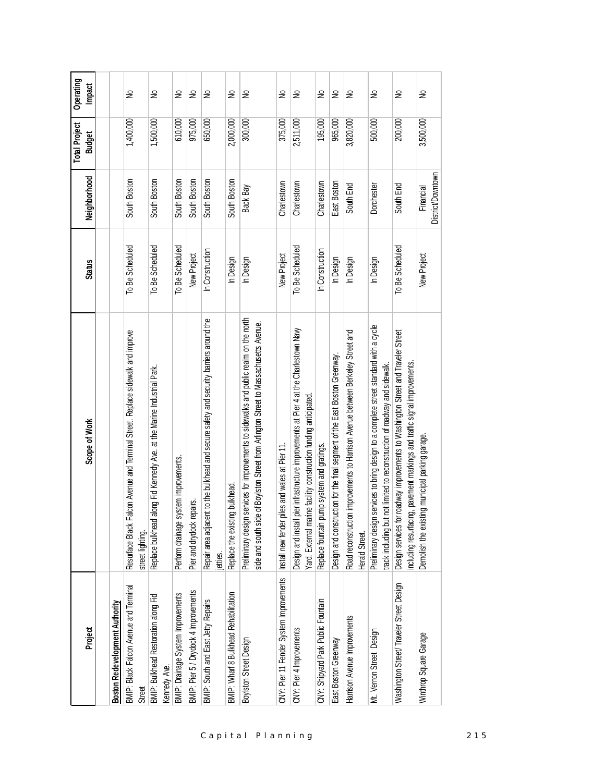| Project                                                 | Scope of Work                                                                                                                                                                          | <b>Status</b>   | Neighborhood                   | <b>Total Project</b><br><b>Budget</b> | Operating<br>Impact |
|---------------------------------------------------------|----------------------------------------------------------------------------------------------------------------------------------------------------------------------------------------|-----------------|--------------------------------|---------------------------------------|---------------------|
|                                                         |                                                                                                                                                                                        |                 |                                |                                       |                     |
| Boston Redevelopment Authority                          |                                                                                                                                                                                        |                 |                                |                                       |                     |
| BMIP: Black Falcon Avenue and Terminal<br><b>Street</b> | Resurface Black Falcon Avenue and Terminal Street. Replace sidewalk and improve<br>street lighting.                                                                                    | To Be Scheduled | South Boston                   | 1,400,000                             | ₽                   |
| BMIP: Bulkhead Restoration along Fid<br>Kennedy Ave.    | Replace bulkhead along Fid Kennedy Ave. at the Marine Industrial Park.                                                                                                                 | To Be Scheduled | South Boston                   | 1,500,000                             | ş                   |
| BMIP: Drainage System Improvements                      | Perform drainage system improvements.                                                                                                                                                  | To Be Scheduled | South Boston                   | 610,000                               | ş                   |
| BMIP: Pier 5 / Drydock 4 Improvements                   | Pier and drydock repairs.                                                                                                                                                              | New Project     | South Boston                   | 975,000                               | ş                   |
| BMIP: South and East Jetty Repairs                      | Repair area adjacent to the bulkhead and secure safety and security barriers around the<br>jetties.                                                                                    | In Construction | South Boston                   | 650,000                               | ş                   |
| BMIP: Wharf 8 Bulkhead Rehabilitation                   | Replace the existing bulkhead.                                                                                                                                                         | In Design       | South Boston                   | 2,000,000                             | ş                   |
| Boylston Street Design                                  | services for improvements to sidewalks and public realm on the north<br>of Boylston Street from Arlington Street to Massachusetts Avenue.<br>side and south side<br>Preliminary design | In Design       | Back Bay                       | 300,000                               | ş                   |
| CNY: Pier 11 Fender System Improvements                 | iles and wales at Pier 11.<br>Install new fender p                                                                                                                                     | New Project     | Charlestown                    | 375,000                               | ş                   |
| CNY: Pier 4 Improvements                                | vier infrastructure improvements at Pier 4 at the Charlestown Navy<br>ine facility construction funding anticipated<br>Design and install p<br>Yard. External mari                     | To Be Scheduled | Charlestown                    | 2,511,000                             | ş                   |
| CNY: Shipyard Park Public Fountain                      | Replace fountain pump system and gratings.                                                                                                                                             | In Construction | Charlestown                    | 195,000                               | ş                   |
| East Boston Greenway                                    | Design and construction for the final segment of the East Boston Greenway.                                                                                                             | In Design       | East Boston                    | 965,000                               | ş                   |
| Harrison Avenue Improvements                            | Road reconstruction improvements to Harrison Avenue between Berkeley Street and<br>Herald Street.                                                                                      | In Design       | South End                      | 3,820,000                             | ₽                   |
| Mt. Vemon Street Design                                 | services to bring design to a complete street standard with a cycle<br>not limited to reconstruction of roadway and sidewalk.<br>track including but<br>Preliminary design             | In Design       | Dorchester                     | 500,000                               | ş                   |
| Washington Street/Traveler Street Design                | Design services for roadway improvements to Washington Street and Traveler Street<br>including resurfacing, pavement markings and traffic signal improvements.                         | To Be Scheduled | South End                      | 200,000                               | ş                   |
| Winthrop Square Garage                                  | ing municipal parking garage.<br>Demolish the exist                                                                                                                                    | New Project     | District/Downtown<br>Financial | 3,500,000                             | ⋛                   |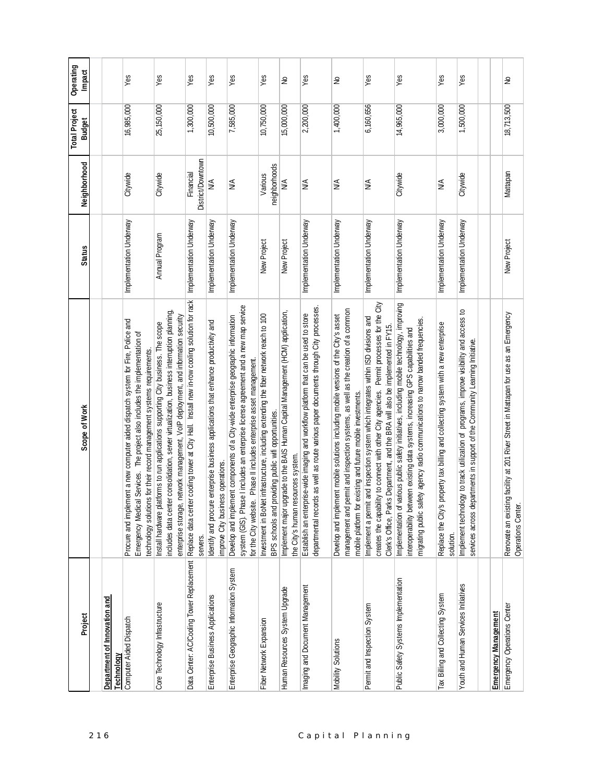|                                            |                                                                                                                                                                                                                                                                          |                         |                                | <b>Total Project</b> | Operating |
|--------------------------------------------|--------------------------------------------------------------------------------------------------------------------------------------------------------------------------------------------------------------------------------------------------------------------------|-------------------------|--------------------------------|----------------------|-----------|
| Project                                    | Scope of Work                                                                                                                                                                                                                                                            | <b>Status</b>           | Neighborhood                   | <b>Budget</b>        | Impact    |
| Department of Innovation and<br>Technology |                                                                                                                                                                                                                                                                          |                         |                                |                      |           |
| Computer Aided Dispatch                    | Procure and implement a new computer aided dispatch system for Fire, Police and<br>I Services. The project also includes the implementation of<br>technology solutions for their record management systems requirements.<br>Emergency Medica                             | Implementation Underway | Citywide                       | 16,985,000           | Yes       |
| Core Technology Infrastructure             | includes data center consolidation, server virtualization, business interruption planning,<br>network management, VoIP deployment, and information security<br>Install hardware platforms to run applications supporting City business. The scope<br>enterprise storage, | Annual Program          | Citywide                       | 25,150,000           | Yes       |
| Data Center: AC/Cooling Tower Replacement  | Replace data center cooling tower at City Hall. Install new in-row cooling solution for rack<br>servers.                                                                                                                                                                 | Implementation Underway | District/Downtown<br>Financial | 1,300,000            | Yes       |
| Enterprise Business Applications           | enterprise business applications that enhance productivity and<br>improve City business operations.<br>Identify and procure                                                                                                                                              | Implementation Underway | ≸                              | 10,500,000           | Yes       |
| Enterprise Geographic Information System   | system (GIS). Phase I includes an enterprise license agreement and a new map service<br>Develop and implement components of a City-wide enterprise geographic information<br>for the City website. Phase II includes enterprise asset management.                        | Implementation Underway | ≸                              | 7,585,000            | Yes       |
| Fiber Network Expansion                    | Investment in BoNet infrastructure, including extending the fiber network reach to 100<br>BPS schools and providing public wifi opportunities.                                                                                                                           | New Project             | neighborhoods<br>Various       | 10,750,000           | Yes       |
| Human Resources System Upgrade             | Implement major upgrade to the BAIS Human Capital Management (HCM) application,<br>the City's human resources system.                                                                                                                                                    | New Project             | ≸                              | 15,000,000           | S         |
| Imaging and Document Management            | departmental records as well as route various paper documents through City processes<br>Establish an enterprise-wide imaging and workflow platform that can be used to store                                                                                             | Implementation Underway | ≸                              | 2,200,000            | Yes       |
| Mobility Solutions                         | management and permit and inspection systems, as well as the creation of a common<br>Develop and implement mobile solutions including mobile versions of the City's asset<br>existing and future mobile investments.<br>mobile platform for                              | Implementation Underway | ≸                              | 1,400,000            | S         |
| Permit and Inspection System               | Permit processes for the City<br>Implement a permit and inspection system which integrates within ISD divisions and<br>Clerk's Office, Parks Department, and the BRA will also be implemented in FY15.<br>creates the capability to connect with other City agencies.    | Implementation Underway | $\frac{4}{2}$                  | 6,160,656            | Yes       |
| Public Safety Systems Implementation       | Implementation of various public safety initiatives, including mobile technology, improving<br>migrating public safety agency radio communications to narrow banded frequencies<br>interoperability between existing data systems, increasing GPS capabilities and       | Implementation Underway | Citywide                       | 14,965,000           | Yes       |
| Tax Billing and Collecting System          | property tax billing and collecting system with a new enterprise<br>Replace the City's<br>solution.                                                                                                                                                                      | Implementation Underway | ≸                              | 3,000,000            | Yes       |
| Youth and Human Services Initiatives       | Implement technology to track utilization of programs, improve visibility and access to<br>services across departments in support of the Community Learning Initiative.                                                                                                  | Implementation Underway | Citywide                       | 1,500,000            | Yes       |
| Emergency Management                       |                                                                                                                                                                                                                                                                          |                         |                                |                      |           |
| Emergency Operations Center                | Renovate an existing facility at 201 River Street in Mattapan for use as an Emergency<br>Operations Center.                                                                                                                                                              | New Project             | Mattapan                       | 18,713,500           | ₹         |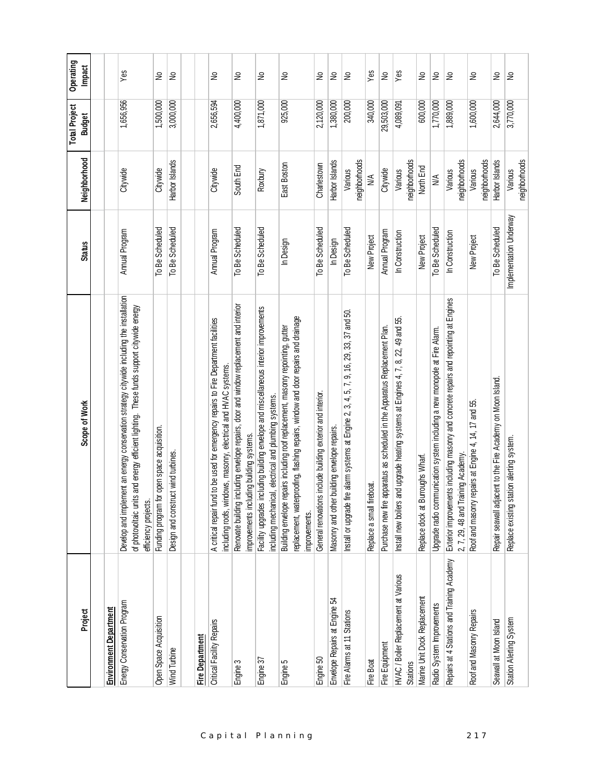| Project                                                 | Scope of Work                                                                                                                                                                                                         | <b>Status</b>           | Neighborhood             | <b>Total Project</b><br><b>Budget</b> | Operating<br><b>Impact</b> |
|---------------------------------------------------------|-----------------------------------------------------------------------------------------------------------------------------------------------------------------------------------------------------------------------|-------------------------|--------------------------|---------------------------------------|----------------------------|
|                                                         |                                                                                                                                                                                                                       |                         |                          |                                       |                            |
| <b>Environment Department</b>                           |                                                                                                                                                                                                                       |                         |                          |                                       |                            |
| Energy Conservation Program                             | nent an energy conservation strategy citywide including the installation<br>and energy efficient lighting. These funds support citywide energy<br>of photovoltaic units<br>Develop and implem<br>efficiency projects. | Annual Program          | Citywide                 | 1,656,956                             | Yes                        |
| Open Space Acquisition                                  | open space acquisition.<br>Funding program for                                                                                                                                                                        | To Be Scheduled         | Citywide                 | 1,500,000                             | S                          |
| Wind Turbine                                            | Design and construct wind turbines.                                                                                                                                                                                   | To Be Scheduled         | Harbor Islands           | 3,000,000                             | £                          |
| Fire Department                                         |                                                                                                                                                                                                                       |                         |                          |                                       |                            |
| Critical Facility Repairs                               | to be used for emergency repairs to Fire Department facilities<br>including roofs, windows, masonry, electrical and HVAC systems.<br>A critical repair fund                                                           | Annual Program          | Citywide                 | 2,656,594                             | S                          |
| Engine 3                                                | Renovate building including envelope repairs, door and window replacement and interior<br>improvements including building systems.                                                                                    | To Be Scheduled         | South End                | 4,400,000                             | S                          |
| Engine 37                                               | Facility upgrades including building envelope and miscellaneous interior improvements<br>including mechanical, electrical and plumbing systems.                                                                       | To Be Scheduled         | Roxbury                  | 1,871,000                             | ş                          |
| Engine 5                                                | replacement, waterproofing, flashing repairs, window and door repairs and drainage<br>Building envelope repairs including roof replacement, masonry repointing, gutter<br>improvements.                               | In Design               | East Boston              | 925,000                               | S                          |
| Engine 50                                               | include building exterior and interior.<br>General renovations                                                                                                                                                        | To Be Scheduled         | Charlestown              | 2,120,000                             | ş                          |
| Envelope Repairs at Engine 54                           | building envelope repairs.<br>Masonry and other                                                                                                                                                                       | In Design               | Harbor Islands           | 1,380,000                             | $\gtrless$                 |
| Fire Alarms at 11 Stations                              | Install or upgrade fire alarm systems at Engine 2, 3, 4, 5, 7, 9, 16, 29, 33, 37 and 50.                                                                                                                              | To Be Scheduled         | neighborhoods<br>Various | 200,000                               | $\epsilon$                 |
| <b>Fire Boat</b>                                        | Replace a small fireboat                                                                                                                                                                                              | New Project             | ≸                        | 340,000                               | Yes                        |
| Fire Equipment                                          | Purchase new fire apparatus as scheduled in the Apparatus Replacement Plan.                                                                                                                                           | Annual Program          | Citywide                 | 29,503,000                            | $\geq$                     |
| HVAC / Boiler Replacement at Various<br><b>Stations</b> | Install new boilers and upgrade heating systems at Engines 4, 7, 8, 22, 49 and 55.                                                                                                                                    | In Construction         | neighborhoods<br>Various | 4,089,091                             | Yes                        |
| Marine Unit Dock Replacement                            | Replace dock at Burroughs Wharf.                                                                                                                                                                                      | New Project             | North End                | 600,000                               | £                          |
| Radio System Improvements                               | munication system including a new monopole at Fire Alam.<br>Upgrade radio com                                                                                                                                         | To Be Scheduled         | $\frac{4}{2}$            | 1,770,000                             | $\geq$                     |
| Repairs at 4 Stations and Training Academy              | Exterior improvements including masonry and concrete repairs and repointing at Engines<br>2, 7, 29, 48 and Training Academy                                                                                           | In Construction         | neighborhoods<br>Various | 1,889,000                             | $\tilde{z}$                |
| Roof and Masonry Repairs                                | Roof and masonry repairs at Engine 4, 14, 17 and 55.                                                                                                                                                                  | New Project             | neighborhoods<br>Various | 1,600,000                             | £                          |
| Seawall at Moon Island                                  | Repair seawall adjacent to the Fire Academy on Moon Island.                                                                                                                                                           | To Be Scheduled         | Harbor Islands           | 2,644,000                             | ş                          |
| Station Alerting System                                 | ation alerting system.<br>Replace existing sta                                                                                                                                                                        | Implementation Underway | neighborhoods<br>Various | 3,770,000                             | $\geq$                     |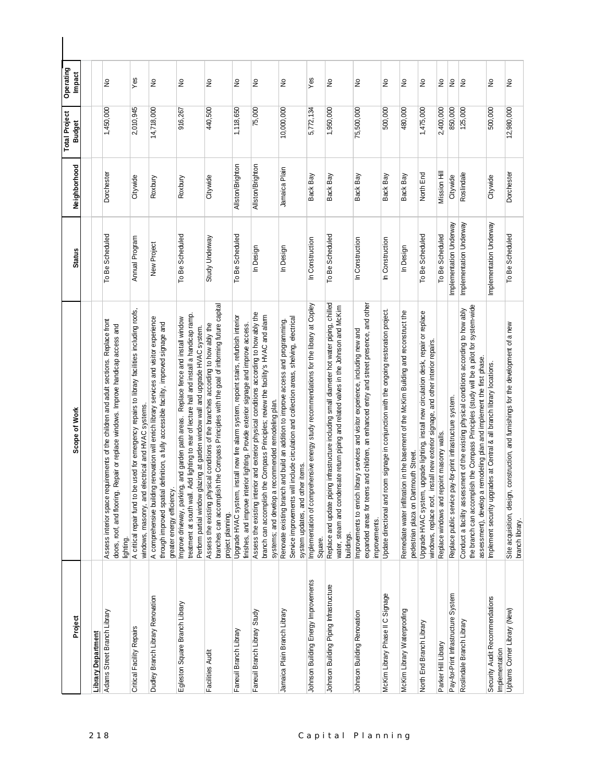| Project                                          | Scope of Work                                                                                                                                                                                                                                                     | <b>Status</b>           | Neighborhood     | <b>Total Project</b><br><b>Budget</b> | Operating<br>Impact |
|--------------------------------------------------|-------------------------------------------------------------------------------------------------------------------------------------------------------------------------------------------------------------------------------------------------------------------|-------------------------|------------------|---------------------------------------|---------------------|
|                                                  |                                                                                                                                                                                                                                                                   |                         |                  |                                       |                     |
| <b>Library Department</b>                        |                                                                                                                                                                                                                                                                   |                         |                  |                                       |                     |
| Adams Street Branch Library                      | Assess interior space requirements of the children and adult sections. Replace front<br>doors, roof, and flooring. Repair or replace windows. Improve handicap access and<br>lighting.                                                                            | To Be Scheduled         | Dorchester       | 1,450,000                             | ş                   |
| Critical Facility Repairs                        | A critical repair fund to be used for emergency repairs to library facilities including roofs,<br>windows, masonry, and electrical and HVAC systems                                                                                                               | Annual Program          | Citywide         | 2,010,945                             | Yes                 |
| Dudley Branch Library Renovation                 | A comprehensive building renovation will enrich library services and visitor experience<br>through improved spatial definition, a fully accessible facility, improved signage and<br>greater energy efficiency.                                                   | New Project             | Roxbury          | 14,718,000                            | $\geq$              |
| Egleston Square Branch Library                   | treatment at south wall. Add lighting to rear of lecture hall and install a handicap ramp.<br>Improve driveway, parking, and garden path areas. Replace fence and install window<br>Perform partial window glazing at garden window wall and upgrade HVAC system. | To Be Scheduled         | Roxbury          | 916,267                               | $\geq$              |
| Facilities Audit                                 | branches can accomplish the Compass Principles with the goal of informing future capital<br>Assess the existing physical conditions of the branches according to how ably the<br>project planning.                                                                | Study Underway          | Citywide         | 440,500                               | $\tilde{z}$         |
| Faneuil Branch Library                           | Upgrade HVAC system, install new fire alarm system, repoint stairs, refurbish interior<br>finishes, and improve interior lighting. Provide exterior signage and improve access.                                                                                   | To Be Scheduled         | Allston/Brighton | 1,118,650                             | S                   |
| Faneuil Branch Library Study                     | Assess the existing interior and exterior physical conditions according to how ably the<br>branch can accomplish the Compass Principles; review the facility's HVAC and alarm<br>systems; and develop a recommended remodeling plan.                              | In Design               | Allston/Brighton | 75,000                                | ş                   |
| Jamaica Plain Branch Library                     | Service improvements will include circulation and collection areas, shelving, electrical<br>Renovate existing branch and build an addition to improve access and programming.<br>system updates, and other items.                                                 | In Design               | Jamaica Plain    | 10,000,000                            | ş                   |
| Johnson Building Energy Improvements             | Implementation of comprehensive energy study recommendations for the library at Copley<br>Square.                                                                                                                                                                 | In Construction         | Back Bay         | 5,772,134                             | $\overline{Y}$ es   |
| Johnson Building Piping Infrastructure           | Replace and update piping infrastructure including small diameter hot water piping, chilled<br>water, steam and condensate return piping and related valves in the Johnson and McKim<br>buildings.                                                                | To Be Scheduled         | Back Bay         | 1,950,000                             | ş                   |
| Johnson Building Renovation                      | expanded areas for teens and children, an enhanced entry and street presence, and other<br>Improvements to enrich library services and visitor experience, including new and<br>improvements.                                                                     | In Construction         | Back Bay         | 75,500,000                            | ş                   |
| McKim Library Phase II C Signage                 | Update directional and room signage in conjunction with the ongoing restoration project.                                                                                                                                                                          | In Construction         | Back Bay         | 500,000                               | ş                   |
| McKim Library Waterproofing                      | tration in the basement of the McKim Building and reconstruct the<br>pedestrian plaza on Dartmouth Street.<br>Remediate water infil                                                                                                                               | In Design               | Back Bay         | 480,000                               | ş                   |
| North End Branch Library                         | Upgrade HVAC system, upgrade lighting, install new circulation desk, repair or replace<br>windows, replace roof, install new exterior signage, and other interior repairs.                                                                                        | To Be Scheduled         | North End        | 1,475,000                             | ş                   |
| Parker Hill Library                              | Replace windows and repoint masonry walls.                                                                                                                                                                                                                        | To Be Scheduled         | Mission Hill     | 2,400,000                             | ş                   |
| Pay-for-Print Infrastructure System              | Replace public service pay-for-print infrastructure system.                                                                                                                                                                                                       | Implementation Underway | Citywide         | 850,000                               | $\tilde{z}$         |
| Roslindale Branch Library                        | the branch can accomplish the Compass Principles (study will be a pilot for system-wide<br>Conduct a facility assessment of the existing physical conditions according to how ably<br>assessment), develop a remodeling plan and implement the first phase.       | Implementation Underway | Roslindale       | 125,000                               | ş                   |
| Security Audit Recommendations<br>Implementation | Implement security upgrades at Central & all branch library locations.                                                                                                                                                                                            | Implementation Underway | Citywide         | 500,000                               | ş                   |
| Uphams Corner Library (New)                      | ign, construction, and furnishings for the development of a new<br>Site acquisition, desi<br>branch library.                                                                                                                                                      | To Be Scheduled         | Dorchester       | 12,980,000                            | ş                   |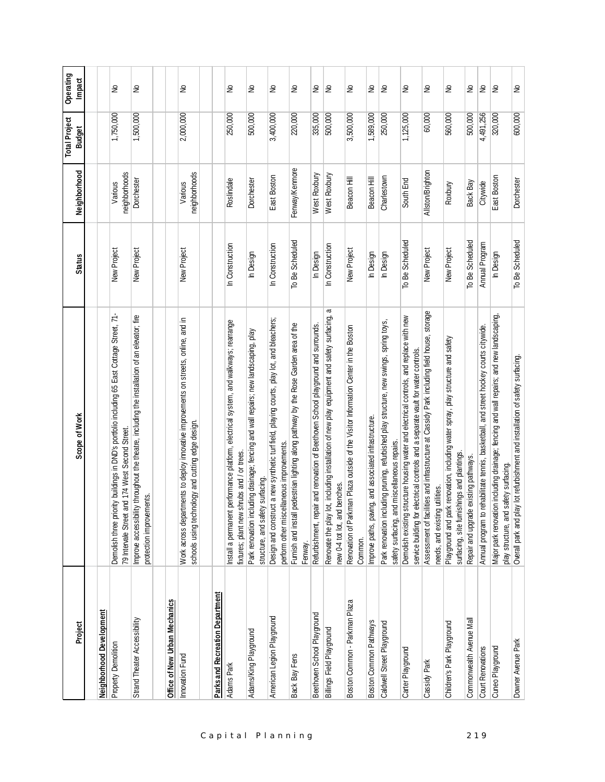| Project                                | Scope of Work                                                                                                                                                                   | <b>Status</b>   | Neighborhood             | <b>Total Project</b><br><b>Budget</b> | Operating<br>Impact |
|----------------------------------------|---------------------------------------------------------------------------------------------------------------------------------------------------------------------------------|-----------------|--------------------------|---------------------------------------|---------------------|
|                                        |                                                                                                                                                                                 |                 |                          |                                       |                     |
| Neighborhood Development               |                                                                                                                                                                                 |                 |                          |                                       |                     |
| Property Demolition                    | ority buildings in DND's portfolio including 65 East Cottage Street, 71-<br>and 174 West Second Street.<br>Demolish three pri-<br>79 Intervale Street                           | New Project     | neighborhoods<br>Various | 1,750,000                             | $\epsilon$          |
| Strand Theater Accessibility           | Improve accessibility throughout the theatre, including the installation of an elevator; fire<br>protection improvements                                                        | New Project     | Dorchester               | 1,500,000                             | £                   |
| Office of New Urban Mechanics          |                                                                                                                                                                                 |                 |                          |                                       |                     |
| Innovation Fund                        | Work across departments to deploy innovative improvements on streets, online, and in<br>schools using technology and cutting edge design.                                       | New Project     | neighborhoods<br>Various | 2,000,000                             | $\geq$              |
| <b>Parks and Recreation Department</b> |                                                                                                                                                                                 |                 |                          |                                       |                     |
| Adams Park                             | t performance platform, electrical system, and walkways; rearrange<br>fixtures; plant new shrubs and / or trees<br>Install a permanent                                          | In Construction | Roslindale               | 250,000                               | $\epsilon$          |
| Adams/King Playground                  | Park renovation including drainage; fencing and wall repairs; new landscaping, play<br>structure, and safety surfacing.                                                         | In Design       | Dorchester               | 500,000                               | $\geq$              |
| American Legion Playground             | Design and construct a new synthetic turf field, playing courts, play lot, and bleachers;<br>perform other miscellaneous improvements.                                          | In Construction | East Boston              | 3,400,000                             | $\geq$              |
| Back Bay Fens                          | pedestrian lighting along pathway by the Rose Garden area of the<br>Fumish and install<br>Fenway.                                                                               | To Be Scheduled | Fenway/Kenmore           | 220,000                               | S                   |
| Beethoven School Play ground           | Refurbishment, repair and renovation of Beethoven School playground and surrounds.                                                                                              | In Design       | West Roxbury             | 335,000                               | ş                   |
| Billings Field Play ground             | a<br>lot, including installation of new play equipment and safety surfacing,<br>new 0-4 tot lot, and benches.<br>Renovate the play                                              | In Construction | West Roxbury             | 500,000                               | $\geq$              |
| Boston Common - Parkman Plaza          | Renovation of Parkman Plaza outside of the Visitor Information Center in the Boston<br>Common.                                                                                  | New Project     | Beacon Hill              | 3,500,000                             | S                   |
| Boston Common Pathways                 | Improve paths, paving, and associated infrastructure.                                                                                                                           | In Design       | Beacon Hill              | 1,589,000                             | ş                   |
| Caldwell Street Playground             | Park renovation including pruning, refurbished play structure, new swings, spring toys,<br>safety surfacing, and miscellaneous repairs                                          | In Design       | Charlestown              | 250,000                               | $\epsilon$          |
| Carter Playground                      | Demolish existing structure housing water and electrical controls, and replace with new<br>electrical controls and a separate vault for water controls.<br>service building for | To Be Scheduled | South End                | 1,125,000                             | S                   |
| Cassidy Park                           | Assessment of facilities and infrastructure at Cassidy Park including field house, storage<br>needs, and existing utilities.                                                    | New Project     | Allston/Brighton         | 60,000                                | $\epsilon$          |
| Children's Park Playground             | Playground and park renovation, including water spray, play structure and safety<br>surfacing, site furnishings and plantings.                                                  | New Project     | Roxbury                  | 560,000                               | ş                   |
| Commonwealth Avenue Mall               | Repair and upgrade existing pathways.                                                                                                                                           | To Be Scheduled | Back Bay                 | 500,000                               | ş                   |
| Court Renovations                      | rehabilitate tennis, basketball, and street hockey courts citywide.<br>Annual program to                                                                                        | Annual Program  | Citywide                 | 4,491,256                             | $\epsilon$          |
| Cuneo Playground                       | Major park renovation including drainage; fencing and wall repairs; and new landscaping,<br>safety surfacing<br>play structure, and                                             | In Design       | East Boston              | 320,000                               | g                   |
| Downer Avenue Park                     | Overall park and play lot refurbishment and installation of safety surfacing.                                                                                                   | To Be Scheduled | Dorchester               | 600,000                               | $\geq$              |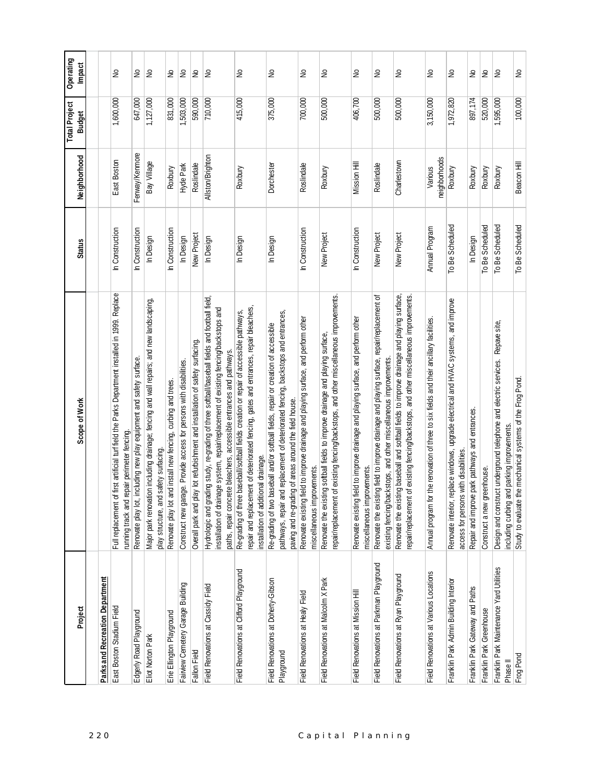| Project                                                         | Scope of Work                                                                                                                                                                                                                                                   | <b>Status</b>   | Neighborhood             | <b>Total Project</b><br><b>Budget</b> | Operating<br>Impact        |
|-----------------------------------------------------------------|-----------------------------------------------------------------------------------------------------------------------------------------------------------------------------------------------------------------------------------------------------------------|-----------------|--------------------------|---------------------------------------|----------------------------|
|                                                                 |                                                                                                                                                                                                                                                                 |                 |                          |                                       |                            |
| Parks and Recreation Department                                 |                                                                                                                                                                                                                                                                 |                 |                          |                                       |                            |
| East Boston Stadium Field                                       | first artificial turf field the Parks Department installed in 1999. Replace<br>running track and repair perimeter fencing.<br>Full replacement of                                                                                                               | In Construction | East Boston              | 1,600,000                             | ş                          |
| Edgerly Road Playground                                         | Renovate play lot, including new play equipment and safety surface.                                                                                                                                                                                             | In Construction | Fenway/Kenmore           | 647,000                               | $\stackrel{\circ}{\simeq}$ |
| Eliot Norton Park                                               | Major park renovation including drainage; fencing and wall repairs; and new landscaping,<br>safety surfacing.<br>play structure, and                                                                                                                            | In Design       | Bay Village              | 1,127,000                             | $\epsilon$                 |
| Erie Ellington Playground                                       | Renovate play lot and install new fencing, curbing and trees.                                                                                                                                                                                                   | In Construction | Roxbury                  | 831,000                               | ş                          |
| Fairview Cemetery Garage Building                               | Construct new garage. Provide access for persons with disabilities.                                                                                                                                                                                             | In Design       | Hyde Park                | 1,503,000                             | $\epsilon$                 |
| <b>Fallon Field</b>                                             | Overall park and play lot refurbishment and installation of safety surfacing.                                                                                                                                                                                   | New Project     | Roslindale               | 590,000                               | $\epsilon$                 |
| Field Renovations at Cassidy Field                              | Hydrologic and grading study, re-grading of three softball/baseball fields and football field,<br>installation of drainage system, repair/replacement of existing fencing/backstops and<br>paths, repair concrete bleachers, accessible entrances and pathways. | In Design       | Allston/Brighton         | 710,000                               | $\tilde{z}$                |
| Field Renovations at Clifford Playground                        | repair and replacement of deteriorated fencing, gates and entrances, repair bleachers,<br>Re-grading of three baseball/softball fields creation or repair of accessible pathways,<br>installation of additional drainage.                                       | In Design       | Roxbury                  | 415,000                               | S                          |
| Field Renovations at Doherty-Gibson<br>Playground               | pathways, repair and replacement of deteriorated fencing, backstops and entrances,<br>Re-grading of two baseball and/or softball fields, repair or creation of accessible<br>paving and re-grading of areas around the field house.                             | In Design       | Dorchester               | 375,000                               | $\geq$                     |
| Field Renovations at Healy Field                                | Renovate existing field to improve drainage and playing surface, and perform other<br>miscellaneous improvements.                                                                                                                                               | In Construction | Roslindale               | 700,000                               | $\geq$                     |
| Field Renovations at Malcolm XPark                              | of existing fencing/backstops, and other miscellaneous improvements.<br>ng softball fields to improve drainage and playing surface,<br>Renovate the existi<br>repair/replacement                                                                                | New Project     | Roxbury                  | 500,000                               | ş                          |
| Field Renovations at Mission Hill                               | Renovate existing field to improve drainage and playing surface, and perform other<br>miscellaneous improvements.                                                                                                                                               | In Construction | Mission Hill             | 406,700                               | $\tilde{z}$                |
| Field Renovations at Parkman Playground                         | ng field to improve drainage and playing surface, repair/replacement of<br>existing fencing/backstops, and other miscellaneous improvements<br>Renovate the existi                                                                                              | New Project     | Roslindale               | 500,000                               | ş                          |
| Field Renovations at Ryan Playground                            | Renovate the existing baseball and softball fields to improve drainage and playing surface,<br>of existing fencing/backstops, and other miscellaneous improvements.<br>epair/replacement                                                                        | New Project     | Charlestown              | 500,000                               | $\stackrel{\circ}{\simeq}$ |
| Field Renovations at Various Locations                          | the renovation of three to six fields and their ancillary facilities.<br>Annual program for                                                                                                                                                                     | Annual Program  | neighborhoods<br>Various | 3,150,000                             | $\tilde{z}$                |
| Franklin Park Admin Building Interior                           | Renovate interior, replace windows, upgrade electrical and HVAC systems, and improve<br>access for persons with disabilities                                                                                                                                    | To Be Scheduled | Roxbury                  | 1,972,820                             | $\tilde{z}$                |
| Franklin Park Gateway and Paths                                 | park pathways and entrances.<br>Repair and improve                                                                                                                                                                                                              | In Design       | Roxbury                  | 897,174                               | ş                          |
| Franklin Park Greenhouse                                        | Construct a new greenhouse.                                                                                                                                                                                                                                     | To Be Scheduled | Roxbury                  | 520,000                               | $\geq$                     |
| Franklin Park Maintenance Yard Utilities<br>Phase <sup>II</sup> | Design and construct underground telephone and electric services. Repave site,<br>including curbing and parking improvements.                                                                                                                                   | To Be Scheduled | Roxbury                  | 1,595,000                             | le                         |
| Frog Pond                                                       | Study to evaluate the mechanical systems of the Frog Pond                                                                                                                                                                                                       | To Be Scheduled | Beacon Hill              | 100,000                               | $\tilde{z}$                |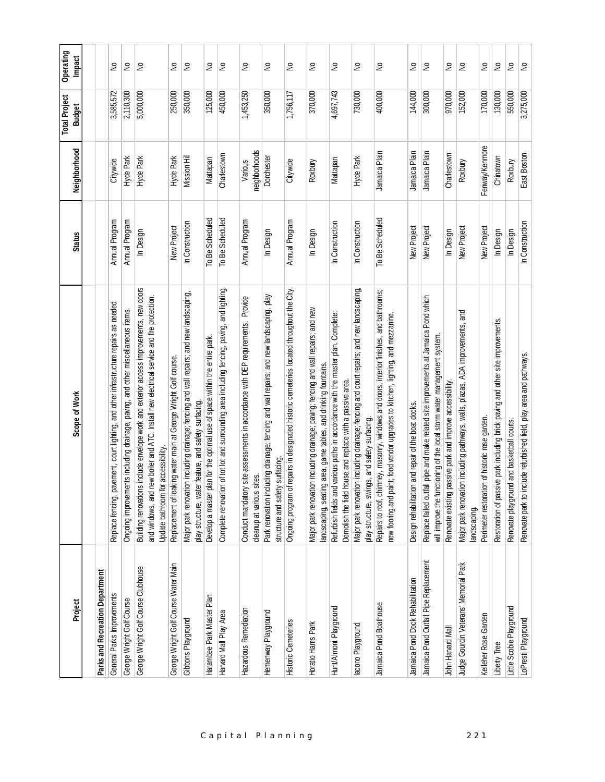| Project                               | Scope of Work                                                                                                                                                                                                                         | <b>Status</b>   | Neighborhood             | <b>Total Project</b><br><b>Budget</b> | Operating<br>Impact  |
|---------------------------------------|---------------------------------------------------------------------------------------------------------------------------------------------------------------------------------------------------------------------------------------|-----------------|--------------------------|---------------------------------------|----------------------|
|                                       |                                                                                                                                                                                                                                       |                 |                          |                                       |                      |
| Parks and Recreation Department       |                                                                                                                                                                                                                                       |                 |                          |                                       |                      |
| General Parks Improvements            | Replace fencing, pavement, court lighting, and other infrastructure repairs as needed.                                                                                                                                                | Annual Program  | Citywide                 | 3,585,572                             | ş                    |
| George Wright Golf Course             | Ongoing improvements including drainage, paving, and other miscellaneous items.                                                                                                                                                       | Annual Program  | Hyde Park                | 2,110,300                             | S                    |
| George Wright Golf Course Clubhouse   | include envelope work and exterior access improvements, new doors<br>and windows, and new boiler and ATC. Install new electrical service and fire protection.<br>accessibility.<br><b>Building renovations</b><br>Update bathroom for | In Design       | Hyde Park                | 5,000,000                             | $\epsilon$           |
| George Wright Golf Course Water Main  | Replacement of leaking water main at George Wright Golf course.                                                                                                                                                                       | New Project     | Hyde Park                | 250,000                               | ş                    |
| Gibbons Playground                    | Major park renovation including drainage; fencing and wall repairs; and new landscaping,<br>play structure, water feature, and safety surfacing                                                                                       | In Construction | Mission Hill             | 350,000                               | S                    |
| Harambee Park Master Plan             | Develop a master plan for the optimal use of space within the entire park.                                                                                                                                                            | To Be Scheduled | Mattapan                 | 125,000                               | ş                    |
| Harvard Mall Play Area                | Complete renovation of tot lot and surrounding area including fencing, paving, and lighting.                                                                                                                                          | To Be Scheduled | Charlestown              | 450,000                               | $\tilde{z}$          |
| Hazardous Remediation                 | Provide<br>site assessments in accordance with DEP requirements.<br>cleanup at various sites.<br>Conduct mandatory                                                                                                                    | Annual Program  | neighborhoods<br>Various | 1,453,250                             | £                    |
| Hemenway Playground                   | Park renovation including drainage; fencing and wall repairs; and new landscaping, play<br>surfacing.<br>structure and safety                                                                                                         | In Design       | Dorchester               | 350,000                               | £                    |
| <b>Historic Cemeteries</b>            | repairs in designated historic cemeteries located throughout the City.<br>Ongoing program of                                                                                                                                          | Annual Program  | Citywide                 | 1,756,117                             | S                    |
| Horatio Harris Park                   | Major park renovation including drainage; paving; fencing and wall repairs; and new<br>landscaping, seating area, game tables, and drinking fountains                                                                                 | In Design       | Roxbury                  | 370,000                               | S                    |
| Hunt/Almont Playground                | Refurbish fields and various paths in accordance with the master plan. Complete:<br>Demolish the field house and replace with a passive area.                                                                                         | In Construction | Mattapan                 | 4,697,743                             | ş                    |
| lacono Playground                     | Major park renovation including drainage; fencing and court repairs; and new landscaping,<br>play structure, swings, and safety surfacing.                                                                                            | In Construction | Hyde Park                | 730,000                               | ş                    |
| Jamaica Pond Boathouse                | Repairs to roof, chimney, masonry, windows and doors, interior finishes, and bathrooms;<br>new flooring and paint; food vendor upgrades to kitchen, lighting, and mezzanine                                                           | To Be Scheduled | Jamaica Plain            | 400,000                               | £                    |
| Jamaica Pond Dock Rehabilitation      | and repair of the boat docks.<br>Design rehabilitation                                                                                                                                                                                | New Project     | Jamaica Plain            | 144,000                               | ş                    |
| Jamaica Pond Outfall Pipe Replacement | Replace failed outfall pipe and make related site improvements at Jamaica Pond which<br>will improve the functioning of the local storm water management system.                                                                      | New Project     | Jamaica Plain            | 300,000                               | g                    |
| John Harvard Mall                     | Renovate existing passive park and improve accessibility.                                                                                                                                                                             | In Design       | Charlestown              | 970,000                               | ş                    |
| Judge Gourdin Veterans' Memorial Park | Major park renovation including pathways, walls, plazas, ADA improvements, and<br>landscaping.                                                                                                                                        | New Project     | Roxbury                  | 152,000                               | $\geq$               |
| Kelleher Rose Garden                  | Perimeter restoration of historic rose garden.                                                                                                                                                                                        | New Project     | Fenway/Kenmore           | 170,000                               | $\tilde{\mathbf{z}}$ |
| Liberty Tree                          | Restoration of passive park including brick paving and other site improvements.                                                                                                                                                       | In Design       | Chinatown                | 130,000                               | $\gtrsim$            |
| Little Scobie Playground              | Renovate playground and basketball courts.                                                                                                                                                                                            | In Design       | Roxbury                  | 550,000                               | $\hat{\vphantom{a}}$ |
| LoPresti Playground                   | Renovate park to include refurbished field, play area and pathways.                                                                                                                                                                   | In Construction | East Boston              | 3,275,000                             | S                    |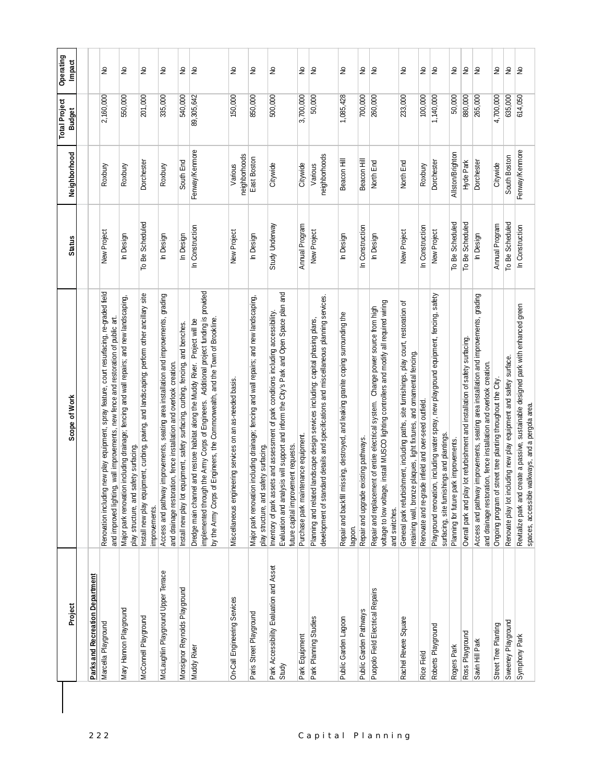| Project                                          | Scope of Work                                                                                                                                                                                                                                             | <b>Status</b>   | Neighborhood             | <b>Total Project</b><br><b>Budget</b> | Operating<br>Impact                 |
|--------------------------------------------------|-----------------------------------------------------------------------------------------------------------------------------------------------------------------------------------------------------------------------------------------------------------|-----------------|--------------------------|---------------------------------------|-------------------------------------|
|                                                  |                                                                                                                                                                                                                                                           |                 |                          |                                       |                                     |
| <b>Parks and Recreation Department</b>           |                                                                                                                                                                                                                                                           |                 |                          |                                       |                                     |
| Marcella Playground                              | Renovation including new play equipment, spray feature, court resurfacing, re-graded field<br>and improved lighting, wall improvements, new fence and restoration of public art.                                                                          | New Project     | Roxbury                  | 2,160,000                             | ş                                   |
| Mary Hannon Playground                           | Major park renovation including drainage; fencing and wall repairs; and new landscaping,<br>safety surfacing.<br>play structure, and                                                                                                                      | In Design       | Roxbury                  | 550,000                               | $\stackrel{\circ}{\simeq}$          |
| McConnell Playground                             | Install new play equipment, curbing, paving, and landscaping; perform other ancillary site<br>improvements.                                                                                                                                               | To Be Scheduled | Dorchester               | 201,000                               | $\frac{1}{2}$                       |
| McLaughlin Playground Upper Terrace              | Access and pathway improvements, seating area installation and improvements, grading<br>and drainage restoration, fence installation and overlook creation.                                                                                               | In Design       | Roxbury                  | 335,000                               | $\stackrel{\circ}{\simeq}$          |
| Monsignor Reynolds Playground                    | Install new play lot equipment, safety surfacing, curbing, fencing, and benches.                                                                                                                                                                          | In Design       | South End                | 540,000                               | $\stackrel{\mathtt{o}}{\mathsf{z}}$ |
| Muddy River                                      | implemented through the Army Corps of Engineers. Additional project funding is provided<br>by the Army Corps of Engineers, the Commonwealth, and the Town of Brookline.<br>Dredge main channel and restore habitat along the Muddy River. Project will be | In Construction | Fenway/Kenmore           | 89,305,642                            | Ιş                                  |
| On-Call Engineering Services                     | neering services on an as-needed basis.<br>Miscellaneous engi                                                                                                                                                                                             | New Project     | neighborhoods<br>Various | 150,000                               | ş                                   |
| Paris Street Playground                          | Major park renovation including drainage; fencing and wall repairs; and new landscaping,<br>safety surfacing<br>play structure, and                                                                                                                       | In Design       | East Boston              | 850,000                               | $\stackrel{\circ}{\simeq}$          |
| Park Accessibility Evaluation and Asset<br>Study | Evaluation and analysis will support and inform the City's Park and Open Space plan and<br>Inventory of park assets and assessment of park conditions including accessibility.<br>future capital improvement requests                                     | Study Underway  | Citywide                 | 500,000                               | $\stackrel{\mathtt{o}}{z}$          |
| Park Equipment                                   | Purchase park maintenance equipment.                                                                                                                                                                                                                      | Annual Program  | Citywide                 | 3,700,000                             | $\tilde{\varepsilon}$               |
| Park Planning Studies                            | development of standard details and specifications and miscellaneous planning services<br>Planning and related landscape design services including: capital phasing plans,                                                                                | New Project     | neighborhoods<br>Various | 50,000                                | $\frac{1}{2}$                       |
| Public Garden Lagoon                             | Repair and backfill missing, destroyed, and leaking granite coping surrounding the<br>lagoon.                                                                                                                                                             | In Design       | Beacon Hill              | 1,085,428                             | $\stackrel{\circ}{\simeq}$          |
| Public Garden Pathways                           | existing pathways.<br>Repair and upgrade                                                                                                                                                                                                                  | In Construction | Beacon Hill              | 700,000                               | $\geq$                              |
| Puopolo Field Electrical Repairs                 | voltage to low voltage, install MUSCO lighting controllers and modify all required wiring<br>Repair and replacement of entire electrical system. Change power source from high<br>and switches.                                                           | In Design       | North End                | 260,000                               | $\frac{1}{2}$                       |
| Rachel Revere Square                             | General park refurbishment, including paths, site furnishings, play court, restoration of<br>retaining wall, bronze plaques, light fixtures, and ornamental fencing.                                                                                      | New Project     | North End                | 233,000                               | $\stackrel{\circ}{\simeq}$          |
| Rice Field                                       | Renovate and re-grade infield and over-seed outfield.                                                                                                                                                                                                     | In Construction | Roxbury                  | 100,000                               | $\mathsf{S}$                        |
| Roberts Playground                               | Playground renovation, including water spray, new playground equipment, fencing, safety<br>surfacing, site furnishings and plantings                                                                                                                      | New Project     | Dorchester               | 1,140,000                             | $\stackrel{\mathtt{o}}{z}$          |
| Rogers Park                                      | Planning for future park improvements.                                                                                                                                                                                                                    | To Be Scheduled | Allston/Brighton         | 50,000                                | $\hat{\mathsf{z}}$                  |
| Ross Playground                                  | Overall park and play lot refurbishment and installation of safety surfacing.                                                                                                                                                                             | To Be Scheduled | Hyde Park                | 880,000                               | ξ                                   |
| Savin Hill Park                                  | Access and pathway improvements, seating area installation and improvements, grading<br>and drainage restoration, fence installation and overlook creation.                                                                                               | In Design       | Dorchester               | 265,000                               | $\frac{1}{2}$                       |
| Street Tree Planting                             | Ongoing program of street tree planting throughout the City.                                                                                                                                                                                              | Annual Program  | Citywide                 | 4,700,000                             | $\frac{\mathsf{O}}{\mathsf{O}}$     |
| Sweeney Playground                               | Renovate play lot including new play equipment and safety surface.                                                                                                                                                                                        | To Be Scheduled | South Boston             | 635,000                               | $\gtrsim$                           |
| Symphony Park                                    | create a passive, sustainable designed park with enhanced green<br>spaces, accessible walkways, and a pergola area.<br>Revitalize park and                                                                                                                | In Construction | Fenway/Kenmore           | 614,050                               | lş                                  |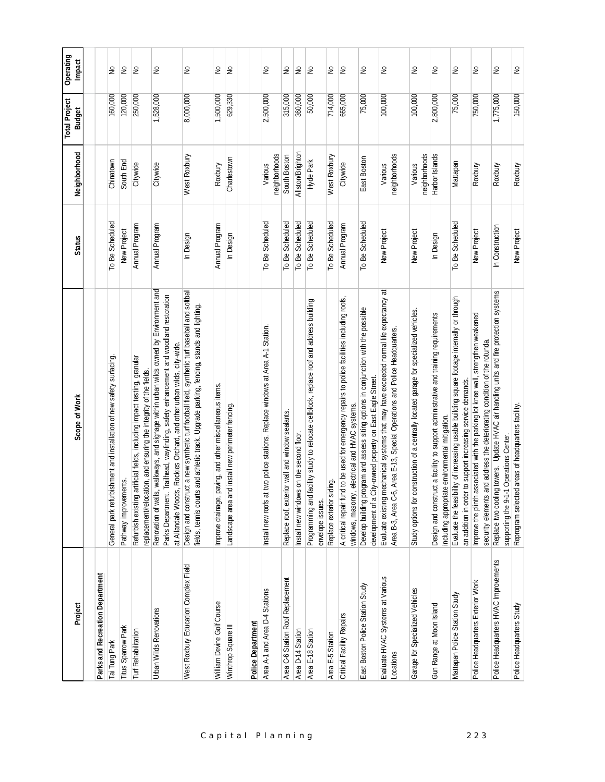| Project                                       | Scope of Work                                                                                                                                                                                                                                                  | <b>Status</b>   | Neighborhood             | <b>Total Project</b><br><b>Budget</b> | Operating<br><b>Impact</b> |
|-----------------------------------------------|----------------------------------------------------------------------------------------------------------------------------------------------------------------------------------------------------------------------------------------------------------------|-----------------|--------------------------|---------------------------------------|----------------------------|
|                                               |                                                                                                                                                                                                                                                                |                 |                          |                                       |                            |
| Parks and Recreation Department               |                                                                                                                                                                                                                                                                |                 |                          |                                       |                            |
| Tai Tung Park                                 | ishment and installation of new safety surfacing.<br>General park refurbi                                                                                                                                                                                      | To Be Scheduled | Chinatown                | 160,000                               | ş                          |
| Titus Sparrow Park                            | Pathway improvements.                                                                                                                                                                                                                                          | New Project     | South End                | 120,000                               | $\geq$                     |
| <b>Turf Rehabilitation</b>                    | Refurbish existing artificial fields, including impact testing, granular<br>replacement/relocation, and ensuring the integrity of the fields.                                                                                                                  | Annual Program  | Citywide                 | 250,000                               | Ιş                         |
| Urban Wilds Renovations                       | walkways, and signage within urban wilds owned by Environment and<br>Trailhead, wayfinding, safety enhancement and woodland restoration<br>at Allandale Woods, Rockies Orchard, and other urban wilds, city-wide.<br>Renovation of walls,<br>Parks Department. | Annual Program  | Citywide                 | 1,528,000                             | £                          |
| West Roxbury Education Complex Field          | Design and construct a new synthetic turf football field, synthetic turf baseball and softball<br>and athletic track. Upgrade parking, fencing, stands and lighting.<br>fields, tennis courts                                                                  | In Design       | West Roxbury             | 8,000,000                             | $\geq$                     |
| William Devine Golf Course                    | Improve drainage, paving, and other miscellaneous items.                                                                                                                                                                                                       | Annual Program  | Roxbury                  | 1,500,000                             | ş                          |
| Winthrop Square III                           | d install new perimeter fencing.<br>Landscape area and                                                                                                                                                                                                         | In Design       | Charlestown              | 629,330                               | $\epsilon$                 |
| <b>Police Department</b>                      |                                                                                                                                                                                                                                                                |                 |                          |                                       |                            |
|                                               |                                                                                                                                                                                                                                                                |                 |                          |                                       |                            |
| Area A-1 and Area D-4 Stations                | two police stations. Replace windows at Area A-1 Station.<br>Install new roofs at                                                                                                                                                                              | To Be Scheduled | neighborhoods<br>Various | 2,500,000                             | $\tilde{z}$                |
| Area C-6 Station Roof Replacement             | Replace roof, exterior wall and window sealants.                                                                                                                                                                                                               | To Be Scheduled | South Boston             | 315,000                               | $\geq$                     |
| Area D-14 Station                             | on the second floor.<br>Install new windows                                                                                                                                                                                                                    | To Be Scheduled | Allston/Brighton         | 360,000                               | ξ                          |
| Area E-18 Station                             | Programming and facility study to relocate cellblock, replace roof and address building<br>envelope issues.                                                                                                                                                    | To Be Scheduled | Hyde Park                | 50,000                                | $\frac{1}{2}$              |
| Area E-5 Station                              | Replace exterior siding.                                                                                                                                                                                                                                       | To Be Scheduled | West Roxbury             | 714,000                               | $\geq$                     |
| Critical Facility Repairs                     | A critical repair fund to be used for emergency repairs to police facilities including roofs,<br>windows, masonry, electrical and HVAC systems.                                                                                                                | Annual Program  | Citywide                 | 665,000                               | $\epsilon$                 |
| East Boston Police Station Study              | Develop building program and assess siting options in conjunction with the possible<br>development of a City-owned property on East Eagle Street.                                                                                                              | To Be Scheduled | East Boston              | 75,000                                | $\gtrsim$                  |
| Evaluate HVAC Systems at Various<br>Locations | Evaluate existing mechanical systems that may have exceeded normal life expectancy at<br>Area B-3, Area C-6, Area E-13, Special Operations and Police Headquarters.<br>Area E-13, Special Operations and Police Headquarters.                                  | New Project     | neighborhoods<br>Various | 100,000                               | $\epsilon$                 |
| Garage for Specialized Vehicles               | Study options for construction of a centrally located garage for specialized vehicles.                                                                                                                                                                         | New Project     | neighborhoods<br>Various | 100,000                               | $\geq$                     |
| Gun Range at Moon Island                      | Design and construct a facility to support administrative and training requirements<br>including appropriate environmental mitigation.                                                                                                                         | In Design       | Harbor Islands           | 2,800,000                             | $\epsilon$                 |
| Mattapan Police Station Study                 | Evaluate the feasibility of increasing usable building square footage internally or through<br>to support increasing service demands.<br>an addition in order                                                                                                  | To Be Scheduled | Mattapan                 | 75,000                                | $\epsilon$                 |
| Police Headquarters Exterior Work             | Improve the plinth associated with the parking lot knee wall, strengthen weakened<br>security elements and address the deteriorating condition of the rotunda.                                                                                                 | New Project     | Roxbury                  | 750,000                               | $\gtrsim$                  |
| Police Headquarters HVAC Improvements         | Replace two cooling towers. Update HVAC air handling units and fire protection systems<br><b>Operations Center.</b><br>supporting the 9-1-1                                                                                                                    | In Construction | Roxbury                  | 1,775,000                             | $\gtrsim$                  |
| Police Headquarters Study                     | areas of headquarters facility.<br>Reprogram selected                                                                                                                                                                                                          | New Project     | Roxbury                  | 150,000                               | $\geq$                     |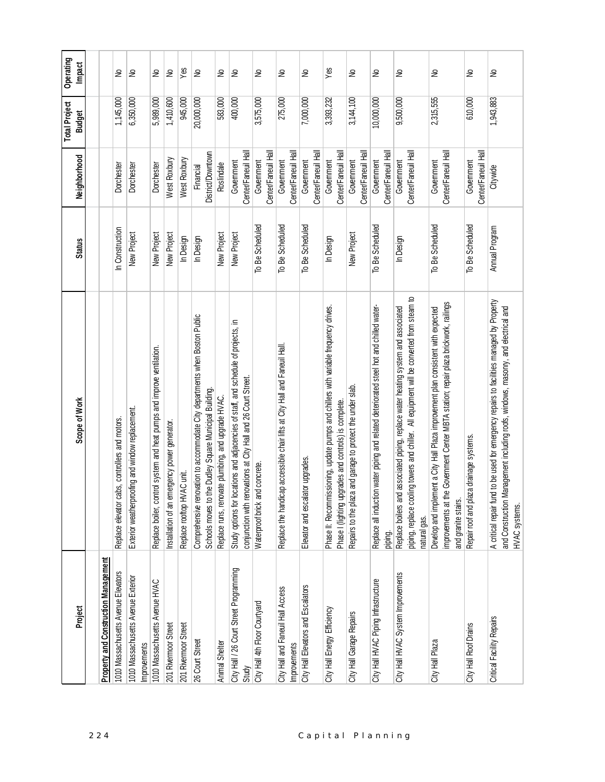| Project                                                   | Scope of Work                                                                                                                                                                                        | <b>Status</b>   | Neighborhood                      | <b>Total Project</b><br><b>Budget</b> | Operating<br>Impact |
|-----------------------------------------------------------|------------------------------------------------------------------------------------------------------------------------------------------------------------------------------------------------------|-----------------|-----------------------------------|---------------------------------------|---------------------|
|                                                           |                                                                                                                                                                                                      |                 |                                   |                                       |                     |
| Property and Construction Management                      |                                                                                                                                                                                                      |                 |                                   |                                       |                     |
| 1010 Massachusetts Avenue Elevators                       | bs, controllers and motors.<br>Replace elevator ca                                                                                                                                                   | In Construction | Dorchester                        | 1,145,000                             | S                   |
| 1010 Massachusetts Avenue Exterior<br><b>Improvements</b> | Exterior weatherproofing and window replacement.                                                                                                                                                     | New Project     | Dorchester                        | 6,350,000                             | $\geq$              |
| 1010 Massachusetts Avenue HVAC                            | Replace boiler, control system and heat pumps and improve ventilation.                                                                                                                               | New Project     | Dorchester                        | 5,989,000                             | $\tilde{z}$         |
| 201 Rivermoor Street                                      | Installation of an emergency power generator.                                                                                                                                                        | New Project     | West Roxbury                      | 1,410,600                             | $\geq$              |
| 201 Rivermoor Street                                      | Replace rooftop HVAC unit.                                                                                                                                                                           | In Design       | West Roxbury                      | 945,000                               | Yes                 |
| 26 Court Street                                           | Comprehensive renovation to accommodate City departments when Boston Public<br>Schools moves to the Dudley Square Municipal Building.                                                                | In Design       | District/Downtown<br>Financial    | 20,000,000                            | $\tilde{z}$         |
| Animal Shelter                                            | Replace runs, renovate plumbing, and upgrade HVAC.                                                                                                                                                   | New Project     | Roslindale                        | 583,000                               | S                   |
| City Hall / 26 Court Street Programming                   | Study options for locations and adjacencies of staff, and schedule of projects, in                                                                                                                   | New Project     | Government                        | 400,000                               | $\geq$              |
| Study                                                     | conjunction with renovations at City Hall and 26 Court Street.                                                                                                                                       |                 | Center/Faneuil Hall               |                                       |                     |
| City Hall 4th Floor Courtyard                             | Waterproof brick and concrete.                                                                                                                                                                       | To Be Scheduled | Center/Faneuil Hall<br>Government | 3,575,000                             | $\geq$              |
| City Hall and Faneuil Hall Access<br>Improvements         | Replace the handicap accessible chair lifts at City Hall and Faneuil Hall                                                                                                                            | To Be Scheduled | Center/Faneuil Hall<br>Government | 275,000                               | S                   |
|                                                           |                                                                                                                                                                                                      |                 |                                   |                                       |                     |
| City Hall Elevators and Escalators                        | itor upgrades.<br>Elevator and escala                                                                                                                                                                | To Be Scheduled | Center/Faneuil Hall<br>Government | 7,000,000                             | S                   |
| City Hall Energy Efficiency                               | Phase II: Recommissioning, update pumps and chillers with variable frequency drives<br>Phase I (lighting upgrades and controls) is complete.                                                         | In Design       | Center/Faneuil Hall<br>Government | 3,393,232                             | Yes                 |
|                                                           |                                                                                                                                                                                                      |                 |                                   |                                       |                     |
| City Hall Garage Repairs                                  | Repairs to the plaza and garage to protect the under slab.                                                                                                                                           | New Project     | Center/Faneuil Hall<br>Government | 3,144,100                             | S                   |
| City Hall HVAC Piping Infrastructure                      | Replace all induction water piping and related deteriorated steel hot and chilled water-<br>piping.                                                                                                  | To Be Scheduled | Center/Faneuil Hall<br>Government | 10,000,000                            | S                   |
| City Hall HVAC System Improvements                        | piping, replace cooling towers and chiller. All equipment will be converted from steam to<br>d associated piping, replace water heating system and associated<br>Replace boilers and<br>natural gas. | In Design       | Center/Faneuil Hall<br>Government | 9,500,000                             | S                   |
| City Hall Plaza                                           | improvements at the Government Center MBTA station; repair plaza brickwork, railings<br>Develop and implement a City Hall Plaza improvement plan consistent with expected<br>and granite stairs.     | To Be Scheduled | Center/Faneuil Hall<br>Government | 2,315,555                             | ₽                   |
| City Hall Roof Drains                                     | Repair roof and plaza drainage systems.                                                                                                                                                              | To Be Scheduled | Center/Faneuil Hall<br>Government | 610,000                               | $\tilde{z}$         |
| Critical Facility Repairs                                 | A critical repair fund to be used for emergency repairs to facilities managed by Property<br>and Construction Management including roofs, windows, masonry, and electical and<br>HVAC systems.       | Annual Program  | Citywide                          | 1,943,883                             | S                   |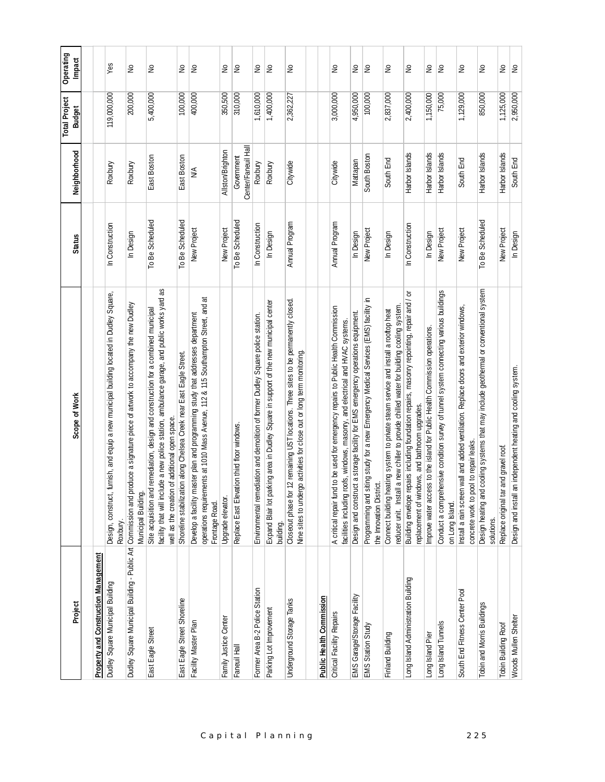| Project                              | Scope of Work                                                                                                                                                                                                                               | <b>Status</b>   | Neighborhood                      | <b>Total Project</b><br><b>Budget</b> | Operating<br>Impact |
|--------------------------------------|---------------------------------------------------------------------------------------------------------------------------------------------------------------------------------------------------------------------------------------------|-----------------|-----------------------------------|---------------------------------------|---------------------|
|                                      |                                                                                                                                                                                                                                             |                 |                                   |                                       |                     |
| Property and Construction Management |                                                                                                                                                                                                                                             |                 |                                   |                                       |                     |
| Dudley Square Municipal Building     | furnish, and equip a new municipal building located in Dudley Square,<br>Design, construct,<br>Roxbury.                                                                                                                                     | In Construction | Roxbury                           | 119,000,000                           | Yes                 |
|                                      | Dudley Square Municipal Building - Public Art Commission and produce a signature piece of artwork to accompany the new Dudley<br>Municipal Building.                                                                                        | In Design       | Roxbury                           | 200,000                               | $\epsilon$          |
| East Eagle Street                    | facility that will include a new police station, ambulance garage, and public works yard as<br>I remediation, design and construction for a combined municipal<br>of additional open space.<br>well as the creation<br>Site acquisition and | To Be Scheduled | East Boston                       | 5,400,000                             | S                   |
| East Eagle Street Shoreline          | Shoreline stabilization along Chelsea Creek near East Eagle Street.                                                                                                                                                                         | To Be Scheduled | East Boston                       | 100,000                               | ş                   |
| Facility Master Plan                 | operations requirements at 1010 Mass Avenue, 112 & 115 Southampton Street, and at<br>Develop a facility master plan and programming study that addresses department<br>Frontage Road.                                                       | New Project     | $\frac{4}{2}$                     | 400,000                               | l£                  |
| Family Justice Center                | Upgrade elevator.                                                                                                                                                                                                                           | New Project     | Allston/Brighton                  | 350,500                               | ş                   |
| Faneuil Hall                         | Replace East Elevation third floor windows                                                                                                                                                                                                  | To Be Scheduled | Center/Faneuil Hall<br>Government | 310,000                               | L                   |
| Former Area B-2 Police Station       | Environmental remediation and demolition of former Dudley Square police station.                                                                                                                                                            | In Construction | Roxbury                           | 1,610,000                             | $\gtrsim$           |
| Parking Lot Improvement              | Expand Blair lot parking area in Dudley Square in support of the new municipal center<br>building.                                                                                                                                          | In Design       | Roxbury                           | 1,400,000                             | k                   |
| Underground Storage Tanks            | 12 remaining UST locations. Three sites to be permanently closed.<br>Nine sites to undergo activities for close out or long term monitoring.<br>Closeout phase for                                                                          | Annual Program  | Citywide                          | 2,362,227                             | $\epsilon$          |
|                                      |                                                                                                                                                                                                                                             |                 |                                   |                                       |                     |
| Public Health Commission             |                                                                                                                                                                                                                                             |                 |                                   |                                       |                     |
| Critical Facility Repairs            | A critical repair fund to be used for emergency repairs to Public Health Commission<br>facilities including roofs, windows, masonry, and electrical and HVAC systems.                                                                       | Annual Program  | Citywide                          | 3,000,000                             | £                   |
| EMS Garage/Storage Facility          | Design and construct a storage facility for EMS emergency operations equipment.                                                                                                                                                             | In Design       | Mattapan                          | 4,950,000                             | $\geq$              |
| EMS Station Study                    | Programming and siting study for a new Emergency Medical Services (EMS) facility in<br>the Innovation District.                                                                                                                             | New Project     | South Boston                      | 100,000                               | £                   |
| Finland Building                     | reducer unit. Install a new chiller to provide chilled water for building cooling system.<br>Connect building heating system to private steam service and install a rooftop heat                                                            | In Design       | South End                         | 2,837,000                             | $\tilde{z}$         |
| ong Island Administration Building   | Building envelope repairs including foundation repairs, masonry repointing, repair and / or<br>replacement of windows, and bathroom upgrades.                                                                                               | In Construction | Harbor Islands                    | 2,400,000                             | S                   |
| Long Island Pier                     | Improve water access to the island for Public Health Commission operations.                                                                                                                                                                 | In Design       | Harbor Islands                    | 1,150,000                             | $\tilde{z}$         |
| Long Island Tunnels                  | Conduct a comprehensive condition survey of tunnel system connecting various buildings<br>on Long Island.                                                                                                                                   | New Project     | Harbor Islands                    | 75,000                                | Ιş                  |
| South End Fitness Center Pool        | wall and added ventilation. Replace doors and exterior windows,<br>concrete work to pool to repair leaks<br>Install a rain screen                                                                                                           | New Project     | South End                         | 1,129,000                             | £                   |
| Tobin and Morris Buildings           | cooling systems that may include geothermal or conventional system<br>Design heating and<br>solutions.                                                                                                                                      | To Be Scheduled | Harbor Islands                    | 850,000                               | $\epsilon$          |
| Tobin Building Roof                  | and gravel roof.<br>Replace original tar                                                                                                                                                                                                    | New Project     | Harbor Islands                    | 1,125,000                             | $\gtrsim$           |
| Woods Mullen Shelter                 | Design and install an independent heating and cooling system.                                                                                                                                                                               | In Design       | South End                         | 2,950,000                             | S                   |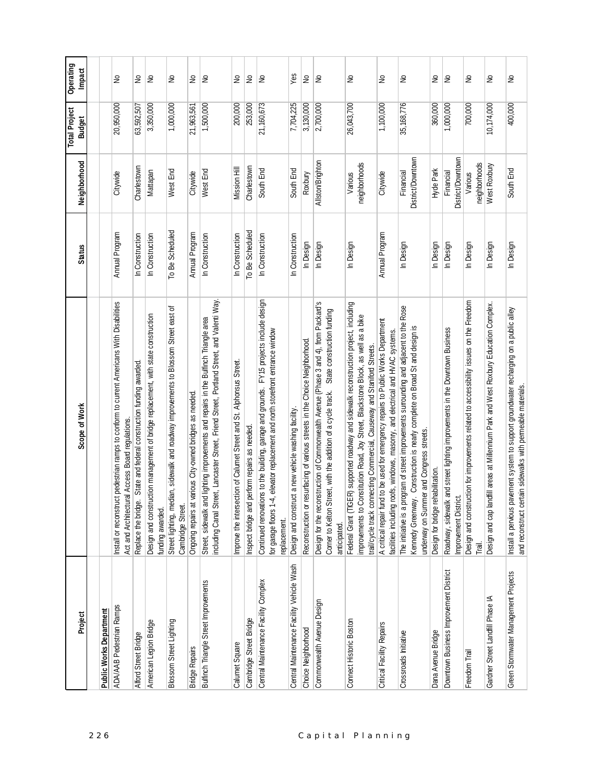| Project                                   | Scope of Work                                                                                                                                                                                                                                            | <b>Status</b>   | Neighborhood                   | <b>Total Project</b><br><b>Budget</b> | Operating<br>Impact |
|-------------------------------------------|----------------------------------------------------------------------------------------------------------------------------------------------------------------------------------------------------------------------------------------------------------|-----------------|--------------------------------|---------------------------------------|---------------------|
|                                           |                                                                                                                                                                                                                                                          |                 |                                |                                       |                     |
| <b>Public Works Department</b>            |                                                                                                                                                                                                                                                          |                 |                                |                                       |                     |
| <b>ADA/AAB Pedestrian Ramps</b>           | Install or reconstruct pedestrian ramps to conform to current Americans With Disabilities<br>Act and Architectural Access Board regulations                                                                                                              | Annual Program  | Citywide                       | 20,950,000                            | £                   |
| Alford Street Bridge                      | Replace the bridge. State and federal construction funding awarded.                                                                                                                                                                                      | In Construction | Charlestown                    | 63,592,507                            | S                   |
| American Legion Bridge                    | Design and construction management of bridge replacement, with state construction<br>funding awarded.                                                                                                                                                    | In Construction | Mattapan                       | 3,350,000                             | $\geq$              |
| Blossom Street Lighting                   | Street lighting, median, sidewalk and roadway improvements to Blossom Street east of<br>Cambridge Street.                                                                                                                                                | To Be Scheduled | West End                       | 1,000,000                             | £                   |
| <b>Bridge Repairs</b>                     | various City-owned bridges as needed<br>Ongoing repairs at                                                                                                                                                                                               | Annual Program  | Citywide                       | 21,963,561                            | £                   |
| Bulfinch Triangle Street Improvements     | eet, Lancaster Street, Friend Street, Portland Street, and Valenti Way.<br>Street, sidewalk and lighting improvements and repairs in the Bulfinch Triangle area<br>ncluding Canal Str                                                                    | In Construction | West End                       | 1,500,000                             | ٤                   |
| Calumet Square                            | Improve the intersection of Calumet Street and St. Alphonsus Street.                                                                                                                                                                                     | In Construction | Mission Hill                   | 200,000                               | $\geq$              |
| Cambridge Street Bridge                   | perform repairs as needed.<br>Inspect bridge and                                                                                                                                                                                                         | To Be Scheduled | Charlestown                    | 253,000                               | $\epsilon$          |
| Central Maintenance Facility Complex      | Continued renovations to the building, garage and grounds. FY15 projects include design<br>for garage floors 1-4, elevator replacement and north storefront entrance window<br>replacement.                                                              | In Construction | South End                      | 21,160,673                            | $\epsilon$          |
| Central Maintenance Facility Vehicle Wash | Design and construct a new vehicle washing facility.                                                                                                                                                                                                     | In Construction | South End                      | 7,704,225                             | Yes                 |
| Choice Neighborhood                       | Reconstruction or resurfacing of various streets in the Choice Neighborhood.                                                                                                                                                                             | In Design       | Roxbury                        | 3,130,000                             | $\geq$              |
| Commonwealth Avenue Design                | Design for the reconstruction of Commonwealth Avenue (Phase 3 and 4), from Packard's<br>State construction funding<br>Comer to Kelton Street, with the addition of a cycle track.<br>anticipated.                                                        | In Design       | Allston/Brighton               | 2,700,000                             | $\geq$              |
| Connect Historic Boston                   | Federal Grant (TIGER) supported roadway and sidewalk reconstruction project, including<br>improvements to Constitution Road, Joy Street, Blackstone Block, as well as a bike<br>trail/cycle track connecting Commercial, Causeway and Staniford Streets. | In Design       | neighborhoods<br>Various       | 26,043,700                            | $\geq$              |
| Critical Facility Repairs                 | A critical repair fund to be used for emergency repairs to Public Works Department<br>facilities including roofs, windows, masonry, and electrical and HVAC systems.                                                                                     | Annual Program  | Citywide                       | 1,100,000                             | S                   |
| Crossroads Initiative                     | The initiative is a program of street improvements surrounding and adjacent to the Rose<br>Kennedy Greenway. Construction is nearly complete on Broad St and design is<br>underway on Summer and Congress streets.                                       | In Design       | District/Downtown<br>Financial | 35,168,776                            | $\gtrsim$           |
| Dana Avenue Bridge                        | Design for bridge rehabilitation.                                                                                                                                                                                                                        | In Design       | Hyde Park                      | 360,000                               | S                   |
| Downtown Business Improvement District    | Roadway, sidewalk and street lighting improvements in the Downtown Business<br>Improvement District.                                                                                                                                                     | In Design       | District/Downtown<br>Financial | 1,000,000                             | le                  |
| Freedom Trail                             | Design and construction for improvements related to accessibility issues on the Freedom<br>Trail.                                                                                                                                                        | In Design       | neighborhoods<br>Various       | 700,000                               | $\geq$              |
| Gardner Street Landfill Phase IA          | offill areas at Millennium Park and West Roxbury Education Complex<br>Design and cap lar                                                                                                                                                                 | In Design       | West Roxbury                   | 10,174,000                            | £                   |
| Green Stormwater Management Projects      | Install a pervious pavement system to support groundwater recharging on a public alley<br>and reconstruct certain sidewalks with permeable materials.                                                                                                    | In Design       | South End                      | 400,000                               | £                   |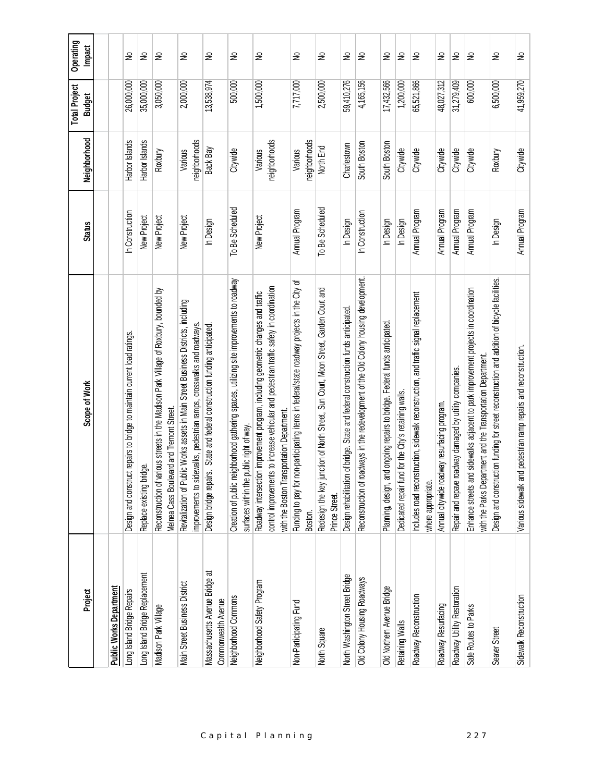| Project                                               | Scope of Work                                                                                                                                                                                                               | <b>Status</b>   | Neighborhood             | <b>Total Project</b><br><b>Budget</b> | Operating<br>Impact |
|-------------------------------------------------------|-----------------------------------------------------------------------------------------------------------------------------------------------------------------------------------------------------------------------------|-----------------|--------------------------|---------------------------------------|---------------------|
|                                                       |                                                                                                                                                                                                                             |                 |                          |                                       |                     |
| Public Works Department                               |                                                                                                                                                                                                                             |                 |                          |                                       |                     |
| Long Island Bridge Repairs                            | Design and construct repairs to bridge to maintain current load ratings.                                                                                                                                                    | In Construction | Harbor Islands           | 26,000,000                            | ₽                   |
| Long Island Bridge Replacement                        | idge.<br>Replace existing bri                                                                                                                                                                                               | New Project     | Harbor Islands           | 35,000,000                            | S                   |
| Madison Park Village                                  | Reconstruction of various streets in the Madison Park Village of Roxbury, bounded by<br>Melnea Cass Boulevard and Tremont Street                                                                                            | New Project     | Roxbury                  | 3,050,000                             | ş                   |
| Main Street Business District                         | Revitalization of Public Works assets in Main Street Business Districts, including<br>improvements to sidewalks, pedestrian ramps, crosswalks and roadways.                                                                 | New Project     | neighborhoods<br>Various | 2,000,000                             | ₽                   |
| Massachusetts Avenue Bridge at<br>Commonwealth Avenue | Design bridge repairs. State and federal construction funding anticipated.                                                                                                                                                  | In Design       | Back Bay                 | 13,538,974                            | S                   |
| Neighborhood Commons                                  | Creation of public neighborhood gathering spaces, utilizing site improvements to roadway<br>surfaces within the public right of way.                                                                                        | To Be Scheduled | Citywide                 | 500,000                               | S                   |
| Neighborhood Safety Program                           | control improvements to increase vehicular and pedestrian traffic safety in coordination<br>Roadway intersection improvement program, including geometric changes and traffic<br>with the Boston Transportation Department. | New Project     | neighborhoods<br>Various | 1,500,000                             | S                   |
| Non-Participating Fund                                | Funding to pay for non-participating items in federal/state roadway projects in the City of<br>Boston.                                                                                                                      | Annual Program  | neighborhoods<br>Various | 7,717,000                             | S                   |
| North Square                                          | Redesign the key junction of North Street, Sun Court, Moon Street, Garden Court and<br>Prince Street.                                                                                                                       | To Be Scheduled | North End                | 2,500,000                             | S                   |
| North Washington Street Bridge                        | of bridge. State and federal construction funds anticipated<br>Design rehabilitation                                                                                                                                        | In Design       | Charlestown              | 59,410,276                            | ş                   |
| Old Colony Housing Roadways                           | Reconstruction of roadways in the redevelopment of the Old Colony housing development.                                                                                                                                      | In Construction | South Boston             | 4,165,156                             | S                   |
| Old Northern Avenue Bridge                            | Planning, design, and ongoing repairs to bridge. Federal funds anticipated.                                                                                                                                                 | In Design       | South Boston             | 17,432,566                            | ş                   |
| Retaining Walls                                       | Dedicated repair fund for the City's retaining walls                                                                                                                                                                        | In Design       | Citywide                 | 1,200,000                             | S                   |
| Roadway Reconstruction                                | Includes road reconstruction, sidewalk reconstruction, and traffic signal replacement<br>where appropriate.                                                                                                                 | Annual Program  | Citywide                 | 65,521,866                            | $\geq$              |
| Roadway Resurfacing                                   | Annual citywide roadway resurfacing program.                                                                                                                                                                                | Annual Program  | Citywide                 | 48,027,312                            | ş                   |
| Roadway Utility Restoration                           | Repair and repave roadway damaged by utility companies.                                                                                                                                                                     | Annual Program  | Citywide                 | 31,279,409                            | S                   |
| Safe Routes to Parks                                  | Enhance streets and sidewalks adjacent to park improvement projects in coordination<br>with the Parks Department and the Transportation Department                                                                          | Annual Program  | Citywide                 | 600,000                               | ş                   |
| Seaver Street                                         | Design and construction funding for street reconstruction and addition of bicycle facilities.                                                                                                                               | In Design       | Roxbury                  | 6,500,000                             | ş                   |
| Sidewalk Reconstruction                               | Various sidewalk and pedestrian ramp repairs and reconstruction.                                                                                                                                                            | Annual Program  | Citywide                 | 41,959,270                            | ş                   |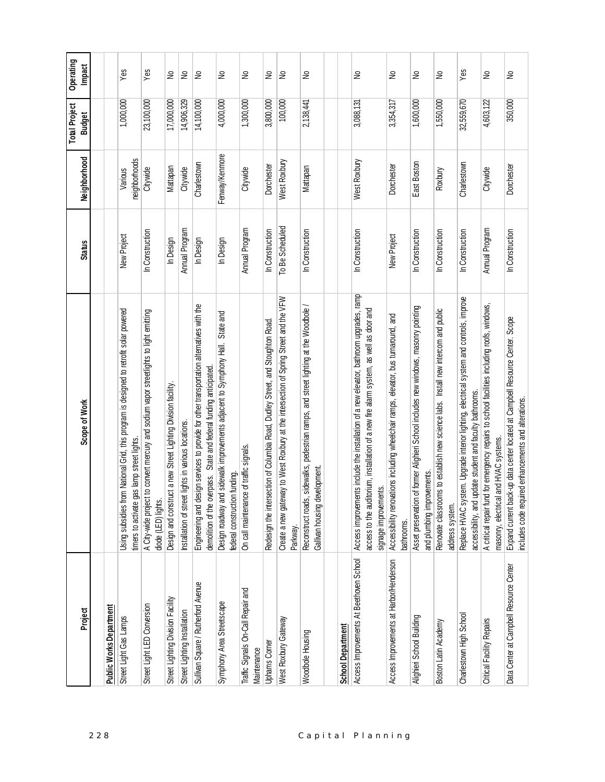| Project                                           | Scope of Work                                                                                                                                                                                                | <b>Status</b>   | Neighborhood             | <b>Total Project</b><br><b>Budget</b> | Operating<br>Impact |
|---------------------------------------------------|--------------------------------------------------------------------------------------------------------------------------------------------------------------------------------------------------------------|-----------------|--------------------------|---------------------------------------|---------------------|
|                                                   |                                                                                                                                                                                                              |                 |                          |                                       |                     |
| <b>Public Works Department</b>                    |                                                                                                                                                                                                              |                 |                          |                                       |                     |
| Street Light Gas Lamps                            | Using subsidies from National Grid, this program is designed to retrofit solar powered<br>timers to activate gas lamp street lights                                                                          | New Project     | neighborhoods<br>Various | 1,000,000                             | Yes                 |
| Street Light LED Conversion                       | A City-wide project to convert mercury and sodium vapor streetlights to light emitting<br>diode (LED) lights.                                                                                                | In Construction | Citywide                 | 23,100,000                            | $Y$ es              |
| Street Lighting Division Facility                 | Design and construct a new Street Lighting Division facility.                                                                                                                                                | In Design       | Mattapan                 | 17,000,000                            | ş                   |
| Street Lighting Installation                      | lights in various locations.<br>Installation of street                                                                                                                                                       | Annual Program  | Citywide                 | 14,906,329                            | S                   |
| Sullivan Square / Rutherford Avenue               | Engineering and design services to provide for other transportation alternatives with the<br>demolition of the overpass. State and federal funding anticipated                                               | In Design       | Charlestown              | 14,100,000                            | ş                   |
| Symphony Area Streetscape                         | State and<br>Design roadway and sidewalk improvements adjacent to Symphony Hall.<br>h funding.<br>federal construction                                                                                       | In Design       | Fenway/Kenmore           | 4,000,000                             | ş                   |
| Traffic Signals On-Call Repair and<br>Maintenance | On call maintenance of traffic signals.                                                                                                                                                                      | Annual Program  | Citywide                 | 1,300,000                             | ş                   |
| <b>Uphams Comer</b>                               | Redesign the intersection of Columbia Road, Dudley Street, and Stoughton Road.                                                                                                                               | In Construction | Dorchester               | 3,800,000                             | ş                   |
| West Roxbury Gateway                              | Create a new gateway to West Roxbury at the intersection of Spring Street and the VFW<br>Parkway.                                                                                                            | To Be Scheduled | West Roxbury             | 100,000                               | $\tilde{z}$         |
| Woodbole Housing                                  | sidewalks, pedestrian ramps, and street lighting at the Woodbole /<br>Gallivan housing development<br>Reconstruct roads,                                                                                     | In Construction | Mattapan                 | 2,138,441                             | ş                   |
| <b>School Department</b>                          |                                                                                                                                                                                                              |                 |                          |                                       |                     |
| Access Improvements At Beethoven School           | Access improvements include the installation of a new elevator, bathroom upgrades, ramply<br>access to the auditorium, installation of a new fire alarm system, as well as door and<br>signage improvements. | In Construction | West Roxbury             | 3,088,131                             | ş                   |
| Access Improvements at Harbor/Henderson           | Accessibility renovations including wheelchair ramps, elevator, bus turnaround, and<br>bathrooms.                                                                                                            | New Project     | Dorchester               | 3,354,317                             | ş                   |
| Alighieri School Building                         | of former Alighieri School includes new windows, masonry pointing<br>and plumbing improvements.<br>Asset preservation                                                                                        | In Construction | East Boston              | 1,600,000                             | $\tilde{z}$         |
| Boston Latin Academy                              | Renovate classrooms to establish new science labs. Install new intercom and public<br>address system.                                                                                                        | In Construction | Roxbury                  | 1,550,000                             | S                   |
| Charlestown High School                           | Replace HVAC system. Upgrade interior lighting, electrical system and controls, improve<br>accessibility, and update student and faculty bathrooms.                                                          | In Construction | Charlestown              | 32,559,670                            | Yes                 |
| Critical Facility Repairs                         | A critical repair fund for emergency repairs to school facilities including roofs, windows,<br>and HVAC systems.<br>masonry, electrical                                                                      | Annual Program  | Citywide                 | 4,603,122                             | $\tilde{z}$         |
| Data Center at Campbell Resource Center           | Expand current back-up data center located at Campbell Resource Center. Scope<br>includes code required enhancements and alterations.                                                                        | In Construction | Dorchester               | 350,000                               | ş                   |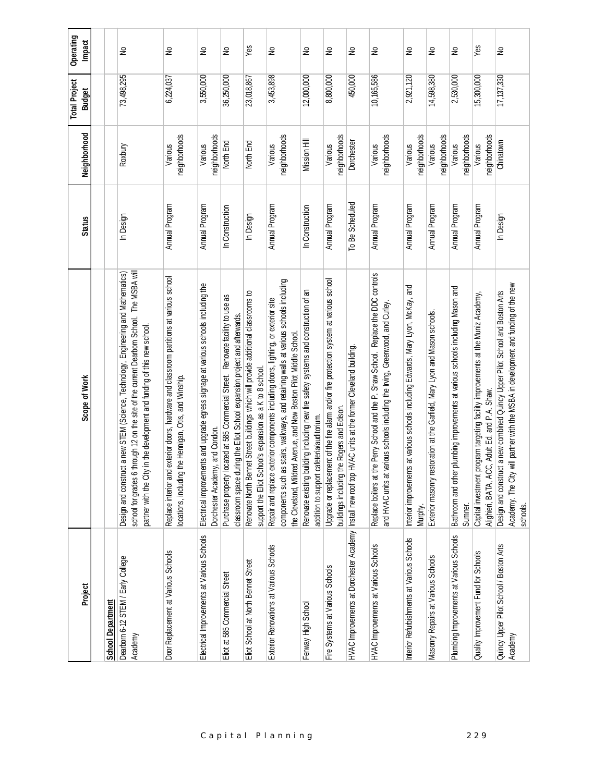| Operating<br>Impact                   |                          | ₽                                                                                                                                                                                                                                                             | £                                                                                                                                                        | $\epsilon$                                                                                                             | S                                                                                                                                                             | Yes                                                                                                                                            | $\epsilon$                                                                                                                                                                                                                                       | $\gtrsim$                                                                                                                        | S                                                                                                                                      | ş                                                                                                          | ş                                                                                                                                                                      | $\geq$                                                                                       | ş                                                                          | ₽                                                                                             | Yes                                                                                                                                | ş                                                                                                                                                                               |
|---------------------------------------|--------------------------|---------------------------------------------------------------------------------------------------------------------------------------------------------------------------------------------------------------------------------------------------------------|----------------------------------------------------------------------------------------------------------------------------------------------------------|------------------------------------------------------------------------------------------------------------------------|---------------------------------------------------------------------------------------------------------------------------------------------------------------|------------------------------------------------------------------------------------------------------------------------------------------------|--------------------------------------------------------------------------------------------------------------------------------------------------------------------------------------------------------------------------------------------------|----------------------------------------------------------------------------------------------------------------------------------|----------------------------------------------------------------------------------------------------------------------------------------|------------------------------------------------------------------------------------------------------------|------------------------------------------------------------------------------------------------------------------------------------------------------------------------|----------------------------------------------------------------------------------------------|----------------------------------------------------------------------------|-----------------------------------------------------------------------------------------------|------------------------------------------------------------------------------------------------------------------------------------|---------------------------------------------------------------------------------------------------------------------------------------------------------------------------------|
| <b>Total Project</b><br><b>Budget</b> |                          | 73,498,295                                                                                                                                                                                                                                                    | 6,224,037                                                                                                                                                | 3,550,000                                                                                                              | 36,250,000                                                                                                                                                    | 23,018,867                                                                                                                                     | 3,453,898                                                                                                                                                                                                                                        | 12,000,000                                                                                                                       | 8,800,000                                                                                                                              | 450,000                                                                                                    | 10,165,586                                                                                                                                                             | 2,921,120                                                                                    | 14,598,380                                                                 | 2,530,000                                                                                     | 15,300,000                                                                                                                         | 17,137,330                                                                                                                                                                      |
| Neighborhood                          |                          | Roxbury                                                                                                                                                                                                                                                       | neighborhoods<br>Various                                                                                                                                 | neighborhoods<br>Various                                                                                               | North End                                                                                                                                                     | North End                                                                                                                                      | neighborhoods<br>Various                                                                                                                                                                                                                         | Mission Hill                                                                                                                     | neighborhoods<br>Various                                                                                                               | Dorchester                                                                                                 | neighborhoods<br>Various                                                                                                                                               | neighborhoods<br>Various                                                                     | neighborhoods<br>Various                                                   | neighborhoods<br>Various                                                                      | neighborhoods<br>Various                                                                                                           | Chinatown                                                                                                                                                                       |
| <b>Status</b>                         |                          | In Design                                                                                                                                                                                                                                                     | Annual Program                                                                                                                                           | Annual Program                                                                                                         | In Construction                                                                                                                                               | In Design                                                                                                                                      | Annual Program                                                                                                                                                                                                                                   | In Construction                                                                                                                  | Annual Program                                                                                                                         | To Be Scheduled                                                                                            | Annual Program                                                                                                                                                         | Annual Program                                                                               | Annual Program                                                             | Annual Program                                                                                | Annual Program                                                                                                                     | In Design                                                                                                                                                                       |
| Scope of Work                         |                          | school for grades 6 through 12 on the site of the current Dearborn School. The MSBA will<br>Design and construct a new STEM (Science, Technology, Engineering and Mathematics)<br>in the development and funding of this new school.<br>partner with the City | exterior doors, hardware and classroom partitions at various school<br>the Hennigan, Otis, and Winship.<br>ocations, including t<br>Replace interior and | Electrical improvements and upgrade egress signage at various schools including the<br>Dorchester Academy, and Condon. | Purchase property located at 585 Commercial Street. Renovate facility to use as<br>class room space during the Eliot School expansion project and afterwards. | Renovate North Bennet Street buildings which will provide additional classrooms to<br>support the Elict School's expansion as a K to 8 school. | components such as stairs, walkways, and retaining walls at various schools including<br>Repair and replace exterior components including doors, lighting, or exterior site<br>the Cleveland, Mildred Avenue, and New Boston Pilot Middle School | Renovate existing building including new fire safety systems and construction of an<br>addition to support cafeteria/auditorium. | Upgrade or replacement of the fire alarm and/or fire protection system at various school<br>buildings including the Rogers and Edison. | HVAC Improvements at Dorchester Academy  Install new roof top HVAC units at the former Cleveland building. | Replace boilers at the Perry School and the P. Shaw School. Replace the DDC controls<br>and HVAC units at various schools including the Irving, Greenwood, and Curley. | Interior improvements at various schools including Edwards, Mary Lyon, McKay, and<br>Murphy. | Exterior masonry restoration at the Garfield, Mary Lyon and Mason schools. | plumbing improvements at various schools including Mason and<br>Bathroom and other<br>Sumner. | Capital investment program targeting facility improvements at the Muniz Academy,<br>Alighieri, BATA, ACC, Adult Ed. and P.A. Shaw. | Academy. The City will partner with the MSBA in development and funding of the new<br>Design and construct a new combined Quincy Upper Pilot School and Boston Arts<br>schools. |
| Project                               | <b>School Department</b> | Dearborn 6-12 STEM / Early College<br>Academy                                                                                                                                                                                                                 | Door Replacement at Various Schools                                                                                                                      | Electrical Improvements at Various Schools                                                                             | Eliot at 585 Commercial Street                                                                                                                                | Eliot School at North Bennet Street                                                                                                            | Exterior Renovations at Various Schools                                                                                                                                                                                                          | Fenway High School                                                                                                               | Fire Systems at Various Schools                                                                                                        |                                                                                                            | HVAC Improvements at Various Schools                                                                                                                                   | Interior Refurbishments at Various Schools                                                   | Masonry Repairs at Various Schools                                         | Plumbing Improvements at Various Schools                                                      | Quality Improvement Fund for Schools                                                                                               | Quincy Upper Pilot School / Boston Arts<br>Academy                                                                                                                              |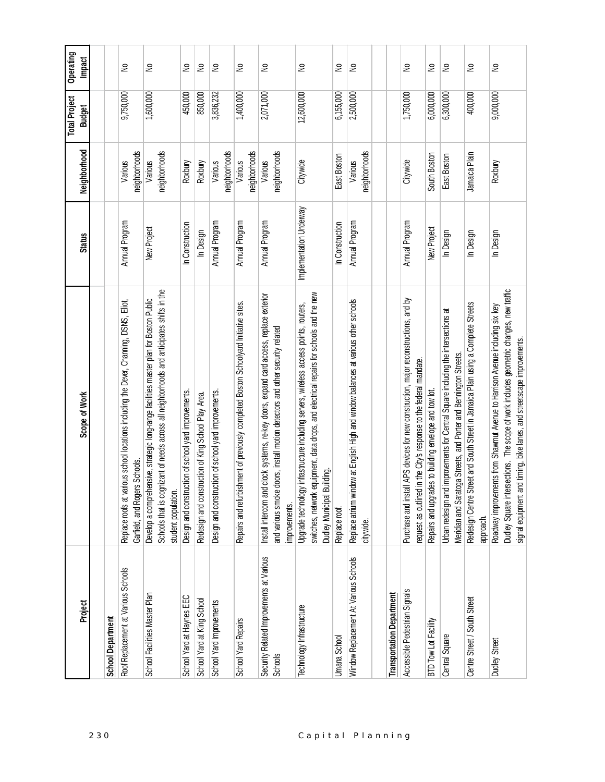| Project                                             | Scope of Work                                                                                                                                                                                                                                    | <b>Status</b>           | Neighborhood             | <b>Total Project</b><br><b>Budget</b> | Operating<br>Impact        |
|-----------------------------------------------------|--------------------------------------------------------------------------------------------------------------------------------------------------------------------------------------------------------------------------------------------------|-------------------------|--------------------------|---------------------------------------|----------------------------|
|                                                     |                                                                                                                                                                                                                                                  |                         |                          |                                       |                            |
| <b>School Department</b>                            |                                                                                                                                                                                                                                                  |                         |                          |                                       |                            |
| Roof Replacement at Various Schools                 | Replace roofs at various school locations including the Dever, Channing, DSNS, Eliot,<br>Garfield, and Rogers Schools.                                                                                                                           | Annual Program          | neighborhoods<br>Various | 9,750,000                             | ş                          |
| School Facilities Master Plan                       | Schools that is cognizant of needs across all neighborhoods and anticipates shifts in the<br>Develop a comprehensive, strategic long-range facilities master plan for Boston Public<br>student population.                                       | New Project             | neighborhoods<br>Various | 1,600,000                             | ş                          |
| School Yard at Haynes EEC                           | Design and construction of school yard improvements.                                                                                                                                                                                             | In Construction         | Roxbury                  | 450,000                               | 욷                          |
| School Yard at King School                          | Redesign and construction of King School Play Area.                                                                                                                                                                                              | In Design               | Roxbury                  | 850,000                               | S                          |
| School Yard Improvements                            | Design and construction of school yard improvements.                                                                                                                                                                                             | Annual Program          | neighborhoods<br>Various | 3,836,232                             | $\geq$                     |
| School Yard Repairs                                 | Repairs and refurbishment of previously completed Boston Schoolyard Initiative sites.                                                                                                                                                            | Annual Program          | neighborhoods<br>Various | 1,400,000                             | $\geq$                     |
| Security Related Improvements at Various<br>Schools | clock systems, re-key doors, expand card access, replace exterior<br>doors, install motion detectors and other security related<br>Install intercom and<br>and various smoke<br>improvements.                                                    | Annual Program          | neighborhoods<br>Various | 2,071,000                             | ş                          |
| Technology Infrastructure                           | switches, network equipment, data drops, and electrical repairs for schools and the new<br>/ infrastructure including servers, wireless access points, routers,<br>Dudley Municipal Building<br>Upgrade technology                               | Implementation Underway | Citywide                 | 12,600,000                            | ş                          |
| <b>Umana School</b>                                 | Replace roof.                                                                                                                                                                                                                                    | In Construction         | East Boston              | 6,155,000                             | $\stackrel{\circ}{\simeq}$ |
| Window Replacement At Various Schools               | Replace atrium window at English High and window balances at various other schools<br>citywide.                                                                                                                                                  | Annual Program          | neighborhoods<br>Various | 2,500,000                             | S                          |
| Transportation Department                           |                                                                                                                                                                                                                                                  |                         |                          |                                       |                            |
| Accessible Pedestrian Signals                       | Purchase and install APS devices for new construction, major reconstructions, and by<br>in the City's response to the federal mandate.<br>request as outlined                                                                                    | Annual Program          | Citywide                 | 1,750,000                             | $\geq$                     |
| BTD Tow Lot Facility                                | Repairs and upgrades to building envelope and tow lot.                                                                                                                                                                                           | New Project             | South Boston             | 6,000,000                             | $\geq$                     |
| Central Square                                      | Urban redesign and improvements for Central Square including the intersections at<br>Meridian and Saratoga Streets, and Porter and Bennington Streets.                                                                                           | In Design               | East Boston              | 6,300,000                             | Ιă                         |
| Centre Street / South Street                        | Redesign Centre Street and South Street in Jamaica Plain using a Complete Streets<br>approach.                                                                                                                                                   | In Design               | Jamaica Plain            | 400,000                               | ş                          |
| Dudley Street                                       | Dudley Square intersections. The scope of work includes geometric changes, new traffic<br>Roadway improvements from Shawmut Avenue to Harrison Avenue including six key<br>signal equipment and timing, bike lanes, and streetscape improvements | In Design               | Roxbury                  | 9,000,000                             | $\tilde{z}$                |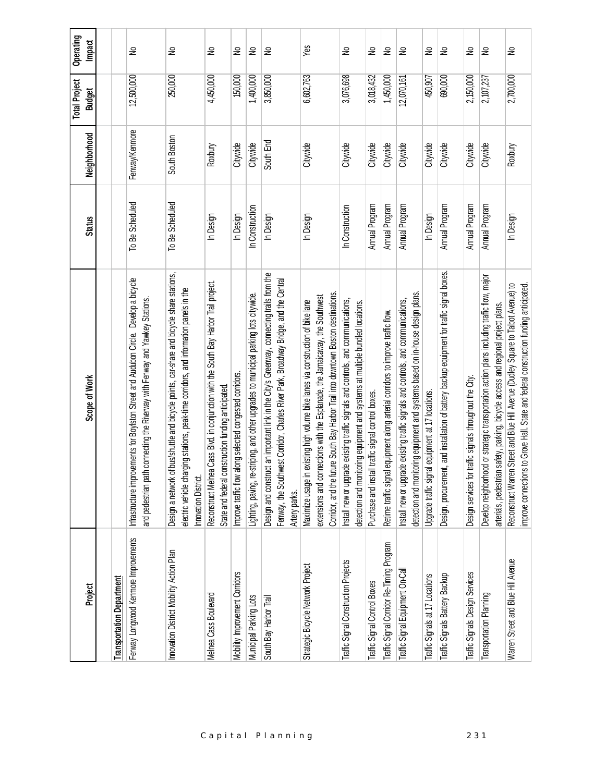| Project                                                                  | Scope of Work                                                                                                                                                                                                                                        | <b>Status</b>   | Neighborhood   | <b>Total Project</b><br><b>Budget</b> | Operating<br><b>Impact</b> |
|--------------------------------------------------------------------------|------------------------------------------------------------------------------------------------------------------------------------------------------------------------------------------------------------------------------------------------------|-----------------|----------------|---------------------------------------|----------------------------|
|                                                                          |                                                                                                                                                                                                                                                      |                 |                |                                       |                            |
| Fenway Longwood Kenmore Improvements<br><b>Transportation Department</b> | Infrastructure improvements for Boylston Street and Audubon Circle. Develop a bicycle<br>and pedestrian path connecting the Riverway with Fenway and Yawkey Stations.                                                                                | To Be Scheduled | Fenway/Kenmore | 12,500,000                            | ₽                          |
| Innovation District Mobility Action Plan                                 | bus/shuttle and bicycle points, car-share and bicycle share stations,<br>electric vehicle charging stations, peak-time corridors, and information panels in the<br>Design a network of<br>Innovation District.                                       | To Be Scheduled | South Boston   | 250,000                               | S                          |
| Melnea Cass Boulevard                                                    | Cass Blvd. in conjunction with the South Bay Harbor Trail project.<br>State and federal construction funding anticipated.<br>Reconstruct Melnea                                                                                                      | In Design       | Roxbury        | 4,450,000                             | ₽                          |
| Mobility Improvement Corridors                                           | Improve traffic flow along selected congested corridors.                                                                                                                                                                                             | In Design       | Citywide       | 150,000                               | S                          |
| Municipal Parking Lots                                                   | Lighting, paving, re-striping, and other upgrades to municipal parking lots citywide.                                                                                                                                                                | In Construction | Citywide       | 1,400,000                             | $\geq$                     |
| South Bay Harbor Trail                                                   | Design and construct an important link in the City's Greenway, connecting trails from the<br>Fenway, the Southwest Corridor, Charles River Park, Broadway Bridge, and the Central<br>Artery parks.                                                   | In Design       | South End      | 3,850,000                             | $\geq$                     |
| Strategic Bicycle Network Project                                        | Corridor, and the future South Bay Harbor Trail into downtown Boston destinations<br>extensions and connections with the Esplanade, the Jamaicaway, the Southwest<br>Maximize usage in existing high volume bike lanes via construction of bike lane | In Design       | Citywide       | 6,602,763                             | $Y$ es                     |
| Traffic Signal Construction Projects                                     | Install new or upgrade existing traffic signals and controls, and communications,<br>detection and monitoring equipment and systems at multiple bundled locations.                                                                                   | In Construction | Citywide       | 3,076,698                             | ₽                          |
| Traffic Signal Control Boxes                                             | traffic signal control boxes.<br>Purchase and install                                                                                                                                                                                                | Annual Program  | Citywide       | 3,018,432                             | 욷                          |
| Traffic Signal Corridor Re-Timing Program                                | equipment along arterial corridors to improve traffic flow.<br>Retime traffic signal                                                                                                                                                                 | Annual Program  | Citywide       | 1,450,000                             | ş                          |
| Traffic Signal Equipment On-Cal                                          | detection and monitoring equipment and systems based on in-house design plans.<br>Install new or upgrade existing traffic signals and controls, and communications,                                                                                  | Annual Program  | Citywide       | 12,070,161                            | $\tilde{z}$                |
| Traffic Signals at 17 Locations                                          | Upgrade traffic signal equipment at 17 locations.                                                                                                                                                                                                    | In Design       | Citywide       | 450,907                               | ş                          |
| Traffic Signals Battery Backup                                           | t, and installation of battery backup equipment for traffic signal boxes.<br>Design, procuremen                                                                                                                                                      | Annual Program  | Citywide       | 690,000                               | $\geq$                     |
| Traffic Signals Design Services                                          | traffic signals throughout the City.<br>Design services for                                                                                                                                                                                          | Annual Program  | Citywide       | 2,150,000                             | 욷                          |
| Transportation Planning                                                  | Develop neighborhood or strategic transportation action plans including traffic flow, major<br>arterials, pedestrian safety, parking, bicycle access and regional project plans.                                                                     | Annual Program  | Citywide       | 2,107,237                             | $\geq$                     |
| Warren Street and Blue Hill Avenue                                       | Street and Blue Hill Avenue (Dudley Square to Talbot Avenue) to<br>to Grove Hall. State and federal construction funding anticipated.<br>Reconstruct Warren<br>improve connections                                                                   | In Design       | Roxbury        | 2,700,000                             | ₽                          |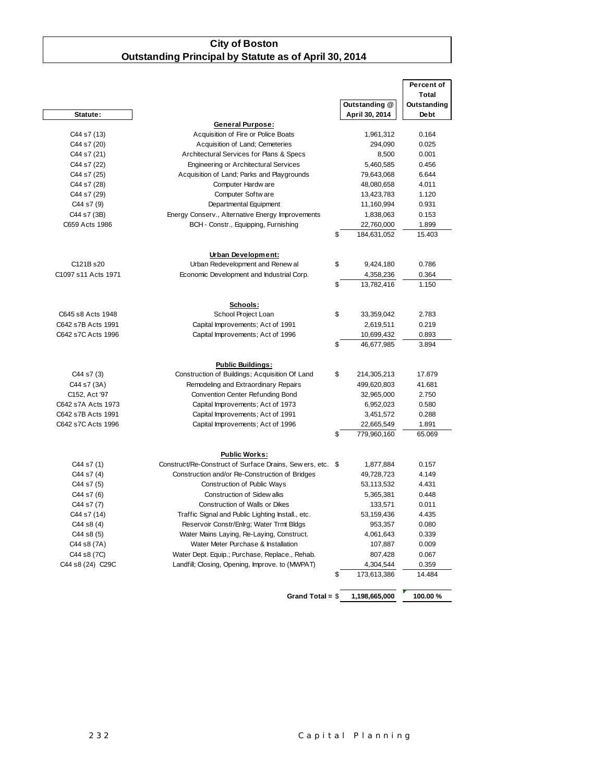#### **City of Boston Outstanding Principal by Statute as of April 30, 2014**

|                                         |                                                            |                                | Percent of     |
|-----------------------------------------|------------------------------------------------------------|--------------------------------|----------------|
|                                         |                                                            |                                | Total          |
|                                         |                                                            | Outstanding @                  | Outstanding    |
| Statute:                                |                                                            | April 30, 2014                 | Debt           |
|                                         | <b>General Purpose:</b>                                    |                                |                |
| C44 s7 (13)                             | Acquisition of Fire or Police Boats                        | 1,961,312                      | 0.164          |
| C44 s7 (20)                             | Acquisition of Land; Cemeteries                            | 294,090                        | 0.025          |
| C44 s7 (21)                             | Architectural Services for Plans & Specs                   | 8,500                          | 0.001          |
| C44 s7 (22)                             | <b>Engineering or Architectural Services</b>               | 5,460,585                      | 0.456          |
| C44 s7 (25)                             | Acquisition of Land; Parks and Playgrounds                 | 79,643,068                     | 6.644          |
| C44 s7 (28)                             | Computer Hardw are                                         | 48,080,658                     | 4.011          |
| C44 s7 (29)                             | Computer Softw are                                         | 13,423,783                     | 1.120          |
| C44 s7 (9)                              | Departmental Equipment                                     | 11,160,994                     | 0.931          |
| C44 s7 (3B)                             | Energy Conserv., Alternative Energy Improvements           | 1,838,063                      | 0.153          |
| C659 Acts 1986                          | BCH - Constr., Equipping, Furnishing                       | 22,760,000                     | 1.899          |
|                                         |                                                            | \$<br>184,631,052              | 15.403         |
|                                         |                                                            |                                |                |
|                                         | Urban Development:                                         |                                |                |
| C121B s20                               | Urban Redevelopment and Renew al                           | \$<br>9,424,180                | 0.786          |
| C1097 s11 Acts 1971                     | Economic Development and Industrial Corp.                  | 4,358,236                      | 0.364          |
|                                         |                                                            | \$<br>13,782,416               | 1.150          |
|                                         |                                                            |                                |                |
|                                         | Schools:<br>School Project Loan                            | \$                             |                |
| C645 s8 Acts 1948<br>C642 s7B Acts 1991 |                                                            | 33,359,042                     | 2.783          |
|                                         | Capital Improvements; Act of 1991                          | 2,619,511                      | 0.219          |
| C642 s7C Acts 1996                      | Capital Improvements; Act of 1996                          | \$<br>10,699,432<br>46,677,985 | 0.893<br>3.894 |
|                                         |                                                            |                                |                |
|                                         | <b>Public Buildings:</b>                                   |                                |                |
| C44 s7 (3)                              | Construction of Buildings; Acquisition Of Land             | \$<br>214,305,213              | 17.879         |
| C44 s7 (3A)                             | Remodeling and Extraordinary Repairs                       | 499,620,803                    | 41.681         |
| C152, Act '97                           | Convention Center Refunding Bond                           | 32,965,000                     | 2.750          |
| C642 s7A Acts 1973                      | Capital Improvements; Act of 1973                          | 6,952,023                      | 0.580          |
| C642 s7B Acts 1991                      | Capital Improvements; Act of 1991                          | 3,451,572                      | 0.288          |
| C642 s7C Acts 1996                      | Capital Improvements; Act of 1996                          | 22,665,549                     | 1.891          |
|                                         |                                                            | \$<br>779,960,160              | 65.069         |
|                                         |                                                            |                                |                |
|                                         | <b>Public Works:</b>                                       |                                |                |
| C44 s7 (1)                              | Construct/Re-Construct of Surface Drains, Sew ers, etc. \$ | 1,877,884                      | 0.157          |
| C44 s7 (4)                              | Construction and/or Re-Construction of Bridges             | 49,728,723                     | 4.149          |
| C44 s7 (5)                              | Construction of Public Ways                                | 53,113,532                     | 4.431          |
| C44 s7 (6)                              | Construction of Sidew alks                                 | 5,365,381                      | 0.448          |
| C44 s7 (7)                              | Construction of Walls or Dikes                             | 133,571                        | 0.011          |
| C44 s7 (14)                             | Traffic Signal and Public Lighting Install., etc.          | 53,159,436                     | 4.435          |
| C44 s8 (4)                              | Reservoir Constr/Enlrg; Water Trmt Bldgs                   | 953,357                        | 0.080          |
| C44 s8 (5)                              | Water Mains Laying, Re-Laying, Construct.                  | 4,061,643                      | 0.339          |
| C44 s8 (7A)                             | Water Meter Purchase & Installation                        | 107,887                        | 0.009          |
| C44 s8 (7C)                             | Water Dept. Equip.; Purchase, Replace., Rehab.             | 807,428                        | 0.067          |
| C44 s8 (24) C29C                        | Landfill; Closing, Opening, Improve. to (MWPAT)            | 4,304,544                      | 0.359          |
|                                         |                                                            | \$<br>173,613,386              | 14.484         |
|                                         |                                                            |                                |                |
|                                         | Grand Total = $$$                                          | 1,198,665,000                  | 100.00%        |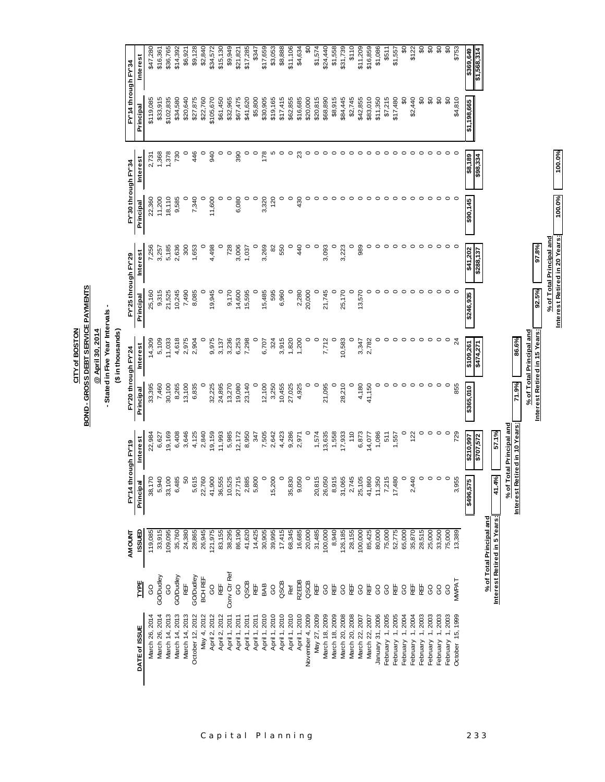| FY'14 through FY'34<br>S<br>င္တ<br>\$20,000<br>\$8,915<br>\$11,350<br>\$7,215<br>\$17,480<br>S<br>\$2,440<br>$\mathfrak{S}$<br>္တ<br>\$4,810<br>\$33,915<br>\$102,835<br>\$34,580<br>\$20,640<br>\$105,670<br>\$32,965<br>\$67,475<br>\$5,800<br>\$30,905<br>\$17,415<br>\$62,855<br>\$16,685<br>\$20,815<br>\$68,890<br>\$84,445<br>\$2,745<br>\$42,855<br>\$83,010<br>\$119,085<br>\$27,875<br>\$22,760<br>\$61,450<br>\$41,620<br>\$19,165<br>\$1,198,665<br>Principal<br>%0'001<br>1,378<br>730<br>446<br>390<br>23<br>1,368<br>$\circ$<br>$\circ$<br>940<br>$\circ$<br>0<br>$\circ$<br>178<br>$\circ$<br>$\circ$<br>$\circ$<br>$\circ$<br>$\circ$<br>$\circ$<br>c<br>LO<br>$\circ$<br>$\circ$<br>∘<br>○<br>$\circ$<br>$\circ$<br>$\circ$<br>$\circ$<br>○<br>$\circ$<br>○<br>$\circ$<br>っ<br>2,731<br>\$8,189<br>\$98,334<br>Interest<br>PY'30 through PY'34<br>100.0%<br>18,110<br>11,200<br>9,585<br>7,340<br>11,600<br>$\circ$<br>6,080<br>$\circ$<br>3,320<br>120<br>$\circ$<br>$\circ$<br>430<br>$\circ$<br>0<br>$\circ$<br>0<br>$\circ$<br>0<br>$\circ$<br>0<br>$\circ$<br>$\circ$<br>22,360<br>\$90,145<br>Principal<br>Interest Retired in 20 Years:<br>% of Total Principal and<br>97.8%<br>5,185<br>2,636<br>300<br>4,498<br>728<br>3,006<br>3,269<br>550<br>440<br>$\circ$<br>3,093<br>$\circ$<br>3,223<br>$\circ$<br>989<br>$\circ$<br>$\circ$<br>$\circ$<br>$\circ$<br>7,256<br>1,653<br>$\circ$<br>82<br>$\circ$<br>$\circ$<br>$\circ$<br>$\circ$<br>$\circ$<br>$\circ$<br>0<br>$\circ$<br>$\circ$<br>$\circ$<br>3,257<br>O<br>1,037<br>\$41,202<br>Interest<br>\$288,137<br>FY'25 through FY'29<br>92.5%<br>9,315<br>21,525<br>10,245<br>7,490<br>9,170<br>14,600<br>595<br>6,960<br>$\circ$<br>2,280<br>20,000<br>$\circ$<br>25,170<br>$\circ$<br>13,570<br>$\circ$<br>$\circ$<br>$\circ$<br>$\circ$<br>$\circ$<br>$\circ$<br>$\circ$<br>$\circ$<br>8,085<br>$\circ$<br>19,945<br>$\circ$<br>15,595<br>$\circ$<br>15,485<br>$\circ$<br>21,745<br>$\circ$<br>$\circ$<br>$\circ$<br>25,160<br>\$246,935<br>Principal<br>- Stated in Five Year Intervals<br>Interest Retired in 15 Years:<br>@ April 30, 2014<br>% of Total Principal and<br>(\$ in thousands)<br>14,309<br>5,109<br>11,033<br>4,618<br>2,975<br>9,975<br>3,236<br>6,253<br>3,915<br>1,820<br>1,200<br>$\circ$<br>$\circ$<br>$\circ$<br>10,583<br>2,782<br>$\circ$<br>$\circ$<br>$\circ$<br>$\circ$<br>$\circ$<br>$\circ$<br>$\circ$<br>86.6%<br>2,904<br>7,298<br>$\circ$<br>324<br>7,712<br>$\circ$<br>$\circ$<br>$\circ$<br>$^{24}$<br>3,137<br>6,707<br>3,347<br>\$109,261<br><b>Interest</b><br>\$474,271<br>FY20 through FY24<br>71.9%<br>30,100<br>13,100<br>12,100<br>3,250<br>28,210<br>4,180<br>$\circ$<br>$\circ$<br>$\circ$<br>$\circ$<br>$\circ$<br>$\circ$<br>7,460<br>8,265<br>6,835<br>32,225<br>24,895<br>13,270<br>19,080<br>23,140<br>$\circ$<br>10,455<br>27,025<br>4,925<br>$\circ$<br>$\circ$<br>21,095<br>$\circ$<br>$\circ$<br>41,150<br>$\circ$<br>855<br>33,395<br>\$365,010<br>Principal<br>Interest Retired in 10 Years:<br>% of Total Principal and<br>$\circ$<br>57.1%<br>19,169<br>6,408<br>3,646<br>4,125<br>2,840<br>19,159<br>11,993<br>5,985<br>8,950<br>7,505<br>4,423<br>9,286<br>$\circ$<br>1,574<br>13,635<br>1,558<br>110<br>6,873<br>1,086<br>$\circ$<br>$\circ$<br>$\circ$<br>$\circ$<br>729<br>12,172<br>2,642<br>17,933<br>122<br>22,984<br>6,627<br>347<br>511<br>2,971<br>1,557<br>14,077<br>\$210,997<br>\$707,572<br>Interest<br>FY14 through FY19<br>41.4%<br>5,940<br>33,100<br>5,615<br>22,760<br>41,900<br>10,525<br>$\circ$<br>9,050<br>$\circ$<br>20,815<br>26,050<br>8,915<br>31,065<br>2,745<br>41,860<br>11,350<br>7,215<br>17,480<br>$\circ$<br>2,440<br>$\circ$<br>$\circ$<br>$\circ$<br>$\circ$<br>38,170<br>6,485<br>6<br>36,555<br>27,715<br>2,885<br>5,800<br>$\circ$<br>15,200<br>35,830<br>25,105<br>3,955<br>بە<br>Principal<br>\$496,57<br>Interest Retired in 5 Years:<br>% of Total Principal and<br><b>Ganssi</b><br>119,085<br>33,915<br>121,975<br>14,425<br>30,905<br>17,415<br>28,515<br>25,000<br>109,095<br>35,760<br>24,380<br>28,865<br>26,945<br>83,155<br>38,295<br>86,190<br>41,620<br>39,995<br>68,345<br>16,685<br>20,000<br>31,485<br>100,000<br>8,940<br>126,185<br>28,155<br>100,000<br>85,425<br>80,000<br>75,000<br>52,775<br>65,000<br>35,870<br>33,500<br>75,000<br>13,389<br><b>AMOUNT</b><br>Conv Ctr Ref<br>GO/Dudley<br>GO/Dudley<br>GO/Dudley<br>BCH REF<br><b>MWPAT</b><br><b>RZEDB</b><br>TYPE<br>QSCB<br>QSCB<br>RË<br>QSCB<br>in<br>B<br>BAB<br>RË<br>HE<br>RE<br>₩<br>ÆF<br>臣<br>RË<br>臣<br>H<br>R<br>8<br>ပ္ပ<br>S<br>Ref<br>8<br><b>GO</b><br>8<br><b>GO</b><br>8<br>8<br>8<br>8<br><b>GO</b><br>8<br>8<br>January 31, 2006<br>March 14, 2013<br>April 1, 2011<br>April 1, 2010<br>November 4, 2009<br>March 26, 2014<br>March 14, 2013<br>March 14, 2013<br>October 12, 2012<br>May 4, 2012<br>April 2, 2012<br>April 2, 2012<br>April 1, 2011<br>April 1, 2010<br>April 1, 2010<br>April 1, 2010<br>April 1, 2010<br>March 18, 2009<br>March 20, 2008<br>1,2005<br>1,2003<br>March 26, 2014<br>April 1, 2011<br>April 1, 2011<br>May 27, 2009<br>March 18, 2009<br>March 20, 2008<br>February 1, 2005<br>February 1, 2004<br>1,2004<br>February 1, 2003<br>October 15, 1999<br>March 22, 2007<br>1,2003<br>February 1, 2003<br>March 22, 2007<br>DATE of ISSUE<br>February<br>February<br>February<br>February |  |  | <b>BOND - GROSS DEBT SERVICE PAYMENTS</b> | CITY of BOSTON |  |  |                                            |
|---------------------------------------------------------------------------------------------------------------------------------------------------------------------------------------------------------------------------------------------------------------------------------------------------------------------------------------------------------------------------------------------------------------------------------------------------------------------------------------------------------------------------------------------------------------------------------------------------------------------------------------------------------------------------------------------------------------------------------------------------------------------------------------------------------------------------------------------------------------------------------------------------------------------------------------------------------------------------------------------------------------------------------------------------------------------------------------------------------------------------------------------------------------------------------------------------------------------------------------------------------------------------------------------------------------------------------------------------------------------------------------------------------------------------------------------------------------------------------------------------------------------------------------------------------------------------------------------------------------------------------------------------------------------------------------------------------------------------------------------------------------------------------------------------------------------------------------------------------------------------------------------------------------------------------------------------------------------------------------------------------------------------------------------------------------------------------------------------------------------------------------------------------------------------------------------------------------------------------------------------------------------------------------------------------------------------------------------------------------------------------------------------------------------------------------------------------------------------------------------------------------------------------------------------------------------------------------------------------------------------------------------------------------------------------------------------------------------------------------------------------------------------------------------------------------------------------------------------------------------------------------------------------------------------------------------------------------------------------------------------------------------------------------------------------------------------------------------------------------------------------------------------------------------------------------------------------------------------------------------------------------------------------------------------------------------------------------------------------------------------------------------------------------------------------------------------------------------------------------------------------------------------------------------------------------------------------------------------------------------------------------------------------------------------------------------------------------------------------------------------------------------------------------------------------------------------------------------------------------------------------------------------------------------------------------------------------------------------------------------------------------------------------------------------------------------------------------------------------------------------------------------------------------------------------------------------------------------------------------------------------------------------------------------------------------------------------------------------------------------------------------------------------------------------------------------------------------------------------------------------------------------------------------------------------------------------------------------------------------------------------------------------------------------------------------------------------------------------------------------------------------------------------------------------------------------------------------------------------------------------------------------------------------------------------------------------------------------------------------------------------------------------------------------------------------------------------------------------------------------------------------------------------------------------------------------------------------------------------------------------------------------------------------------------------------------------------------------------------------------------------------------------------|--|--|-------------------------------------------|----------------|--|--|--------------------------------------------|
|                                                                                                                                                                                                                                                                                                                                                                                                                                                                                                                                                                                                                                                                                                                                                                                                                                                                                                                                                                                                                                                                                                                                                                                                                                                                                                                                                                                                                                                                                                                                                                                                                                                                                                                                                                                                                                                                                                                                                                                                                                                                                                                                                                                                                                                                                                                                                                                                                                                                                                                                                                                                                                                                                                                                                                                                                                                                                                                                                                                                                                                                                                                                                                                                                                                                                                                                                                                                                                                                                                                                                                                                                                                                                                                                                                                                                                                                                                                                                                                                                                                                                                                                                                                                                                                                                                                                                                                                                                                                                                                                                                                                                                                                                                                                                                                                                                                                                                                                                                                                                                                                                                                                                                                                                                                                                                                                                                                                         |  |  |                                           |                |  |  |                                            |
|                                                                                                                                                                                                                                                                                                                                                                                                                                                                                                                                                                                                                                                                                                                                                                                                                                                                                                                                                                                                                                                                                                                                                                                                                                                                                                                                                                                                                                                                                                                                                                                                                                                                                                                                                                                                                                                                                                                                                                                                                                                                                                                                                                                                                                                                                                                                                                                                                                                                                                                                                                                                                                                                                                                                                                                                                                                                                                                                                                                                                                                                                                                                                                                                                                                                                                                                                                                                                                                                                                                                                                                                                                                                                                                                                                                                                                                                                                                                                                                                                                                                                                                                                                                                                                                                                                                                                                                                                                                                                                                                                                                                                                                                                                                                                                                                                                                                                                                                                                                                                                                                                                                                                                                                                                                                                                                                                                                                         |  |  |                                           |                |  |  |                                            |
|                                                                                                                                                                                                                                                                                                                                                                                                                                                                                                                                                                                                                                                                                                                                                                                                                                                                                                                                                                                                                                                                                                                                                                                                                                                                                                                                                                                                                                                                                                                                                                                                                                                                                                                                                                                                                                                                                                                                                                                                                                                                                                                                                                                                                                                                                                                                                                                                                                                                                                                                                                                                                                                                                                                                                                                                                                                                                                                                                                                                                                                                                                                                                                                                                                                                                                                                                                                                                                                                                                                                                                                                                                                                                                                                                                                                                                                                                                                                                                                                                                                                                                                                                                                                                                                                                                                                                                                                                                                                                                                                                                                                                                                                                                                                                                                                                                                                                                                                                                                                                                                                                                                                                                                                                                                                                                                                                                                                         |  |  |                                           |                |  |  |                                            |
|                                                                                                                                                                                                                                                                                                                                                                                                                                                                                                                                                                                                                                                                                                                                                                                                                                                                                                                                                                                                                                                                                                                                                                                                                                                                                                                                                                                                                                                                                                                                                                                                                                                                                                                                                                                                                                                                                                                                                                                                                                                                                                                                                                                                                                                                                                                                                                                                                                                                                                                                                                                                                                                                                                                                                                                                                                                                                                                                                                                                                                                                                                                                                                                                                                                                                                                                                                                                                                                                                                                                                                                                                                                                                                                                                                                                                                                                                                                                                                                                                                                                                                                                                                                                                                                                                                                                                                                                                                                                                                                                                                                                                                                                                                                                                                                                                                                                                                                                                                                                                                                                                                                                                                                                                                                                                                                                                                                                         |  |  |                                           |                |  |  | Interest                                   |
|                                                                                                                                                                                                                                                                                                                                                                                                                                                                                                                                                                                                                                                                                                                                                                                                                                                                                                                                                                                                                                                                                                                                                                                                                                                                                                                                                                                                                                                                                                                                                                                                                                                                                                                                                                                                                                                                                                                                                                                                                                                                                                                                                                                                                                                                                                                                                                                                                                                                                                                                                                                                                                                                                                                                                                                                                                                                                                                                                                                                                                                                                                                                                                                                                                                                                                                                                                                                                                                                                                                                                                                                                                                                                                                                                                                                                                                                                                                                                                                                                                                                                                                                                                                                                                                                                                                                                                                                                                                                                                                                                                                                                                                                                                                                                                                                                                                                                                                                                                                                                                                                                                                                                                                                                                                                                                                                                                                                         |  |  |                                           |                |  |  | \$47,280                                   |
|                                                                                                                                                                                                                                                                                                                                                                                                                                                                                                                                                                                                                                                                                                                                                                                                                                                                                                                                                                                                                                                                                                                                                                                                                                                                                                                                                                                                                                                                                                                                                                                                                                                                                                                                                                                                                                                                                                                                                                                                                                                                                                                                                                                                                                                                                                                                                                                                                                                                                                                                                                                                                                                                                                                                                                                                                                                                                                                                                                                                                                                                                                                                                                                                                                                                                                                                                                                                                                                                                                                                                                                                                                                                                                                                                                                                                                                                                                                                                                                                                                                                                                                                                                                                                                                                                                                                                                                                                                                                                                                                                                                                                                                                                                                                                                                                                                                                                                                                                                                                                                                                                                                                                                                                                                                                                                                                                                                                         |  |  |                                           |                |  |  | \$36,765<br>\$16,361                       |
|                                                                                                                                                                                                                                                                                                                                                                                                                                                                                                                                                                                                                                                                                                                                                                                                                                                                                                                                                                                                                                                                                                                                                                                                                                                                                                                                                                                                                                                                                                                                                                                                                                                                                                                                                                                                                                                                                                                                                                                                                                                                                                                                                                                                                                                                                                                                                                                                                                                                                                                                                                                                                                                                                                                                                                                                                                                                                                                                                                                                                                                                                                                                                                                                                                                                                                                                                                                                                                                                                                                                                                                                                                                                                                                                                                                                                                                                                                                                                                                                                                                                                                                                                                                                                                                                                                                                                                                                                                                                                                                                                                                                                                                                                                                                                                                                                                                                                                                                                                                                                                                                                                                                                                                                                                                                                                                                                                                                         |  |  |                                           |                |  |  | \$14,392                                   |
|                                                                                                                                                                                                                                                                                                                                                                                                                                                                                                                                                                                                                                                                                                                                                                                                                                                                                                                                                                                                                                                                                                                                                                                                                                                                                                                                                                                                                                                                                                                                                                                                                                                                                                                                                                                                                                                                                                                                                                                                                                                                                                                                                                                                                                                                                                                                                                                                                                                                                                                                                                                                                                                                                                                                                                                                                                                                                                                                                                                                                                                                                                                                                                                                                                                                                                                                                                                                                                                                                                                                                                                                                                                                                                                                                                                                                                                                                                                                                                                                                                                                                                                                                                                                                                                                                                                                                                                                                                                                                                                                                                                                                                                                                                                                                                                                                                                                                                                                                                                                                                                                                                                                                                                                                                                                                                                                                                                                         |  |  |                                           |                |  |  | \$6,921                                    |
|                                                                                                                                                                                                                                                                                                                                                                                                                                                                                                                                                                                                                                                                                                                                                                                                                                                                                                                                                                                                                                                                                                                                                                                                                                                                                                                                                                                                                                                                                                                                                                                                                                                                                                                                                                                                                                                                                                                                                                                                                                                                                                                                                                                                                                                                                                                                                                                                                                                                                                                                                                                                                                                                                                                                                                                                                                                                                                                                                                                                                                                                                                                                                                                                                                                                                                                                                                                                                                                                                                                                                                                                                                                                                                                                                                                                                                                                                                                                                                                                                                                                                                                                                                                                                                                                                                                                                                                                                                                                                                                                                                                                                                                                                                                                                                                                                                                                                                                                                                                                                                                                                                                                                                                                                                                                                                                                                                                                         |  |  |                                           |                |  |  | \$9,128                                    |
|                                                                                                                                                                                                                                                                                                                                                                                                                                                                                                                                                                                                                                                                                                                                                                                                                                                                                                                                                                                                                                                                                                                                                                                                                                                                                                                                                                                                                                                                                                                                                                                                                                                                                                                                                                                                                                                                                                                                                                                                                                                                                                                                                                                                                                                                                                                                                                                                                                                                                                                                                                                                                                                                                                                                                                                                                                                                                                                                                                                                                                                                                                                                                                                                                                                                                                                                                                                                                                                                                                                                                                                                                                                                                                                                                                                                                                                                                                                                                                                                                                                                                                                                                                                                                                                                                                                                                                                                                                                                                                                                                                                                                                                                                                                                                                                                                                                                                                                                                                                                                                                                                                                                                                                                                                                                                                                                                                                                         |  |  |                                           |                |  |  | \$2,840                                    |
|                                                                                                                                                                                                                                                                                                                                                                                                                                                                                                                                                                                                                                                                                                                                                                                                                                                                                                                                                                                                                                                                                                                                                                                                                                                                                                                                                                                                                                                                                                                                                                                                                                                                                                                                                                                                                                                                                                                                                                                                                                                                                                                                                                                                                                                                                                                                                                                                                                                                                                                                                                                                                                                                                                                                                                                                                                                                                                                                                                                                                                                                                                                                                                                                                                                                                                                                                                                                                                                                                                                                                                                                                                                                                                                                                                                                                                                                                                                                                                                                                                                                                                                                                                                                                                                                                                                                                                                                                                                                                                                                                                                                                                                                                                                                                                                                                                                                                                                                                                                                                                                                                                                                                                                                                                                                                                                                                                                                         |  |  |                                           |                |  |  | \$34,572                                   |
|                                                                                                                                                                                                                                                                                                                                                                                                                                                                                                                                                                                                                                                                                                                                                                                                                                                                                                                                                                                                                                                                                                                                                                                                                                                                                                                                                                                                                                                                                                                                                                                                                                                                                                                                                                                                                                                                                                                                                                                                                                                                                                                                                                                                                                                                                                                                                                                                                                                                                                                                                                                                                                                                                                                                                                                                                                                                                                                                                                                                                                                                                                                                                                                                                                                                                                                                                                                                                                                                                                                                                                                                                                                                                                                                                                                                                                                                                                                                                                                                                                                                                                                                                                                                                                                                                                                                                                                                                                                                                                                                                                                                                                                                                                                                                                                                                                                                                                                                                                                                                                                                                                                                                                                                                                                                                                                                                                                                         |  |  |                                           |                |  |  | \$15,130                                   |
|                                                                                                                                                                                                                                                                                                                                                                                                                                                                                                                                                                                                                                                                                                                                                                                                                                                                                                                                                                                                                                                                                                                                                                                                                                                                                                                                                                                                                                                                                                                                                                                                                                                                                                                                                                                                                                                                                                                                                                                                                                                                                                                                                                                                                                                                                                                                                                                                                                                                                                                                                                                                                                                                                                                                                                                                                                                                                                                                                                                                                                                                                                                                                                                                                                                                                                                                                                                                                                                                                                                                                                                                                                                                                                                                                                                                                                                                                                                                                                                                                                                                                                                                                                                                                                                                                                                                                                                                                                                                                                                                                                                                                                                                                                                                                                                                                                                                                                                                                                                                                                                                                                                                                                                                                                                                                                                                                                                                         |  |  |                                           |                |  |  | \$9,949                                    |
|                                                                                                                                                                                                                                                                                                                                                                                                                                                                                                                                                                                                                                                                                                                                                                                                                                                                                                                                                                                                                                                                                                                                                                                                                                                                                                                                                                                                                                                                                                                                                                                                                                                                                                                                                                                                                                                                                                                                                                                                                                                                                                                                                                                                                                                                                                                                                                                                                                                                                                                                                                                                                                                                                                                                                                                                                                                                                                                                                                                                                                                                                                                                                                                                                                                                                                                                                                                                                                                                                                                                                                                                                                                                                                                                                                                                                                                                                                                                                                                                                                                                                                                                                                                                                                                                                                                                                                                                                                                                                                                                                                                                                                                                                                                                                                                                                                                                                                                                                                                                                                                                                                                                                                                                                                                                                                                                                                                                         |  |  |                                           |                |  |  | \$21,821                                   |
|                                                                                                                                                                                                                                                                                                                                                                                                                                                                                                                                                                                                                                                                                                                                                                                                                                                                                                                                                                                                                                                                                                                                                                                                                                                                                                                                                                                                                                                                                                                                                                                                                                                                                                                                                                                                                                                                                                                                                                                                                                                                                                                                                                                                                                                                                                                                                                                                                                                                                                                                                                                                                                                                                                                                                                                                                                                                                                                                                                                                                                                                                                                                                                                                                                                                                                                                                                                                                                                                                                                                                                                                                                                                                                                                                                                                                                                                                                                                                                                                                                                                                                                                                                                                                                                                                                                                                                                                                                                                                                                                                                                                                                                                                                                                                                                                                                                                                                                                                                                                                                                                                                                                                                                                                                                                                                                                                                                                         |  |  |                                           |                |  |  | \$17,285                                   |
|                                                                                                                                                                                                                                                                                                                                                                                                                                                                                                                                                                                                                                                                                                                                                                                                                                                                                                                                                                                                                                                                                                                                                                                                                                                                                                                                                                                                                                                                                                                                                                                                                                                                                                                                                                                                                                                                                                                                                                                                                                                                                                                                                                                                                                                                                                                                                                                                                                                                                                                                                                                                                                                                                                                                                                                                                                                                                                                                                                                                                                                                                                                                                                                                                                                                                                                                                                                                                                                                                                                                                                                                                                                                                                                                                                                                                                                                                                                                                                                                                                                                                                                                                                                                                                                                                                                                                                                                                                                                                                                                                                                                                                                                                                                                                                                                                                                                                                                                                                                                                                                                                                                                                                                                                                                                                                                                                                                                         |  |  |                                           |                |  |  | \$347                                      |
|                                                                                                                                                                                                                                                                                                                                                                                                                                                                                                                                                                                                                                                                                                                                                                                                                                                                                                                                                                                                                                                                                                                                                                                                                                                                                                                                                                                                                                                                                                                                                                                                                                                                                                                                                                                                                                                                                                                                                                                                                                                                                                                                                                                                                                                                                                                                                                                                                                                                                                                                                                                                                                                                                                                                                                                                                                                                                                                                                                                                                                                                                                                                                                                                                                                                                                                                                                                                                                                                                                                                                                                                                                                                                                                                                                                                                                                                                                                                                                                                                                                                                                                                                                                                                                                                                                                                                                                                                                                                                                                                                                                                                                                                                                                                                                                                                                                                                                                                                                                                                                                                                                                                                                                                                                                                                                                                                                                                         |  |  |                                           |                |  |  | \$17,659                                   |
|                                                                                                                                                                                                                                                                                                                                                                                                                                                                                                                                                                                                                                                                                                                                                                                                                                                                                                                                                                                                                                                                                                                                                                                                                                                                                                                                                                                                                                                                                                                                                                                                                                                                                                                                                                                                                                                                                                                                                                                                                                                                                                                                                                                                                                                                                                                                                                                                                                                                                                                                                                                                                                                                                                                                                                                                                                                                                                                                                                                                                                                                                                                                                                                                                                                                                                                                                                                                                                                                                                                                                                                                                                                                                                                                                                                                                                                                                                                                                                                                                                                                                                                                                                                                                                                                                                                                                                                                                                                                                                                                                                                                                                                                                                                                                                                                                                                                                                                                                                                                                                                                                                                                                                                                                                                                                                                                                                                                         |  |  |                                           |                |  |  | \$3,053                                    |
|                                                                                                                                                                                                                                                                                                                                                                                                                                                                                                                                                                                                                                                                                                                                                                                                                                                                                                                                                                                                                                                                                                                                                                                                                                                                                                                                                                                                                                                                                                                                                                                                                                                                                                                                                                                                                                                                                                                                                                                                                                                                                                                                                                                                                                                                                                                                                                                                                                                                                                                                                                                                                                                                                                                                                                                                                                                                                                                                                                                                                                                                                                                                                                                                                                                                                                                                                                                                                                                                                                                                                                                                                                                                                                                                                                                                                                                                                                                                                                                                                                                                                                                                                                                                                                                                                                                                                                                                                                                                                                                                                                                                                                                                                                                                                                                                                                                                                                                                                                                                                                                                                                                                                                                                                                                                                                                                                                                                         |  |  |                                           |                |  |  | \$8,888                                    |
|                                                                                                                                                                                                                                                                                                                                                                                                                                                                                                                                                                                                                                                                                                                                                                                                                                                                                                                                                                                                                                                                                                                                                                                                                                                                                                                                                                                                                                                                                                                                                                                                                                                                                                                                                                                                                                                                                                                                                                                                                                                                                                                                                                                                                                                                                                                                                                                                                                                                                                                                                                                                                                                                                                                                                                                                                                                                                                                                                                                                                                                                                                                                                                                                                                                                                                                                                                                                                                                                                                                                                                                                                                                                                                                                                                                                                                                                                                                                                                                                                                                                                                                                                                                                                                                                                                                                                                                                                                                                                                                                                                                                                                                                                                                                                                                                                                                                                                                                                                                                                                                                                                                                                                                                                                                                                                                                                                                                         |  |  |                                           |                |  |  | \$11,106                                   |
|                                                                                                                                                                                                                                                                                                                                                                                                                                                                                                                                                                                                                                                                                                                                                                                                                                                                                                                                                                                                                                                                                                                                                                                                                                                                                                                                                                                                                                                                                                                                                                                                                                                                                                                                                                                                                                                                                                                                                                                                                                                                                                                                                                                                                                                                                                                                                                                                                                                                                                                                                                                                                                                                                                                                                                                                                                                                                                                                                                                                                                                                                                                                                                                                                                                                                                                                                                                                                                                                                                                                                                                                                                                                                                                                                                                                                                                                                                                                                                                                                                                                                                                                                                                                                                                                                                                                                                                                                                                                                                                                                                                                                                                                                                                                                                                                                                                                                                                                                                                                                                                                                                                                                                                                                                                                                                                                                                                                         |  |  |                                           |                |  |  | \$4,634<br>S)                              |
|                                                                                                                                                                                                                                                                                                                                                                                                                                                                                                                                                                                                                                                                                                                                                                                                                                                                                                                                                                                                                                                                                                                                                                                                                                                                                                                                                                                                                                                                                                                                                                                                                                                                                                                                                                                                                                                                                                                                                                                                                                                                                                                                                                                                                                                                                                                                                                                                                                                                                                                                                                                                                                                                                                                                                                                                                                                                                                                                                                                                                                                                                                                                                                                                                                                                                                                                                                                                                                                                                                                                                                                                                                                                                                                                                                                                                                                                                                                                                                                                                                                                                                                                                                                                                                                                                                                                                                                                                                                                                                                                                                                                                                                                                                                                                                                                                                                                                                                                                                                                                                                                                                                                                                                                                                                                                                                                                                                                         |  |  |                                           |                |  |  | \$1,574                                    |
|                                                                                                                                                                                                                                                                                                                                                                                                                                                                                                                                                                                                                                                                                                                                                                                                                                                                                                                                                                                                                                                                                                                                                                                                                                                                                                                                                                                                                                                                                                                                                                                                                                                                                                                                                                                                                                                                                                                                                                                                                                                                                                                                                                                                                                                                                                                                                                                                                                                                                                                                                                                                                                                                                                                                                                                                                                                                                                                                                                                                                                                                                                                                                                                                                                                                                                                                                                                                                                                                                                                                                                                                                                                                                                                                                                                                                                                                                                                                                                                                                                                                                                                                                                                                                                                                                                                                                                                                                                                                                                                                                                                                                                                                                                                                                                                                                                                                                                                                                                                                                                                                                                                                                                                                                                                                                                                                                                                                         |  |  |                                           |                |  |  | \$24,440                                   |
|                                                                                                                                                                                                                                                                                                                                                                                                                                                                                                                                                                                                                                                                                                                                                                                                                                                                                                                                                                                                                                                                                                                                                                                                                                                                                                                                                                                                                                                                                                                                                                                                                                                                                                                                                                                                                                                                                                                                                                                                                                                                                                                                                                                                                                                                                                                                                                                                                                                                                                                                                                                                                                                                                                                                                                                                                                                                                                                                                                                                                                                                                                                                                                                                                                                                                                                                                                                                                                                                                                                                                                                                                                                                                                                                                                                                                                                                                                                                                                                                                                                                                                                                                                                                                                                                                                                                                                                                                                                                                                                                                                                                                                                                                                                                                                                                                                                                                                                                                                                                                                                                                                                                                                                                                                                                                                                                                                                                         |  |  |                                           |                |  |  | \$1,558                                    |
|                                                                                                                                                                                                                                                                                                                                                                                                                                                                                                                                                                                                                                                                                                                                                                                                                                                                                                                                                                                                                                                                                                                                                                                                                                                                                                                                                                                                                                                                                                                                                                                                                                                                                                                                                                                                                                                                                                                                                                                                                                                                                                                                                                                                                                                                                                                                                                                                                                                                                                                                                                                                                                                                                                                                                                                                                                                                                                                                                                                                                                                                                                                                                                                                                                                                                                                                                                                                                                                                                                                                                                                                                                                                                                                                                                                                                                                                                                                                                                                                                                                                                                                                                                                                                                                                                                                                                                                                                                                                                                                                                                                                                                                                                                                                                                                                                                                                                                                                                                                                                                                                                                                                                                                                                                                                                                                                                                                                         |  |  |                                           |                |  |  | \$31,739                                   |
|                                                                                                                                                                                                                                                                                                                                                                                                                                                                                                                                                                                                                                                                                                                                                                                                                                                                                                                                                                                                                                                                                                                                                                                                                                                                                                                                                                                                                                                                                                                                                                                                                                                                                                                                                                                                                                                                                                                                                                                                                                                                                                                                                                                                                                                                                                                                                                                                                                                                                                                                                                                                                                                                                                                                                                                                                                                                                                                                                                                                                                                                                                                                                                                                                                                                                                                                                                                                                                                                                                                                                                                                                                                                                                                                                                                                                                                                                                                                                                                                                                                                                                                                                                                                                                                                                                                                                                                                                                                                                                                                                                                                                                                                                                                                                                                                                                                                                                                                                                                                                                                                                                                                                                                                                                                                                                                                                                                                         |  |  |                                           |                |  |  | \$110                                      |
|                                                                                                                                                                                                                                                                                                                                                                                                                                                                                                                                                                                                                                                                                                                                                                                                                                                                                                                                                                                                                                                                                                                                                                                                                                                                                                                                                                                                                                                                                                                                                                                                                                                                                                                                                                                                                                                                                                                                                                                                                                                                                                                                                                                                                                                                                                                                                                                                                                                                                                                                                                                                                                                                                                                                                                                                                                                                                                                                                                                                                                                                                                                                                                                                                                                                                                                                                                                                                                                                                                                                                                                                                                                                                                                                                                                                                                                                                                                                                                                                                                                                                                                                                                                                                                                                                                                                                                                                                                                                                                                                                                                                                                                                                                                                                                                                                                                                                                                                                                                                                                                                                                                                                                                                                                                                                                                                                                                                         |  |  |                                           |                |  |  | \$11,209                                   |
|                                                                                                                                                                                                                                                                                                                                                                                                                                                                                                                                                                                                                                                                                                                                                                                                                                                                                                                                                                                                                                                                                                                                                                                                                                                                                                                                                                                                                                                                                                                                                                                                                                                                                                                                                                                                                                                                                                                                                                                                                                                                                                                                                                                                                                                                                                                                                                                                                                                                                                                                                                                                                                                                                                                                                                                                                                                                                                                                                                                                                                                                                                                                                                                                                                                                                                                                                                                                                                                                                                                                                                                                                                                                                                                                                                                                                                                                                                                                                                                                                                                                                                                                                                                                                                                                                                                                                                                                                                                                                                                                                                                                                                                                                                                                                                                                                                                                                                                                                                                                                                                                                                                                                                                                                                                                                                                                                                                                         |  |  |                                           |                |  |  | \$16,859                                   |
|                                                                                                                                                                                                                                                                                                                                                                                                                                                                                                                                                                                                                                                                                                                                                                                                                                                                                                                                                                                                                                                                                                                                                                                                                                                                                                                                                                                                                                                                                                                                                                                                                                                                                                                                                                                                                                                                                                                                                                                                                                                                                                                                                                                                                                                                                                                                                                                                                                                                                                                                                                                                                                                                                                                                                                                                                                                                                                                                                                                                                                                                                                                                                                                                                                                                                                                                                                                                                                                                                                                                                                                                                                                                                                                                                                                                                                                                                                                                                                                                                                                                                                                                                                                                                                                                                                                                                                                                                                                                                                                                                                                                                                                                                                                                                                                                                                                                                                                                                                                                                                                                                                                                                                                                                                                                                                                                                                                                         |  |  |                                           |                |  |  | \$1,086                                    |
|                                                                                                                                                                                                                                                                                                                                                                                                                                                                                                                                                                                                                                                                                                                                                                                                                                                                                                                                                                                                                                                                                                                                                                                                                                                                                                                                                                                                                                                                                                                                                                                                                                                                                                                                                                                                                                                                                                                                                                                                                                                                                                                                                                                                                                                                                                                                                                                                                                                                                                                                                                                                                                                                                                                                                                                                                                                                                                                                                                                                                                                                                                                                                                                                                                                                                                                                                                                                                                                                                                                                                                                                                                                                                                                                                                                                                                                                                                                                                                                                                                                                                                                                                                                                                                                                                                                                                                                                                                                                                                                                                                                                                                                                                                                                                                                                                                                                                                                                                                                                                                                                                                                                                                                                                                                                                                                                                                                                         |  |  |                                           |                |  |  | \$511                                      |
|                                                                                                                                                                                                                                                                                                                                                                                                                                                                                                                                                                                                                                                                                                                                                                                                                                                                                                                                                                                                                                                                                                                                                                                                                                                                                                                                                                                                                                                                                                                                                                                                                                                                                                                                                                                                                                                                                                                                                                                                                                                                                                                                                                                                                                                                                                                                                                                                                                                                                                                                                                                                                                                                                                                                                                                                                                                                                                                                                                                                                                                                                                                                                                                                                                                                                                                                                                                                                                                                                                                                                                                                                                                                                                                                                                                                                                                                                                                                                                                                                                                                                                                                                                                                                                                                                                                                                                                                                                                                                                                                                                                                                                                                                                                                                                                                                                                                                                                                                                                                                                                                                                                                                                                                                                                                                                                                                                                                         |  |  |                                           |                |  |  | \$1,557                                    |
|                                                                                                                                                                                                                                                                                                                                                                                                                                                                                                                                                                                                                                                                                                                                                                                                                                                                                                                                                                                                                                                                                                                                                                                                                                                                                                                                                                                                                                                                                                                                                                                                                                                                                                                                                                                                                                                                                                                                                                                                                                                                                                                                                                                                                                                                                                                                                                                                                                                                                                                                                                                                                                                                                                                                                                                                                                                                                                                                                                                                                                                                                                                                                                                                                                                                                                                                                                                                                                                                                                                                                                                                                                                                                                                                                                                                                                                                                                                                                                                                                                                                                                                                                                                                                                                                                                                                                                                                                                                                                                                                                                                                                                                                                                                                                                                                                                                                                                                                                                                                                                                                                                                                                                                                                                                                                                                                                                                                         |  |  |                                           |                |  |  | င္တ                                        |
|                                                                                                                                                                                                                                                                                                                                                                                                                                                                                                                                                                                                                                                                                                                                                                                                                                                                                                                                                                                                                                                                                                                                                                                                                                                                                                                                                                                                                                                                                                                                                                                                                                                                                                                                                                                                                                                                                                                                                                                                                                                                                                                                                                                                                                                                                                                                                                                                                                                                                                                                                                                                                                                                                                                                                                                                                                                                                                                                                                                                                                                                                                                                                                                                                                                                                                                                                                                                                                                                                                                                                                                                                                                                                                                                                                                                                                                                                                                                                                                                                                                                                                                                                                                                                                                                                                                                                                                                                                                                                                                                                                                                                                                                                                                                                                                                                                                                                                                                                                                                                                                                                                                                                                                                                                                                                                                                                                                                         |  |  |                                           |                |  |  | \$122                                      |
|                                                                                                                                                                                                                                                                                                                                                                                                                                                                                                                                                                                                                                                                                                                                                                                                                                                                                                                                                                                                                                                                                                                                                                                                                                                                                                                                                                                                                                                                                                                                                                                                                                                                                                                                                                                                                                                                                                                                                                                                                                                                                                                                                                                                                                                                                                                                                                                                                                                                                                                                                                                                                                                                                                                                                                                                                                                                                                                                                                                                                                                                                                                                                                                                                                                                                                                                                                                                                                                                                                                                                                                                                                                                                                                                                                                                                                                                                                                                                                                                                                                                                                                                                                                                                                                                                                                                                                                                                                                                                                                                                                                                                                                                                                                                                                                                                                                                                                                                                                                                                                                                                                                                                                                                                                                                                                                                                                                                         |  |  |                                           |                |  |  | $\overline{\mathcal{S}}$                   |
|                                                                                                                                                                                                                                                                                                                                                                                                                                                                                                                                                                                                                                                                                                                                                                                                                                                                                                                                                                                                                                                                                                                                                                                                                                                                                                                                                                                                                                                                                                                                                                                                                                                                                                                                                                                                                                                                                                                                                                                                                                                                                                                                                                                                                                                                                                                                                                                                                                                                                                                                                                                                                                                                                                                                                                                                                                                                                                                                                                                                                                                                                                                                                                                                                                                                                                                                                                                                                                                                                                                                                                                                                                                                                                                                                                                                                                                                                                                                                                                                                                                                                                                                                                                                                                                                                                                                                                                                                                                                                                                                                                                                                                                                                                                                                                                                                                                                                                                                                                                                                                                                                                                                                                                                                                                                                                                                                                                                         |  |  |                                           |                |  |  | $\overline{\mathcal{S}}$<br>$\overline{S}$ |
|                                                                                                                                                                                                                                                                                                                                                                                                                                                                                                                                                                                                                                                                                                                                                                                                                                                                                                                                                                                                                                                                                                                                                                                                                                                                                                                                                                                                                                                                                                                                                                                                                                                                                                                                                                                                                                                                                                                                                                                                                                                                                                                                                                                                                                                                                                                                                                                                                                                                                                                                                                                                                                                                                                                                                                                                                                                                                                                                                                                                                                                                                                                                                                                                                                                                                                                                                                                                                                                                                                                                                                                                                                                                                                                                                                                                                                                                                                                                                                                                                                                                                                                                                                                                                                                                                                                                                                                                                                                                                                                                                                                                                                                                                                                                                                                                                                                                                                                                                                                                                                                                                                                                                                                                                                                                                                                                                                                                         |  |  |                                           |                |  |  | ္တ                                         |
|                                                                                                                                                                                                                                                                                                                                                                                                                                                                                                                                                                                                                                                                                                                                                                                                                                                                                                                                                                                                                                                                                                                                                                                                                                                                                                                                                                                                                                                                                                                                                                                                                                                                                                                                                                                                                                                                                                                                                                                                                                                                                                                                                                                                                                                                                                                                                                                                                                                                                                                                                                                                                                                                                                                                                                                                                                                                                                                                                                                                                                                                                                                                                                                                                                                                                                                                                                                                                                                                                                                                                                                                                                                                                                                                                                                                                                                                                                                                                                                                                                                                                                                                                                                                                                                                                                                                                                                                                                                                                                                                                                                                                                                                                                                                                                                                                                                                                                                                                                                                                                                                                                                                                                                                                                                                                                                                                                                                         |  |  |                                           |                |  |  | \$753                                      |
|                                                                                                                                                                                                                                                                                                                                                                                                                                                                                                                                                                                                                                                                                                                                                                                                                                                                                                                                                                                                                                                                                                                                                                                                                                                                                                                                                                                                                                                                                                                                                                                                                                                                                                                                                                                                                                                                                                                                                                                                                                                                                                                                                                                                                                                                                                                                                                                                                                                                                                                                                                                                                                                                                                                                                                                                                                                                                                                                                                                                                                                                                                                                                                                                                                                                                                                                                                                                                                                                                                                                                                                                                                                                                                                                                                                                                                                                                                                                                                                                                                                                                                                                                                                                                                                                                                                                                                                                                                                                                                                                                                                                                                                                                                                                                                                                                                                                                                                                                                                                                                                                                                                                                                                                                                                                                                                                                                                                         |  |  |                                           |                |  |  |                                            |
|                                                                                                                                                                                                                                                                                                                                                                                                                                                                                                                                                                                                                                                                                                                                                                                                                                                                                                                                                                                                                                                                                                                                                                                                                                                                                                                                                                                                                                                                                                                                                                                                                                                                                                                                                                                                                                                                                                                                                                                                                                                                                                                                                                                                                                                                                                                                                                                                                                                                                                                                                                                                                                                                                                                                                                                                                                                                                                                                                                                                                                                                                                                                                                                                                                                                                                                                                                                                                                                                                                                                                                                                                                                                                                                                                                                                                                                                                                                                                                                                                                                                                                                                                                                                                                                                                                                                                                                                                                                                                                                                                                                                                                                                                                                                                                                                                                                                                                                                                                                                                                                                                                                                                                                                                                                                                                                                                                                                         |  |  |                                           |                |  |  | \$369,649<br>\$1,568,314                   |
|                                                                                                                                                                                                                                                                                                                                                                                                                                                                                                                                                                                                                                                                                                                                                                                                                                                                                                                                                                                                                                                                                                                                                                                                                                                                                                                                                                                                                                                                                                                                                                                                                                                                                                                                                                                                                                                                                                                                                                                                                                                                                                                                                                                                                                                                                                                                                                                                                                                                                                                                                                                                                                                                                                                                                                                                                                                                                                                                                                                                                                                                                                                                                                                                                                                                                                                                                                                                                                                                                                                                                                                                                                                                                                                                                                                                                                                                                                                                                                                                                                                                                                                                                                                                                                                                                                                                                                                                                                                                                                                                                                                                                                                                                                                                                                                                                                                                                                                                                                                                                                                                                                                                                                                                                                                                                                                                                                                                         |  |  |                                           |                |  |  |                                            |
|                                                                                                                                                                                                                                                                                                                                                                                                                                                                                                                                                                                                                                                                                                                                                                                                                                                                                                                                                                                                                                                                                                                                                                                                                                                                                                                                                                                                                                                                                                                                                                                                                                                                                                                                                                                                                                                                                                                                                                                                                                                                                                                                                                                                                                                                                                                                                                                                                                                                                                                                                                                                                                                                                                                                                                                                                                                                                                                                                                                                                                                                                                                                                                                                                                                                                                                                                                                                                                                                                                                                                                                                                                                                                                                                                                                                                                                                                                                                                                                                                                                                                                                                                                                                                                                                                                                                                                                                                                                                                                                                                                                                                                                                                                                                                                                                                                                                                                                                                                                                                                                                                                                                                                                                                                                                                                                                                                                                         |  |  |                                           |                |  |  |                                            |
|                                                                                                                                                                                                                                                                                                                                                                                                                                                                                                                                                                                                                                                                                                                                                                                                                                                                                                                                                                                                                                                                                                                                                                                                                                                                                                                                                                                                                                                                                                                                                                                                                                                                                                                                                                                                                                                                                                                                                                                                                                                                                                                                                                                                                                                                                                                                                                                                                                                                                                                                                                                                                                                                                                                                                                                                                                                                                                                                                                                                                                                                                                                                                                                                                                                                                                                                                                                                                                                                                                                                                                                                                                                                                                                                                                                                                                                                                                                                                                                                                                                                                                                                                                                                                                                                                                                                                                                                                                                                                                                                                                                                                                                                                                                                                                                                                                                                                                                                                                                                                                                                                                                                                                                                                                                                                                                                                                                                         |  |  |                                           |                |  |  |                                            |
|                                                                                                                                                                                                                                                                                                                                                                                                                                                                                                                                                                                                                                                                                                                                                                                                                                                                                                                                                                                                                                                                                                                                                                                                                                                                                                                                                                                                                                                                                                                                                                                                                                                                                                                                                                                                                                                                                                                                                                                                                                                                                                                                                                                                                                                                                                                                                                                                                                                                                                                                                                                                                                                                                                                                                                                                                                                                                                                                                                                                                                                                                                                                                                                                                                                                                                                                                                                                                                                                                                                                                                                                                                                                                                                                                                                                                                                                                                                                                                                                                                                                                                                                                                                                                                                                                                                                                                                                                                                                                                                                                                                                                                                                                                                                                                                                                                                                                                                                                                                                                                                                                                                                                                                                                                                                                                                                                                                                         |  |  |                                           |                |  |  |                                            |
|                                                                                                                                                                                                                                                                                                                                                                                                                                                                                                                                                                                                                                                                                                                                                                                                                                                                                                                                                                                                                                                                                                                                                                                                                                                                                                                                                                                                                                                                                                                                                                                                                                                                                                                                                                                                                                                                                                                                                                                                                                                                                                                                                                                                                                                                                                                                                                                                                                                                                                                                                                                                                                                                                                                                                                                                                                                                                                                                                                                                                                                                                                                                                                                                                                                                                                                                                                                                                                                                                                                                                                                                                                                                                                                                                                                                                                                                                                                                                                                                                                                                                                                                                                                                                                                                                                                                                                                                                                                                                                                                                                                                                                                                                                                                                                                                                                                                                                                                                                                                                                                                                                                                                                                                                                                                                                                                                                                                         |  |  |                                           |                |  |  |                                            |
|                                                                                                                                                                                                                                                                                                                                                                                                                                                                                                                                                                                                                                                                                                                                                                                                                                                                                                                                                                                                                                                                                                                                                                                                                                                                                                                                                                                                                                                                                                                                                                                                                                                                                                                                                                                                                                                                                                                                                                                                                                                                                                                                                                                                                                                                                                                                                                                                                                                                                                                                                                                                                                                                                                                                                                                                                                                                                                                                                                                                                                                                                                                                                                                                                                                                                                                                                                                                                                                                                                                                                                                                                                                                                                                                                                                                                                                                                                                                                                                                                                                                                                                                                                                                                                                                                                                                                                                                                                                                                                                                                                                                                                                                                                                                                                                                                                                                                                                                                                                                                                                                                                                                                                                                                                                                                                                                                                                                         |  |  |                                           |                |  |  |                                            |
|                                                                                                                                                                                                                                                                                                                                                                                                                                                                                                                                                                                                                                                                                                                                                                                                                                                                                                                                                                                                                                                                                                                                                                                                                                                                                                                                                                                                                                                                                                                                                                                                                                                                                                                                                                                                                                                                                                                                                                                                                                                                                                                                                                                                                                                                                                                                                                                                                                                                                                                                                                                                                                                                                                                                                                                                                                                                                                                                                                                                                                                                                                                                                                                                                                                                                                                                                                                                                                                                                                                                                                                                                                                                                                                                                                                                                                                                                                                                                                                                                                                                                                                                                                                                                                                                                                                                                                                                                                                                                                                                                                                                                                                                                                                                                                                                                                                                                                                                                                                                                                                                                                                                                                                                                                                                                                                                                                                                         |  |  |                                           |                |  |  |                                            |
|                                                                                                                                                                                                                                                                                                                                                                                                                                                                                                                                                                                                                                                                                                                                                                                                                                                                                                                                                                                                                                                                                                                                                                                                                                                                                                                                                                                                                                                                                                                                                                                                                                                                                                                                                                                                                                                                                                                                                                                                                                                                                                                                                                                                                                                                                                                                                                                                                                                                                                                                                                                                                                                                                                                                                                                                                                                                                                                                                                                                                                                                                                                                                                                                                                                                                                                                                                                                                                                                                                                                                                                                                                                                                                                                                                                                                                                                                                                                                                                                                                                                                                                                                                                                                                                                                                                                                                                                                                                                                                                                                                                                                                                                                                                                                                                                                                                                                                                                                                                                                                                                                                                                                                                                                                                                                                                                                                                                         |  |  |                                           |                |  |  |                                            |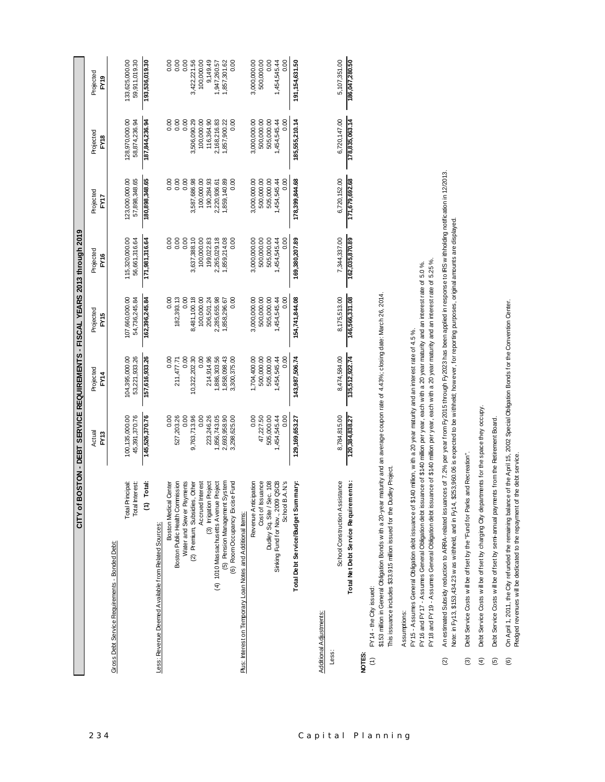|                                                              | CITY of BOSTON - DEBT SERVICE REQUIREMENTS - FISCAL YEARS 2013 through 2019 |                                 |                                 |                                 |                                 |                                 |                                 |
|--------------------------------------------------------------|-----------------------------------------------------------------------------|---------------------------------|---------------------------------|---------------------------------|---------------------------------|---------------------------------|---------------------------------|
|                                                              | Actual<br>FY <sub>13</sub>                                                  | Projected<br>FY14               | Projected<br>FY15               | Projected<br>FY16               | Projected<br>FY17               | Projected<br><b>FY18</b>        | Projected<br>PY <sub>9</sub>    |
| Gross Debt Service Requirements - Bonded Debt:               |                                                                             |                                 |                                 |                                 |                                 |                                 |                                 |
| Total Principal:<br>Total Interest:                          | 100,135,000.00<br>45,391,370.76                                             | 104,395,000.00<br>53,221,933.26 | 107,660,000.00<br>54,736,245.84 | 115,320,000.00<br>56,661,316.64 | 123,000,000.00<br>57,898,348.65 | 128,970,000.00<br>58,874,236.94 | 59,911,019.30<br>133,625,000.00 |
| Total:<br>έ                                                  | 145,526,370.76                                                              | 157,616,933.26                  | 162,396,245.84                  | 171,981,316.64                  | 180,898,348.65                  | 187,844,236.94                  | 193,536,019.30                  |
| Less: Revenue Deemed Available from Related Sources:         |                                                                             |                                 |                                 |                                 |                                 |                                 |                                 |
| <b>Boston Medical Center</b>                                 | 0.00                                                                        | 0.00                            | 0.00                            | 0.00                            | 0.00                            | 8<br>0.0                        | 0.00                            |
| Boston Public Health Commission                              | 527,203.26                                                                  | 211,477.71                      | 182,393.13                      | 0.00                            | 0.00                            | 0.00                            | 0.00                            |
| Water and Sew er Payments                                    | 0.00                                                                        | 0.00                            | 0.00                            | 0.00                            | 0.00                            | 0.00                            | 0.00                            |
| (2) Premium, Subsidies, Other                                | 9,763,713.96                                                                | 10,322,202.30                   | 8,481,100.18                    | 3,637,388.10                    | ,587,686.98                     | 3,506,090.29                    | 3,422,221.56                    |
| Accrued Interest                                             | 0.00                                                                        | 0.00                            | 100,000.00                      | 100,000.00                      | 100,000.00                      | 100,000.00                      | 100,000.00                      |
| (3) Irrigation Project                                       | 223,246.26                                                                  | 214,914.96                      | 206,501.24                      | 199,022.83                      | 190,284.93                      | 116,364.90                      | 9,149.49                        |
| (4) 1010 Massachusetts Avenue Project                        | 856,743.05                                                                  | ,886,303.56                     | 2,285,655.98                    | 2,265,029.18                    | 2,220,936.61                    | 2,168,216.83                    | 1,947,260.57                    |
| /stem<br>(5) Pension Management S                            | 2,693,958.90                                                                | ,858,098.43                     | 1,858,296.67                    | 1,859,214.08                    | 1,859,140.89                    | 1,857,900.22                    | 1,857,301.62                    |
| Fund<br>(6) Room Occupancy Excise                            | 3,298,625.00                                                                | 3,300,375.00                    | 0.00                            | 0.00                            | 0.00                            | 0.00                            | 0.00                            |
| Plus: Interest on Temporary Loan Notes and Additional Items: |                                                                             |                                 |                                 |                                 |                                 |                                 |                                 |
| Revenue Anticipation                                         | 0.00                                                                        | 1,704,400.00                    | 3,000,000.00                    | 3,000,000.00                    | 3,000,000.00                    | 3,000,000.00                    | 3,000,000.00                    |
| Cost of Issuance                                             | 47,227.50                                                                   | 500,000.00                      | 500,000.00                      | 500,000.00                      | 500,000.00                      | 500,000.00                      | 500,000.00                      |
| Dudley Sq. Site / Sec. 108                                   | 505,000.00                                                                  | 505,000.00                      | 505,000.00                      | 505,000.00                      | 505,000.00                      | 505,000.00                      | 0.00                            |
| Sinking Fund for Nov., 2009 QSCB<br>School B.A.N.'s          | 1,454,545.44                                                                | ,454,545.44                     | ,454,545.44                     | ,454,545.44                     | 1,454,545.44                    | 1,454,545.44                    | 1,454,545.44                    |
|                                                              | 0.00                                                                        | 0.00                            | 0.00                            | 0.00                            | 0.00                            | 0.00                            | 0.00                            |
| mary:<br>Total Debt Service/Budget Sumr                      | 129,169,653.27                                                              | 143,987,506.74                  | 154,741,844.08                  | 169,380,207.89                  | 178,399,844.68                  | 185,555,210.14                  | 191, 154, 631.50                |
|                                                              |                                                                             |                                 |                                 |                                 |                                 |                                 |                                 |
| Additional Adjustments:                                      |                                                                             |                                 |                                 |                                 |                                 |                                 |                                 |
| School Construction Assistance<br>Less:                      | 8,784,815.00                                                                | 8,474,584.00                    | 8,175,513.00                    | 7,344,337.00                    | 6,720,152.00                    | 6,720,147.00                    | 5,107,351.00                    |

|      | 5,107,351.0  | 186,047,280.50                                |   |
|------|--------------|-----------------------------------------------|---|
|      | 6,720,147.00 | 178,835,063.14                                |   |
|      | 6,720,152.00 | 171,679,692.68                                |   |
|      | 7,344,337.00 | 162,035,870.89                                |   |
|      | 175,513.00   | 146,566,331.08                                |   |
|      | 9,474,584.0  | 135,512,922.74                                |   |
|      | 784,815.00   | 120,384,838.27                                |   |
|      | stance       | hents:<br>Ľ<br>í<br>$\overline{\mathfrak{a}}$ |   |
| ess: |              |                                               | ű |

FY14 - the City issued:  $(1)$   $FY14 - the Gity is used:$ **NOTES:**  $\hat{z}$  \$153 million in General Obligation Bonds with a 20-year maturity and an average coupon rate of 4.43%; closing date: March 26, 2014. \$153 million in General Obligation Bonds w ith a 20-year maturity and an average coupon rate of 4.43%; closing date: March 26, 2014. This issuance includes \$33.915 million issued for the Dudley Project. This issuance includes \$33.915 million issued for the Dudley Project.

Assumptions: Assumptions:

FY18 and FY19 - Assumes General Obligation debt issuance of \$140 million per year, each with a 20 year maturity and an interest rate of 5.25%. FY16 and FY17 - Assumes General Obligation debt issuance of \$140 million per year, each with a 20 year maturity and an interest rate of 5.0%. FY16 and FY17 - Assumes General Obligation debt issuance of \$140 million per year, each w ith a 20 year maturity and an interest rate of 5.0 %. FY15 - Assumes General Obligation debt issuance of \$140 million, with a 20 year maturity and an interest rate of 4.5%. FY15 - Assumes General Obligation debt issuance of \$140 million, w ith a 20 year maturity and an interest rate of 4.5 %.

An estimated Subsidy reduction to ARA-related issuances of 7.2% per year from Fy2015 through Fy2023 has been applied in response to IRS withholding notification in 12/2013. (2) An estimated Subsidy reduction to ARRA-related issuances of 7.2% per year from Fy2015 through Fy2023 has been applied in response to IRS w ithholding notification in 12/2013. FY18 and FY19 - Assumes General Obligation debt issuance of \$140 million per year, each w ith a 20 year maturity and an interest rate of 5.25 %.  $\widehat{\infty}$ 

Note: in Fy13, \$153,434.23 w as w ithheld, and in Fy14, \$253,960.06 is expected to be w ithheld; how ever, for reporting purposes, original amounts are displayed. Note: in Fy13, \$153,434.23 w as w ithheld, and in Fy14, \$253,960.06 is expected to be w ithheld; how ever, for reporting purposes, original amounts are displayed.

Debt Service Costs will be offset by the "Fund for Parks and Recreation". (3) Debt Service Costs w ill be offset by the "Fund for Parks and Recreation".

Debt Service Costs will be offset by charging City departments for the space they occupy. (4) Debt Service Costs w ill be offset by charging City departments for the space they occupy.  $\begin{array}{ccc} \circ & \circ & \circ & \circ \end{array}$ 

Debt Service Costs will be offset by semi-annual payments from the Retirement Board. (5) Debt Service Costs w ill be offset by semi-annual payments from the Retirement Board. On April 1, 2011, the City refunded the remaining balance of the April 15, 2002 Special Obligation Bonds for the Convention Center.<br>Pledged revenues w ill be dedicated to the repayment of the debt service. (6) On April 1, 2011, the City refunded the remaining balance of the April 15, 2002 Special Obligation Bonds for the Convention Center. Pledged revenues w ill be dedicated to the repayment of the debt service.